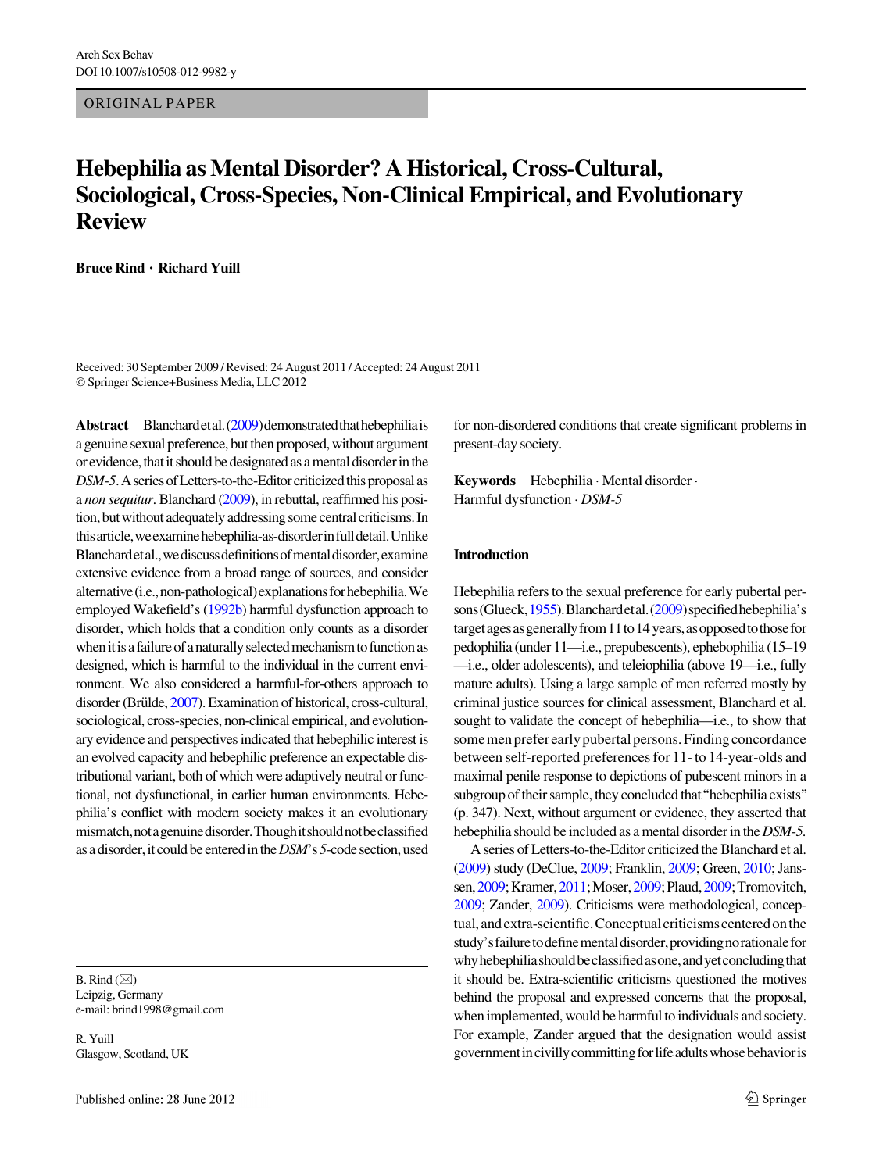ORIGINAL PAPER

# Hebephilia as Mental Disorder? A Historical, Cross-Cultural, Sociological, Cross-Species, Non-Clinical Empirical, and Evolutionary Review

Bruce Rind • Richard Yuill

Received: 30 September 2009 / Revised: 24 August 2011 / Accepted: 24 August 2011 - Springer Science+Business Media, LLC 2012

Abstract Blanchardetal.[\(2009](#page-28-0))demonstrated that he bephiliais a genuine sexual preference, but then proposed, without argument or evidence, that it should be designated as a mental disorder in the DSM-5. A series of Letters-to-the-Editor criticized this proposal as a non sequitur. Blanchard [\(2009\)](#page-28-0), in rebuttal, reaffirmed his position, but without adequately addressing some central criticisms. In thisarticle,weexaminehebephilia-as-disorderinfulldetail.Unlike Blanchardetal.,wediscussdefinitionsofmentaldisorder,examine extensive evidence from a broad range of sources, and consider alternative(i.e.,non-pathological)explanationsforhebephilia.We employed Wakefield's [\(1992b](#page-32-0)) harmful dysfunction approach to disorder, which holds that a condition only counts as a disorder when it is a failure of a naturally selected mechanism to function as designed, which is harmful to the individual in the current environment. We also considered a harmful-for-others approach to disorder (Brülde, [2007\)](#page-28-0). Examination of historical, cross-cultural, sociological, cross-species, non-clinical empirical, and evolutionary evidence and perspectives indicated that hebephilic interest is an evolved capacity and hebephilic preference an expectable distributional variant, both of which were adaptively neutral or functional, not dysfunctional, in earlier human environments. Hebephilia's conflict with modern society makes it an evolutionary mismatch,notagenuinedisorder.Thoughitshouldnotbeclassified as a disorder, it could be entered in the DSM's 5-code section, used

B. Rind  $(\boxtimes)$ Leipzig, Germany e-mail: brind1998@gmail.com

R. Yuill Glasgow, Scotland, UK for non-disordered conditions that create significant problems in present-day society.

Keywords Hebephilia · Mental disorder · Harmful dysfunction · DSM-5

# Introduction

Hebephilia refers to the sexual preference for early pubertal per-sons (Glueck, [1955\)](#page-29-0). Blanchardetal. ([2009](#page-28-0)) specified hebephilia's target ages as generally from 11 to 14 years, as opposed to those for pedophilia (under 11—i.e., prepubescents), ephebophilia (15–19 —i.e., older adolescents), and teleiophilia (above 19—i.e., fully mature adults). Using a large sample of men referred mostly by criminal justice sources for clinical assessment, Blanchard et al. sought to validate the concept of hebephilia—i.e., to show that some men prefer early pubertal persons. Finding concordance between self-reported preferences for 11- to 14-year-olds and maximal penile response to depictions of pubescent minors in a subgroup of their sample, they concluded that''hebephilia exists'' (p. 347). Next, without argument or evidence, they asserted that hebephilia should be included as a mental disorder in the DSM-5.

A series of Letters-to-the-Editor criticized the Blanchard et al. [\(2009\)](#page-28-0) study (DeClue, [2009](#page-28-0); Franklin, [2009;](#page-29-0) Green, [2010](#page-29-0); Janssen,[2009;](#page-29-0)Kramer,[2011;](#page-30-0)Moser,[2009](#page-30-0);Plaud,[2009;](#page-30-0)Tromovitch, [2009;](#page-32-0) Zander, [2009\)](#page-32-0). Criticisms were methodological, conceptual,andextra-scientific.Conceptualcriticismscenteredonthe study's failure to define mental disorder, providing no rationale for whyhebephiliashouldbeclassifiedasone,andyetconcludingthat it should be. Extra-scientific criticisms questioned the motives behind the proposal and expressed concerns that the proposal, when implemented, would be harmful to individuals and society. For example, Zander argued that the designation would assist governmentincivillycommittingforlifeadultswhosebehavioris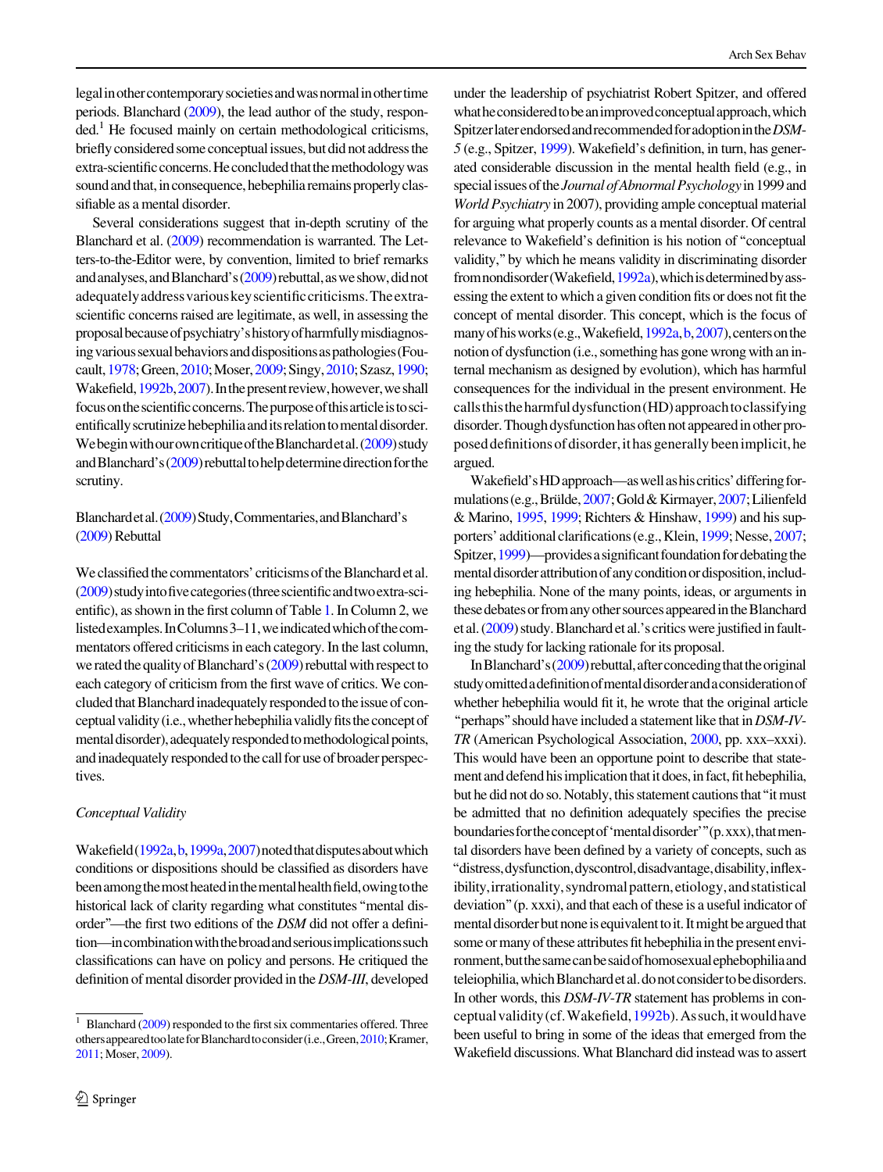legalinothercontemporarysocietiesandwasnormalinothertime periods. Blanchard [\(2009\)](#page-28-0), the lead author of the study, respon- $\text{ded.}^1$  He focused mainly on certain methodological criticisms, briefly considered some conceptual issues, but did not address the extra-scientific concerns. He concluded that the methodology was sound and that, in consequence, hebephilia remains properly classifiable as a mental disorder.

Several considerations suggest that in-depth scrutiny of the Blanchard et al. ([2009](#page-28-0)) recommendation is warranted. The Letters-to-the-Editor were, by convention, limited to brief remarks and analyses, and Blanchard's [\(2009\)](#page-28-0) rebuttal, as we show, did not adequatelyaddressvariouskeyscientificcriticisms.Theextrascientific concerns raised are legitimate, as well, in assessing the proposalbecauseofpsychiatry'shistoryofharmfullymisdiagnosing various sexual behaviors and dispositions as pathologies (Fou-cault, [1978](#page-29-0); Green, [2010;](#page-31-0) Moser, [2009;](#page-30-0) Singy, 2010; Szasz, [1990](#page-32-0); Wakefield, 1992b, 2007). In the present review, however, we shall focus on the scientific concerns. The purpose of this article is to scientifically scrutinize hebephilia and its relation to mental disorder. We begin with our own critique of the Blanchard et al. [\(2009\)](#page-28-0) study and Blanchard's  $(2009)$  rebuttal to help determine direction for the scrutiny.

# Blanchardetal.([2009](#page-28-0))Study,Commentaries,andBlanchard's [\(2009\)](#page-28-0) Rebuttal

We classified the commentators' criticisms of the Blanchard et al.  $(2009)$  study into five categories (three scientific and two extra-scientific), as shown in the first column of Table [1](#page-2-0). In Column 2, we listedexamples.InColumns3–11,weindicatedwhichofthecommentators offered criticisms in each category. In the last column, we rated the quality of Blanchard's  $(2009)$  $(2009)$  $(2009)$  rebuttal with respect to each category of criticism from the first wave of critics. We concluded that Blanchard inadequately responded to the issue of conceptual validity (i.e., whether hebephilia validly fits the concept of mental disorder), adequately responded to methodological points, and inadequately responded to the call for use of broader perspectives.

### Conceptual Validity

Wakefield[\(1992a,b](#page-32-0),[1999a,2007](#page-32-0))notedthatdisputesaboutwhich conditions or dispositions should be classified as disorders have been among the most heated in the mental health field, owing to the historical lack of clarity regarding what constitutes''mental disorder''—the first two editions of the DSM did not offer a definition—incombinationwiththebroadandseriousimplicationssuch classifications can have on policy and persons. He critiqued the definition of mental disorder provided in the DSM-III, developed

under the leadership of psychiatrist Robert Spitzer, and offered whatheconsideredtobeanimprovedconceptualapproach,which Spitzer later endorsed and recommended for adoption in the DSM-5 (e.g., Spitzer, [1999\)](#page-31-0). Wakefield's definition, in turn, has generated considerable discussion in the mental health field (e.g., in special issues of the Journal of Abnormal Psychology in 1999 and World Psychiatry in 2007), providing ample conceptual material for arguing what properly counts as a mental disorder. Of central relevance to Wakefield's definition is his notion of''conceptual validity,''by which he means validity in discriminating disorder from nondisorder (Wakefield, [1992a\)](#page-32-0), which is determined by assessing the extent to which a given condition fits or does not fit the concept of mental disorder. This concept, which is the focus of many of his works (e.g., Wakefield, 1992a, b, [2007](#page-32-0)), centers on the notion of dysfunction (i.e., something has gone wrong with an internal mechanism as designed by evolution), which has harmful consequences for the individual in the present environment. He callsthistheharmfuldysfunction(HD)approachtoclassifying disorder. Though dysfunction has often not appeared in other proposed definitions of disorder, it has generally been implicit, he argued.

Wakefield's HD approach—as well as his critics' differing for-mulations (e.g., Brülde, [2007](#page-29-0); Gold & Kirmayer, 2007; Lilienfeld & Marino, [1995,](#page-30-0) [1999;](#page-30-0) Richters & Hinshaw, [1999](#page-31-0)) and his sup-porters' additional clarifications (e.g., Klein, [1999;](#page-30-0) Nesse, [2007](#page-30-0); Spitzer, [1999\)](#page-31-0)—provides a significant foundation for debating the mental disorder attribution of any condition or disposition, including hebephilia. None of the many points, ideas, or arguments in these debates or from any other sources appeared in the Blanchard et al. [\(2009\)](#page-28-0) study. Blanchard et al.'s critics were justified in faulting the study for lacking rationale for its proposal.

In Blanchard's  $(2009)$  $(2009)$  $(2009)$  rebuttal, after conceding that the original studyomittedadefinitionofmentaldisorderandaconsiderationof whether hebephilia would fit it, he wrote that the original article ''perhaps''should have included a statement like that in DSM-IV-TR (American Psychological Association, [2000,](#page-27-0) pp. xxx–xxxi). This would have been an opportune point to describe that statement and defend his implication that it does, in fact, fit hebephilia, but he did not do so. Notably, this statement cautions that''it must be admitted that no definition adequately specifies the precise boundaries for the concept of 'mental disorder''(p.xxx), that mental disorders have been defined by a variety of concepts, such as ''distress,dysfunction,dyscontrol,disadvantage,disability,inflexibility, irrationality, syndromal pattern, etiology, and statistical deviation''(p. xxxi), and that each of these is a useful indicator of mental disorder but none is equivalent to it. It might be argued that some or many of these attributes fit hebephilia in the present environment,butthesamecanbesaidofhomosexualephebophiliaand teleiophilia, which Blanchard et al. do not consider to be disorders. In other words, this DSM-IV-TR statement has problems in con-ceptual validity (cf. Wakefield, [1992b](#page-32-0)). As such, it would have been useful to bring in some of the ideas that emerged from the Wakefield discussions. What Blanchard did instead was to assert

<sup>&</sup>lt;sup>1</sup> Blanchard [\(2009](#page-28-0)) responded to the first six commentaries offered. Three others appeared too late for Blanchard to consider (i.e., Green, [2010](#page-29-0); Kramer, [2011](#page-30-0); Moser, [2009\)](#page-30-0).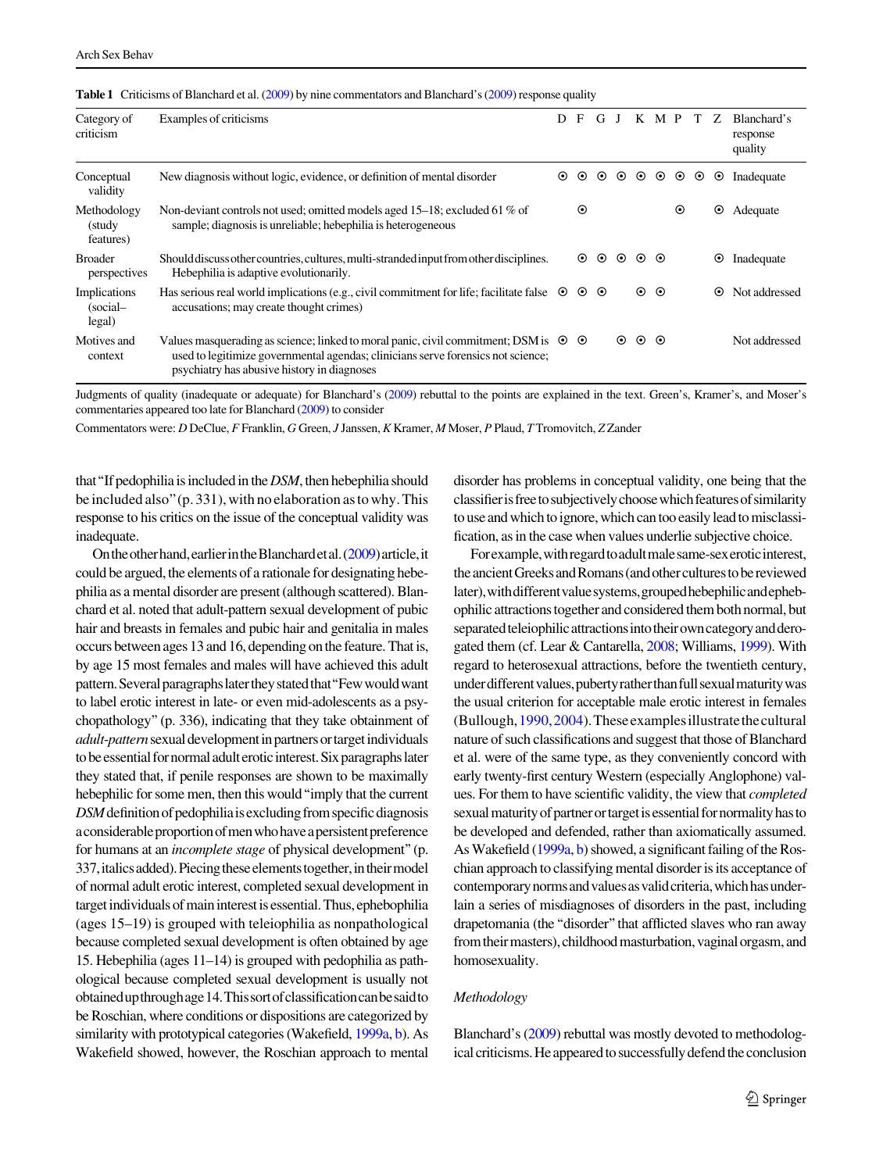| Category of<br>criticism            | Examples of criticisms                                                                                                                                                                                                             | D       | F       | G       |         | K              | M P             |         | T       | Z.                   | Blanchard's<br>response<br>quality |
|-------------------------------------|------------------------------------------------------------------------------------------------------------------------------------------------------------------------------------------------------------------------------------|---------|---------|---------|---------|----------------|-----------------|---------|---------|----------------------|------------------------------------|
| Conceptual<br>validity              | New diagnosis without logic, evidence, or definition of mental disorder                                                                                                                                                            | $\odot$ | $\odot$ | $\odot$ | $\odot$ | $\odot$        | $\odot$         | $\odot$ | $\odot$ | $\odot$              | Inadequate                         |
| Methodology<br>(study)<br>features) | Non-deviant controls not used; omitted models aged 15–18; excluded 61 % of<br>sample; diagnosis is unreliable; hebephilia is heterogeneous                                                                                         |         | $\odot$ |         |         |                |                 | $\odot$ |         | $\boldsymbol{\odot}$ | Adequate                           |
| <b>Broader</b><br>perspectives      | Should discuss other countries, cultures, multi-stranded input from other disciplines.<br>Hebephilia is adaptive evolutionarily.                                                                                                   |         | $\odot$ | $\odot$ | $\odot$ |                | $\circ$ $\circ$ |         |         | $_{\odot}$           | Inadequate                         |
| Implications<br>(social-<br>legal)  | Has serious real world implications (e.g., civil commitment for life; facilitate false $\odot$<br>accusations; may create thought crimes)                                                                                          |         | ⊙       | $\odot$ |         |                | $\odot$ $\odot$ |         |         | $\odot$              | Not addressed                      |
| Motives and<br>context              | Values masquerading as science; linked to moral panic, civil commitment; DSM is $\odot$ $\odot$<br>used to legitimize governmental agendas; clinicians serve forensics not science;<br>psychiatry has abusive history in diagnoses |         |         |         | $\odot$ | $\circ\,\circ$ |                 |         |         |                      | Not addressed                      |

<span id="page-2-0"></span>

|  |  | Table 1 Criticisms of Blanchard et al. (2009) by nine commentators and Blanchard's (2009) response quality |  |  |
|--|--|------------------------------------------------------------------------------------------------------------|--|--|
|--|--|------------------------------------------------------------------------------------------------------------|--|--|

Judgments of quality (inadequate or adequate) for Blanchard's [\(2009](#page-28-0)) rebuttal to the points are explained in the text. Green's, Kramer's, and Moser's commentaries appeared too late for Blanchard [\(2009](#page-28-0)) to consider

Commentators were: D DeClue, F Franklin, G Green, J Janssen, K Kramer, M Moser, P Plaud, T Tromovitch, Z Zander

that "If pedophilia is included in the DSM, then hebephilia should be included also''(p. 331), with no elaboration as to why. This response to his critics on the issue of the conceptual validity was inadequate.

On the other hand, earlier in the Blanchard et al. ([2009](#page-28-0)) article, it could be argued, the elements of a rationale for designating hebephilia as a mental disorder are present (although scattered). Blanchard et al. noted that adult-pattern sexual development of pubic hair and breasts in females and pubic hair and genitalia in males occurs between ages 13 and 16, depending on the feature. That is, by age 15 most females and males will have achieved this adult pattern. Several paragraphs later they stated that "Few would want to label erotic interest in late- or even mid-adolescents as a psychopathology''(p. 336), indicating that they take obtainment of adult-pattern sexual development in partners or target individuals to be essential for normal adult erotic interest. Six paragraphs later they stated that, if penile responses are shown to be maximally hebephilic for some men, then this would''imply that the current DSM definition of pedophilia is excluding from specific diagnosis a considerable proportion of men who have a persistent preference for humans at an *incomplete stage* of physical development" (p. 337, italics added). Piecing these elements together, in their model of normal adult erotic interest, completed sexual development in target individuals of main interest is essential. Thus, ephebophilia (ages 15–19) is grouped with teleiophilia as nonpathological because completed sexual development is often obtained by age 15. Hebephilia (ages 11–14) is grouped with pedophilia as pathological because completed sexual development is usually not obtainedupthroughage14.Thissortofclassificationcanbesaidto be Roschian, where conditions or dispositions are categorized by similarity with prototypical categories (Wakefield, [1999a](#page-32-0), [b](#page-32-0)). As Wakefield showed, however, the Roschian approach to mental disorder has problems in conceptual validity, one being that the classifier is free to subjectively choose which features of similarity to use and which to ignore, which can too easily lead to misclassification, as in the case when values underlie subjective choice.

Forexample,withregardtoadultmalesame-sexeroticinterest, the ancient Greeks and Romans (and other cultures to be reviewed later),withdifferentvaluesystems,groupedhebephilicandephebophilic attractions together and considered themboth normal, but separated teleiophilic attractions into their own category and derogated them (cf. Lear & Cantarella, [2008](#page-30-0); Williams, [1999\)](#page-32-0). With regard to heterosexual attractions, before the twentieth century, under different values, puberty rather than full sexual maturity was the usual criterion for acceptable male erotic interest in females (Bullough,  $1990, 2004$  $1990, 2004$ ). These examples illustrate the cultural nature of such classifications and suggest that those of Blanchard et al. were of the same type, as they conveniently concord with early twenty-first century Western (especially Anglophone) values. For them to have scientific validity, the view that completed sexual maturity of partner or target is essential for normality has to be developed and defended, rather than axiomatically assumed. As Wakefield [\(1999a,](#page-32-0) [b\)](#page-32-0) showed, a significant failing of the Roschian approach to classifying mental disorder is its acceptance of contemporarynormsandvaluesasvalidcriteria,whichhasunderlain a series of misdiagnoses of disorders in the past, including drapetomania (the''disorder''that afflicted slaves who ran away from their masters), childhood masturbation, vaginal orgasm, and homosexuality.

### Methodology

Blanchard's [\(2009](#page-28-0)) rebuttal was mostly devoted to methodological criticisms. He appeared to successfully defend the conclusion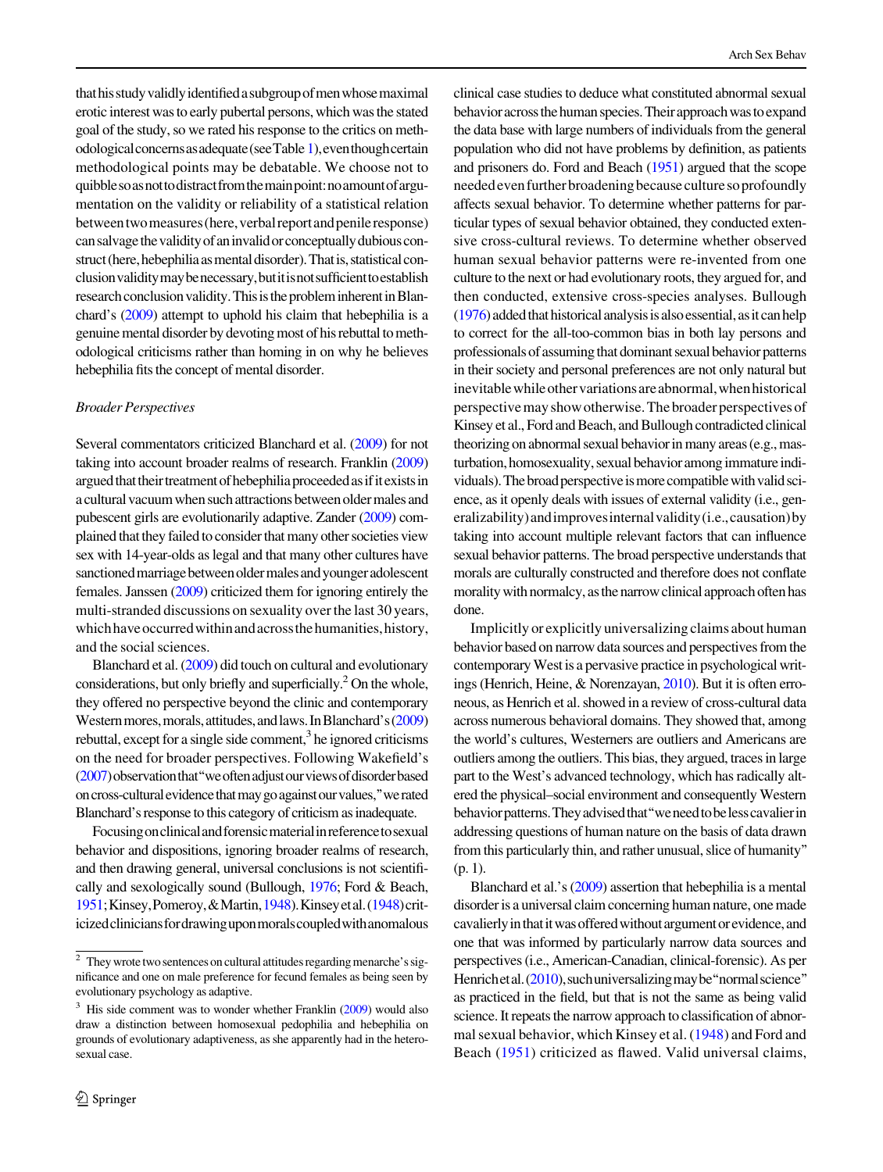thathisstudyvalidlyidentifiedasubgroupofmenwhosemaximal erotic interest was to early pubertal persons, which was the stated goal of the study, so we rated his response to the critics on methodologicalconcernsasadequate(seeTable [1\)](#page-2-0),eventhoughcertain methodological points may be debatable. We choose not to quibblesoasnottodistractfromthemainpoint:noamountofargumentation on the validity or reliability of a statistical relation betweentwomeasures(here,verbalreportandpenileresponse) can salvage the validity of an invalid or conceptually dubious construct (here, hebephilia as mental disorder). That is, statistical conclusionvaliditymaybenecessary,butitisnotsufficienttoestablish research conclusion validity. This is the problem inherent in Blanchard's [\(2009](#page-28-0)) attempt to uphold his claim that hebephilia is a genuine mental disorder by devoting most of his rebuttal to methodological criticisms rather than homing in on why he believes hebephilia fits the concept of mental disorder.

### Broader Perspectives

Several commentators criticized Blanchard et al. [\(2009](#page-28-0)) for not taking into account broader realms of research. Franklin [\(2009\)](#page-29-0) argued that their treatment of hebephilia proceeded as if it exists in a cultural vacuum when such attractions between older males and pubescent girls are evolutionarily adaptive. Zander [\(2009](#page-32-0)) complained that they failed to consider that many other societies view sex with 14-year-olds as legal and that many other cultures have sanctioned marriage between older males and younger adolescent females. Janssen [\(2009](#page-29-0)) criticized them for ignoring entirely the multi-stranded discussions on sexuality over the last 30 years, which have occurred within and across the humanities, history, and the social sciences.

Blanchard et al. [\(2009\)](#page-28-0) did touch on cultural and evolutionary considerations, but only briefly and superficially.<sup>2</sup> On the whole, they offered no perspective beyond the clinic and contemporary Western mores, morals, attitudes, and laws. In Blanchard's [\(2009\)](#page-28-0) rebuttal, except for a single side comment, $3$  he ignored criticisms on the need for broader perspectives. Following Wakefield's [\(2007](#page-32-0)) observation that "we often adjust our views of disorder based oncross-culturalevidencethatmaygoagainstourvalues,''werated Blanchard's response to this category of criticism as inadequate.

Focusingonclinicalandforensicmaterialinreferencetosexual behavior and dispositions, ignoring broader realms of research, and then drawing general, universal conclusions is not scientifically and sexologically sound (Bullough, [1976](#page-28-0); Ford & Beach, [1951;](#page-29-0)Kinsey,Pomeroy,&Martin,[1948](#page-30-0)).Kinseyetal.[\(1948\)](#page-30-0)criticizedcliniciansfordrawinguponmoralscoupledwithanomalous clinical case studies to deduce what constituted abnormal sexual behavior across the human species. Their approach was to expand the data base with large numbers of individuals from the general population who did not have problems by definition, as patients and prisoners do. Ford and Beach [\(1951](#page-29-0)) argued that the scope needed even further broadening because culture so profoundly affects sexual behavior. To determine whether patterns for particular types of sexual behavior obtained, they conducted extensive cross-cultural reviews. To determine whether observed human sexual behavior patterns were re-invented from one culture to the next or had evolutionary roots, they argued for, and then conducted, extensive cross-species analyses. Bullough  $(1976)$  added that historical analysis is also essential, as it can help to correct for the all-too-common bias in both lay persons and professionals of assuming that dominant sexual behavior patterns in their society and personal preferences are not only natural but inevitable while other variations are abnormal, when historical perspective may show otherwise. The broader perspectives of Kinsey et al., Ford and Beach, and Bullough contradicted clinical theorizing on abnormal sexual behavior in many areas (e.g., masturbation, homosexuality, sexual behavior among immature individuals). The broad perspective is more compatible with valid science, as it openly deals with issues of external validity (i.e., generalizability) and improves internal validity (i.e., causation) by taking into account multiple relevant factors that can influence sexual behavior patterns. The broad perspective understands that morals are culturally constructed and therefore does not conflate morality with normalcy, as the narrow clinical approach often has done.

Implicitly or explicitly universalizing claims about human behavior based on narrow data sources and perspectives from the contemporary West is a pervasive practice in psychological writings (Henrich, Heine, & Norenzayan, [2010](#page-29-0)). But it is often erroneous, as Henrich et al. showed in a review of cross-cultural data across numerous behavioral domains. They showed that, among the world's cultures, Westerners are outliers and Americans are outliers among the outliers. This bias, they argued, traces in large part to the West's advanced technology, which has radically altered the physical–social environment and consequently Western behavior patterns. They advised that "we need to be less cavalier in addressing questions of human nature on the basis of data drawn from this particularly thin, and rather unusual, slice of humanity'' (p. 1).

Blanchard et al.'s [\(2009](#page-28-0)) assertion that hebephilia is a mental disorder is a universal claim concerning human nature, one made cavalierly in that it was offered without argument or evidence, and one that was informed by particularly narrow data sources and perspectives (i.e., American-Canadian, clinical-forensic). As per Henrichetal. [\(2010](#page-29-0)), such universalizing may be "normal science" as practiced in the field, but that is not the same as being valid science. It repeats the narrow approach to classification of abnormal sexual behavior, which Kinsey et al. ([1948\)](#page-30-0) and Ford and Beach ([1951](#page-29-0)) criticized as flawed. Valid universal claims,

<sup>2</sup> They wrote two sentences on cultural attitudes regarding menarche's significance and one on male preference for fecund females as being seen by evolutionary psychology as adaptive.

 $3$  His side comment was to wonder whether Franklin ( $2009$ ) would also draw a distinction between homosexual pedophilia and hebephilia on grounds of evolutionary adaptiveness, as she apparently had in the heterosexual case.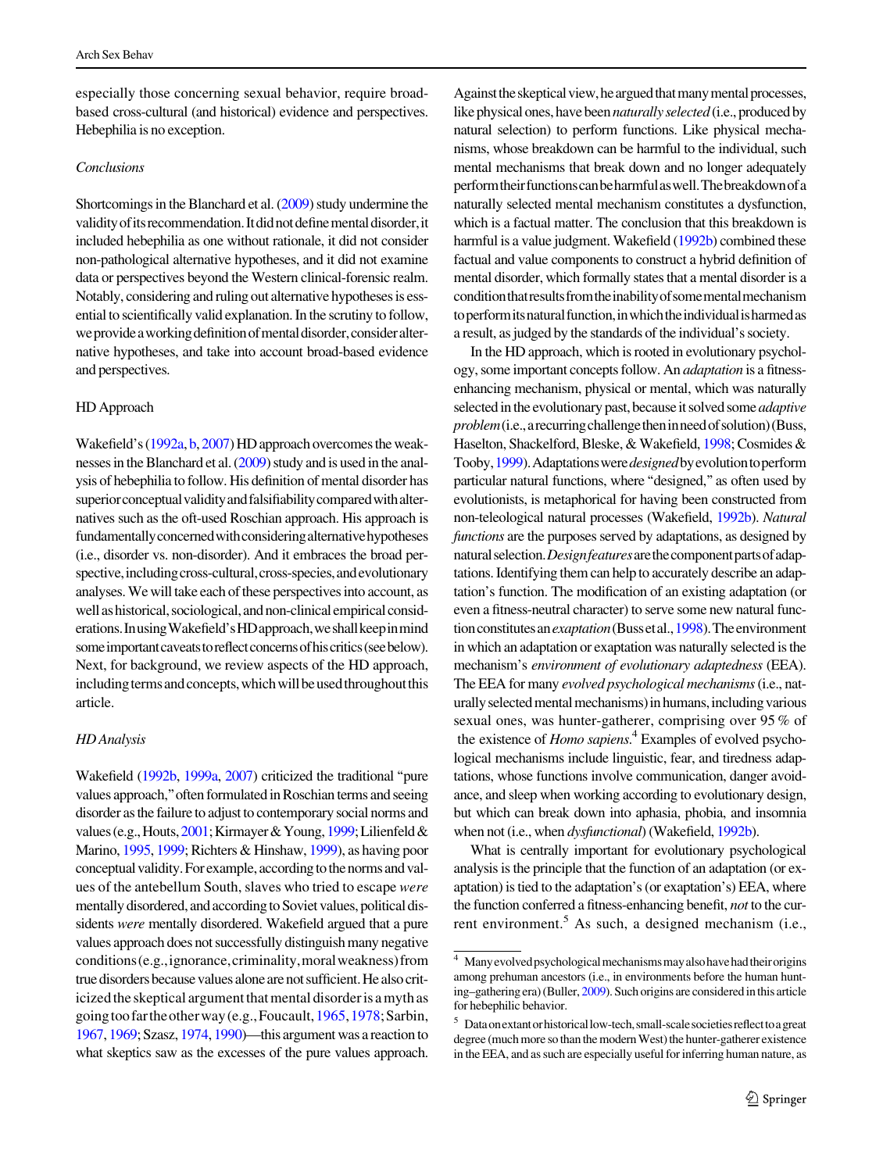especially those concerning sexual behavior, require broadbased cross-cultural (and historical) evidence and perspectives. Hebephilia is no exception.

# Conclusions

Shortcomings in the Blanchard et al. [\(2009\)](#page-28-0) study undermine the validity of its recommendation. It did not definemental disorder, it included hebephilia as one without rationale, it did not consider non-pathological alternative hypotheses, and it did not examine data or perspectives beyond the Western clinical-forensic realm. Notably, considering and ruling out alternative hypotheses is essential to scientifically valid explanation. In the scrutiny to follow, we provide a working definition of mental disorder, consider alternative hypotheses, and take into account broad-based evidence and perspectives.

### HD Approach

Wakefield's [\(1992a,](#page-32-0) [b](#page-32-0), [2007\)](#page-32-0) HD approach overcomes the weaknesses in the Blanchard et al. [\(2009\)](#page-28-0) study and is used in the analysis of hebephilia to follow. His definition of mental disorder has superior conceptual validity and falsifiability compared with alternatives such as the oft-used Roschian approach. His approach is fundamentally concerned with considering alternative hypotheses (i.e., disorder vs. non-disorder). And it embraces the broad perspective, including cross-cultural, cross-species, and evolutionary analyses. We will take each of these perspectives into account, as well as historical, sociological, and non-clinical empirical considerations.InusingWakefield'sHDapproach,weshallkeepinmind some important caveats to reflect concerns of his critics (see below). Next, for background, we review aspects of the HD approach, including terms and concepts, which will be used throughout this article.

### HD Analysis

Wakefield ([1992b](#page-32-0), [1999a,](#page-32-0) [2007\)](#page-32-0) criticized the traditional ''pure values approach,''often formulated in Roschian terms and seeing disorder as the failure to adjust to contemporary social norms and values (e.g., Houts, [2001;](#page-29-0) Kirmayer & Young, [1999](#page-30-0); Lilienfeld & Marino, [1995,](#page-30-0) [1999](#page-30-0); Richters & Hinshaw, [1999\)](#page-31-0), as having poor conceptual validity. For example, according to the norms and values of the antebellum South, slaves who tried to escape were mentally disordered, and according to Soviet values, political dissidents were mentally disordered. Wakefield argued that a pure values approach does not successfully distinguish many negative conditions(e.g.,ignorance,criminality,moralweakness)from true disorders because values alone are not sufficient. He also criticized the skeptical argument that mental disorder is a myth as goingtoofartheotherway(e.g.,Foucault,[1965](#page-29-0),[1978;](#page-29-0)Sarbin, [1967,](#page-31-0) [1969](#page-31-0); Szasz, [1974,](#page-32-0) [1990](#page-32-0))—this argument was a reaction to what skeptics saw as the excesses of the pure values approach.

Against the skeptical view, he argued that many mental processes. like physical ones, have been naturally selected (i.e., produced by natural selection) to perform functions. Like physical mechanisms, whose breakdown can be harmful to the individual, such mental mechanisms that break down and no longer adequately performtheirfunctionscanbeharmfulaswell.Thebreakdownofa naturally selected mental mechanism constitutes a dysfunction, which is a factual matter. The conclusion that this breakdown is harmful is a value judgment. Wakefield [\(1992b\)](#page-32-0) combined these factual and value components to construct a hybrid definition of mental disorder, which formally states that a mental disorder is a conditionthatresultsfromtheinabilityofsomementalmechanism to perform its natural function, in which the individual is harmed as a result, as judged by the standards of the individual's society.

In the HD approach, which is rooted in evolutionary psychology, some important concepts follow. An adaptation is a fitnessenhancing mechanism, physical or mental, which was naturally selected in the evolutionary past, because it solved some adaptive problem (i.e., a recurring challenge then in need of solution) (Buss, Haselton, Shackelford, Bleske, & Wakefield, [1998](#page-28-0); Cosmides & Tooby, [1999\)](#page-28-0). Adaptations were *designed* by evolution to perform particular natural functions, where''designed,''as often used by evolutionists, is metaphorical for having been constructed from non-teleological natural processes (Wakefield, [1992b\)](#page-32-0). Natural functions are the purposes served by adaptations, as designed by natural selection. Design features are the component parts of adaptations. Identifying them can help to accurately describe an adaptation's function. The modification of an existing adaptation (or even a fitness-neutral character) to serve some new natural function constitutes an *exaptation* (Busset al., [1998](#page-28-0)). The environment in which an adaptation or exaptation was naturally selected is the mechanism's environment of evolutionary adaptedness (EEA). The EEA for many evolved psychological mechanisms (i.e., naturallyselectedmentalmechanisms)inhumans,includingvarious sexual ones, was hunter-gatherer, comprising over 95 % of the existence of *Homo sapiens*.<sup>4</sup> Examples of evolved psychological mechanisms include linguistic, fear, and tiredness adaptations, whose functions involve communication, danger avoidance, and sleep when working according to evolutionary design, but which can break down into aphasia, phobia, and insomnia when not (i.e., when *dysfunctional*) (Wakefield, [1992b](#page-32-0)).

What is centrally important for evolutionary psychological analysis is the principle that the function of an adaptation (or exaptation) is tied to the adaptation's (or exaptation's) EEA, where the function conferred a fitness-enhancing benefit, not to the current environment.<sup>5</sup> As such, a designed mechanism (i.e.,

 $4 \overline{M}$  Many evolved psychological mechanisms may also have had their origins among prehuman ancestors (i.e., in environments before the human hunting–gathering era) (Buller, [2009\)](#page-28-0). Such origins are considered in this article for hebephilic behavior.

<sup>5</sup> Dataonextantorhistoricallow-tech,small-scalesocietiesreflecttoagreat degree (much more so than the modern West) the hunter-gatherer existence in the EEA, and as such are especially useful for inferring human nature, as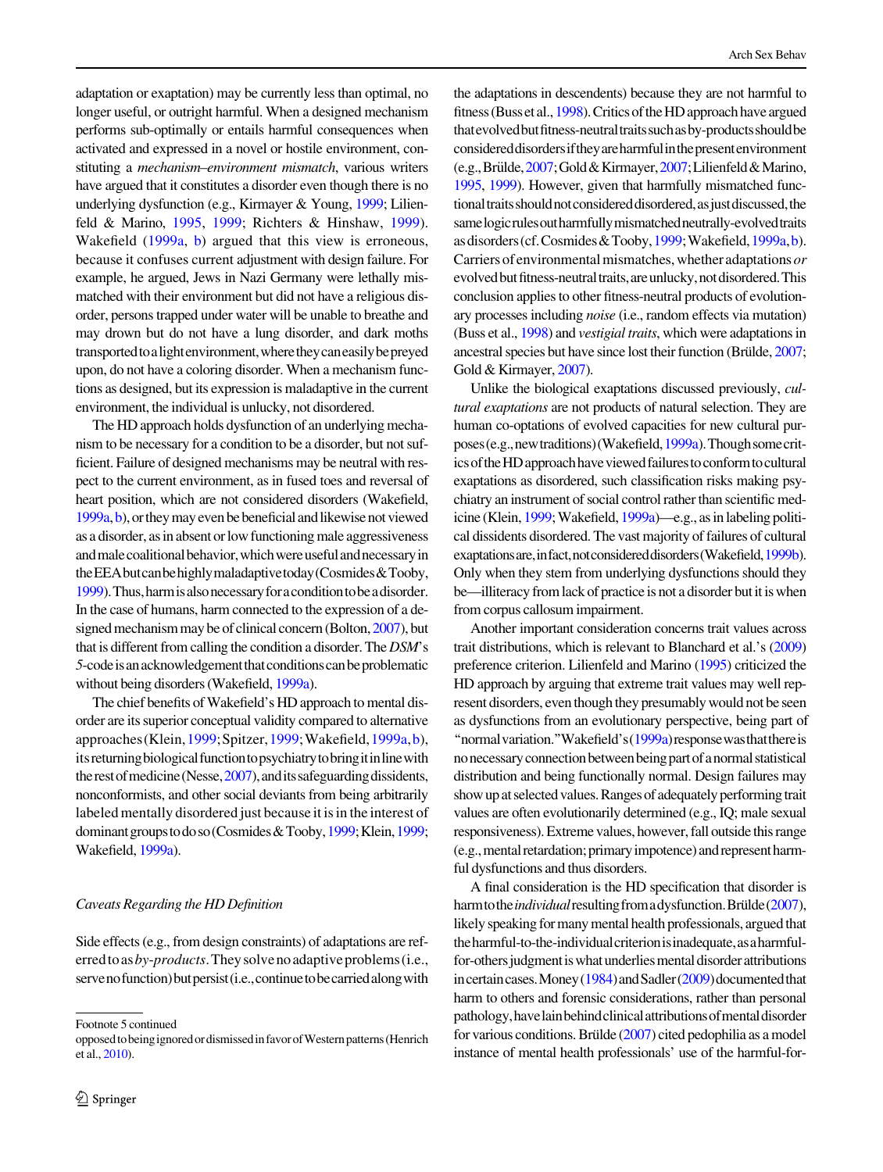adaptation or exaptation) may be currently less than optimal, no longer useful, or outright harmful. When a designed mechanism performs sub-optimally or entails harmful consequences when activated and expressed in a novel or hostile environment, constituting a mechanism–environment mismatch, various writers have argued that it constitutes a disorder even though there is no underlying dysfunction (e.g., Kirmayer & Young, [1999;](#page-30-0) Lilienfeld & Marino, [1995](#page-30-0), [1999](#page-30-0); Richters & Hinshaw, [1999](#page-31-0)). Wakefield ([1999a](#page-32-0), [b\)](#page-32-0) argued that this view is erroneous, because it confuses current adjustment with design failure. For example, he argued, Jews in Nazi Germany were lethally mismatched with their environment but did not have a religious disorder, persons trapped under water will be unable to breathe and may drown but do not have a lung disorder, and dark moths transported to a lightenvironment, where they can easily be preyed upon, do not have a coloring disorder. When a mechanism functions as designed, but its expression is maladaptive in the current environment, the individual is unlucky, not disordered.

The HD approach holds dysfunction of an underlying mechanism to be necessary for a condition to be a disorder, but not sufficient. Failure of designed mechanisms may be neutral with respect to the current environment, as in fused toes and reversal of heart position, which are not considered disorders (Wakefield, 1999a, b), or they may even be beneficial and likewise not viewed as a disorder, as in absent or low functioning male aggressiveness and male coalitional behavior, which were useful and necessary in theEEAbutcanbehighlymaladaptivetoday(Cosmides&Tooby, [1999\)](#page-28-0).Thus,harmisalsonecessaryforaconditiontobeadisorder. In the case of humans, harm connected to the expression of a designed mechanism may be of clinical concern (Bolton,[2007](#page-28-0)), but that is different from calling the condition a disorder. The DSM's 5-code is an acknowledgement that conditions can be problematic without being disorders (Wakefield, [1999a\)](#page-32-0).

The chief benefits of Wakefield's HD approach to mental disorder are its superior conceptual validity compared to alternative approaches(Klein,[1999](#page-30-0);Spitzer,[1999;](#page-31-0)Wakefield,[1999a,b](#page-32-0)), its returning biological function to psychiatry to bring it in line with the rest of medicine (Nesse, [2007](#page-30-0)), and its safeguarding dissidents, nonconformists, and other social deviants from being arbitrarily labeled mentally disordered just because it is in the interest of dominant groups to do so (Cosmides & Tooby, [1999;](#page-28-0) Klein, [1999](#page-30-0); Wakefield, [1999a\)](#page-32-0).

### Caveats Regarding the HD Definition

Side effects (e.g., from design constraints) of adaptations are referred to as  $by$ -products. They solve no adaptive problems (i.e., serve no function) but persist (i.e., continue to be carried along with

Footnote 5 continued

the adaptations in descendents) because they are not harmful to fitness (Buss et al., [1998](#page-28-0)). Critics of the HD approach have argued that evolved but fitness-neutral traits such as by-products should be considereddisordersiftheyareharmfulinthepresentenvironment (e.g.,Bru¨lde,[2007](#page-28-0);Gold&Kirmayer,[2007;](#page-29-0)Lilienfeld&Marino, [1995,](#page-30-0) [1999\)](#page-30-0). However, given that harmfully mismatched functional traits should not considered disordered, as just discussed, the same logic rules out harmfully mismatched neutrally-evolved traits asdisorders(cf.Cosmides&Tooby,[1999](#page-28-0);Wakefield,[1999a](#page-32-0),[b\)](#page-32-0). Carriers of environmental mismatches, whether adaptations  $or$ evolved but fitness-neutral traits, are unlucky, not disordered. This conclusion applies to other fitness-neutral products of evolutionary processes including noise (i.e., random effects via mutation) (Buss et al., [1998\)](#page-28-0) and vestigial traits, which were adaptations in ancestral species but have since lost their function (Brülde, [2007](#page-28-0); Gold & Kirmayer, [2007](#page-29-0)).

Unlike the biological exaptations discussed previously, cultural exaptations are not products of natural selection. They are human co-optations of evolved capacities for new cultural purposes(e.g.,newtraditions)(Wakefield,[1999a](#page-32-0)).Thoughsomecritics of the HD approach have viewed failures to conform to cultural exaptations as disordered, such classification risks making psychiatry an instrument of social control rather than scientific medicine (Klein, [1999](#page-30-0); Wakefield, [1999a\)](#page-32-0)—e.g., as in labeling political dissidents disordered. The vast majority of failures of cultural exaptations are, in fact, not considered disorders (Wakefield, [1999b\)](#page-32-0). Only when they stem from underlying dysfunctions should they be—illiteracy from lack of practice is not a disorder but it is when from corpus callosum impairment.

Another important consideration concerns trait values across trait distributions, which is relevant to Blanchard et al.'s [\(2009\)](#page-28-0) preference criterion. Lilienfeld and Marino ([1995](#page-30-0)) criticized the HD approach by arguing that extreme trait values may well represent disorders, even though they presumably would not be seen as dysfunctions from an evolutionary perspective, being part of "normal variation."Wakefield's[\(1999a\)](#page-32-0) response was that there is nonecessaryconnectionbetweenbeingpartofanormalstatistical distribution and being functionally normal. Design failures may show up at selected values. Ranges of adequately performing trait values are often evolutionarily determined (e.g., IQ; male sexual responsiveness). Extreme values, however, fall outside this range (e.g., mental retardation; primary impotence) and represent harmful dysfunctions and thus disorders.

A final consideration is the HD specification that disorder is harm to the *individual* resulting from a dysfunction. Brülde [\(2007\)](#page-28-0), likely speaking for many mental health professionals, argued that the harmful-to-the-individual criterion is inadequate, as a harmfulfor-others judgment is what underlies mental disorder attributions in certain cases. Money  $(1984)$  $(1984)$  $(1984)$  and Sadler $(2009)$  documented that harm to others and forensic considerations, rather than personal pathology,havelainbehindclinicalattributionsofmentaldisorder for various conditions. Bruılde  $(2007)$  $(2007)$  $(2007)$  cited pedophilia as a model instance of mental health professionals' use of the harmful-for-

opposedtobeingignoredordismissedinfavorofWesternpatterns(Henrich et al., [2010](#page-29-0)).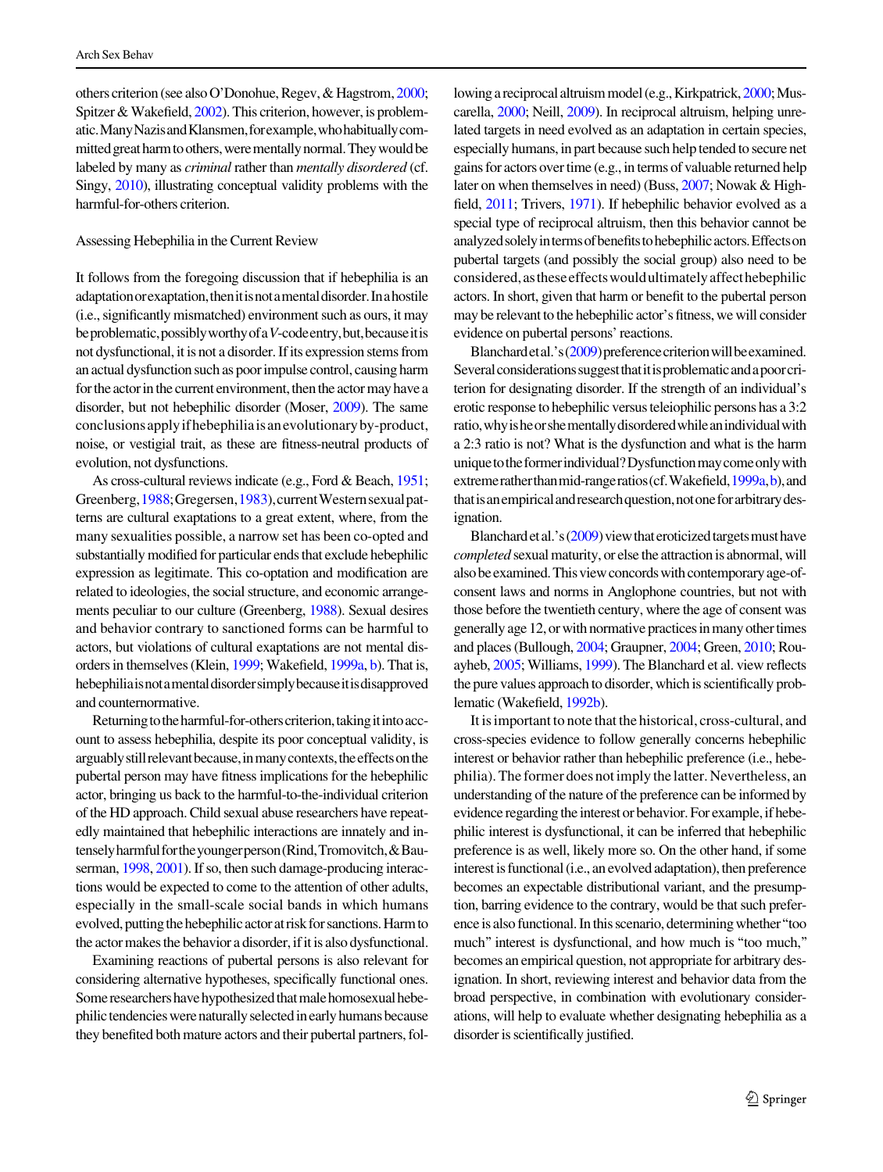others criterion (see also O'Donohue, Regev, & Hagstrom, [2000](#page-30-0); Spitzer & Wakefield, [2002\)](#page-31-0). This criterion, however, is problematic.ManyNazisandKlansmen,forexample,whohabituallycommitted great harm to others, were mentally normal. They would be labeled by many as criminal rather than mentally disordered (cf. Singy, [2010](#page-31-0)), illustrating conceptual validity problems with the harmful-for-others criterion.

# Assessing Hebephilia in the Current Review

It follows from the foregoing discussion that if hebephilia is an adaptation or exaptation, then it is not a mental disorder. In a hostile (i.e., significantly mismatched) environment such as ours, it may be problematic, possibly worthy of a V-code entry, but, because it is not dysfunctional, it is not a disorder. If its expression stems from an actual dysfunction such as poor impulse control, causing harm for the actor in the current environment, then the actor may have a disorder, but not hebephilic disorder (Moser, [2009](#page-30-0)). The same conclusionsapplyifhebephiliaisanevolutionaryby-product, noise, or vestigial trait, as these are fitness-neutral products of evolution, not dysfunctions.

As cross-cultural reviews indicate (e.g., Ford & Beach, [1951](#page-29-0); Greenberg, [1988;](#page-29-0) Gregersen, [1983](#page-29-0)), current Western sexual patterns are cultural exaptations to a great extent, where, from the many sexualities possible, a narrow set has been co-opted and substantially modified for particular ends that exclude hebephilic expression as legitimate. This co-optation and modification are related to ideologies, the social structure, and economic arrangements peculiar to our culture (Greenberg, [1988](#page-29-0)). Sexual desires and behavior contrary to sanctioned forms can be harmful to actors, but violations of cultural exaptations are not mental disorders in themselves (Klein, [1999](#page-30-0); Wakefield, [1999a,](#page-32-0) [b](#page-32-0)). That is, hebephiliaisnotamentaldisordersimplybecauseitisdisapproved and counternormative.

Returning to the harmful-for-others criterion, taking it into account to assess hebephilia, despite its poor conceptual validity, is arguably still relevant because, in many contexts, the effects on the pubertal person may have fitness implications for the hebephilic actor, bringing us back to the harmful-to-the-individual criterion of the HD approach. Child sexual abuse researchers have repeatedly maintained that hebephilic interactions are innately and intensely harmful for the younger person (Rind, Tromovitch, & Bauserman, [1998](#page-31-0), [2001\)](#page-31-0). If so, then such damage-producing interactions would be expected to come to the attention of other adults, especially in the small-scale social bands in which humans evolved, putting the hebephilic actor at risk for sanctions. Harm to the actor makes the behavior a disorder, if it is also dysfunctional.

Examining reactions of pubertal persons is also relevant for considering alternative hypotheses, specifically functional ones. Some researchers have hypothesized that male homosexual hebephilic tendencies were naturally selected in early humans because they benefited both mature actors and their pubertal partners, following a reciprocal altruism model (e.g., Kirkpatrick, [2000](#page-30-0); Muscarella, [2000](#page-30-0); Neill, [2009](#page-30-0)). In reciprocal altruism, helping unrelated targets in need evolved as an adaptation in certain species, especially humans, in part because such help tended to secure net gains for actors over time (e.g., in terms of valuable returned help later on when themselves in need) (Buss, [2007;](#page-28-0) Nowak & Highfield, [2011;](#page-30-0) Trivers, [1971\)](#page-32-0). If hebephilic behavior evolved as a special type of reciprocal altruism, then this behavior cannot be analyzed solely in terms of benefits to hebephilic actors. Effects on pubertal targets (and possibly the social group) also need to be considered,astheseeffectswouldultimatelyaffecthebephilic actors. In short, given that harm or benefit to the pubertal person may be relevant to the hebephilic actor's fitness, we will consider evidence on pubertal persons' reactions.

Blanchardetal.'s[\(2009](#page-28-0))preference criterion will be examined. Several considerations suggest that it is problematic and a poor criterion for designating disorder. If the strength of an individual's erotic response to hebephilic versus teleiophilic persons has a 3:2 ratio,whyisheorshementallydisorderedwhileanindividualwith a 2:3 ratio is not? What is the dysfunction and what is the harm unique to the former individual? Dysfunction may come only with extremeratherthanmid-rangeratios(cf. Wakefield, [1999a](#page-32-0), [b](#page-32-0)), and thatisanempiricalandresearchquestion,notoneforarbitrarydesignation.

Blanchard et al.'s  $(2009)$  view that eroticized targets must have completed sexual maturity, or else the attraction is abnormal, will also be examined. This view concords with contemporary age-ofconsent laws and norms in Anglophone countries, but not with those before the twentieth century, where the age of consent was generally age 12, or with normative practices in many other times and places (Bullough, [2004;](#page-28-0) Graupner, [2004](#page-29-0); Green, [2010;](#page-29-0) Rouayheb, [2005](#page-31-0); Williams, [1999](#page-32-0)). The Blanchard et al. view reflects the pure values approach to disorder, which is scientifically problematic (Wakefield, [1992b\)](#page-32-0).

It is important to note that the historical, cross-cultural, and cross-species evidence to follow generally concerns hebephilic interest or behavior rather than hebephilic preference (i.e., hebephilia). The former does not imply the latter. Nevertheless, an understanding of the nature of the preference can be informed by evidence regarding the interest or behavior. For example, if hebephilic interest is dysfunctional, it can be inferred that hebephilic preference is as well, likely more so. On the other hand, if some interest is functional (i.e., an evolved adaptation), then preference becomes an expectable distributional variant, and the presumption, barring evidence to the contrary, would be that such preference is also functional. In this scenario, determining whether''too much" interest is dysfunctional, and how much is "too much," becomes an empirical question, not appropriate for arbitrary designation. In short, reviewing interest and behavior data from the broad perspective, in combination with evolutionary considerations, will help to evaluate whether designating hebephilia as a disorder is scientifically justified.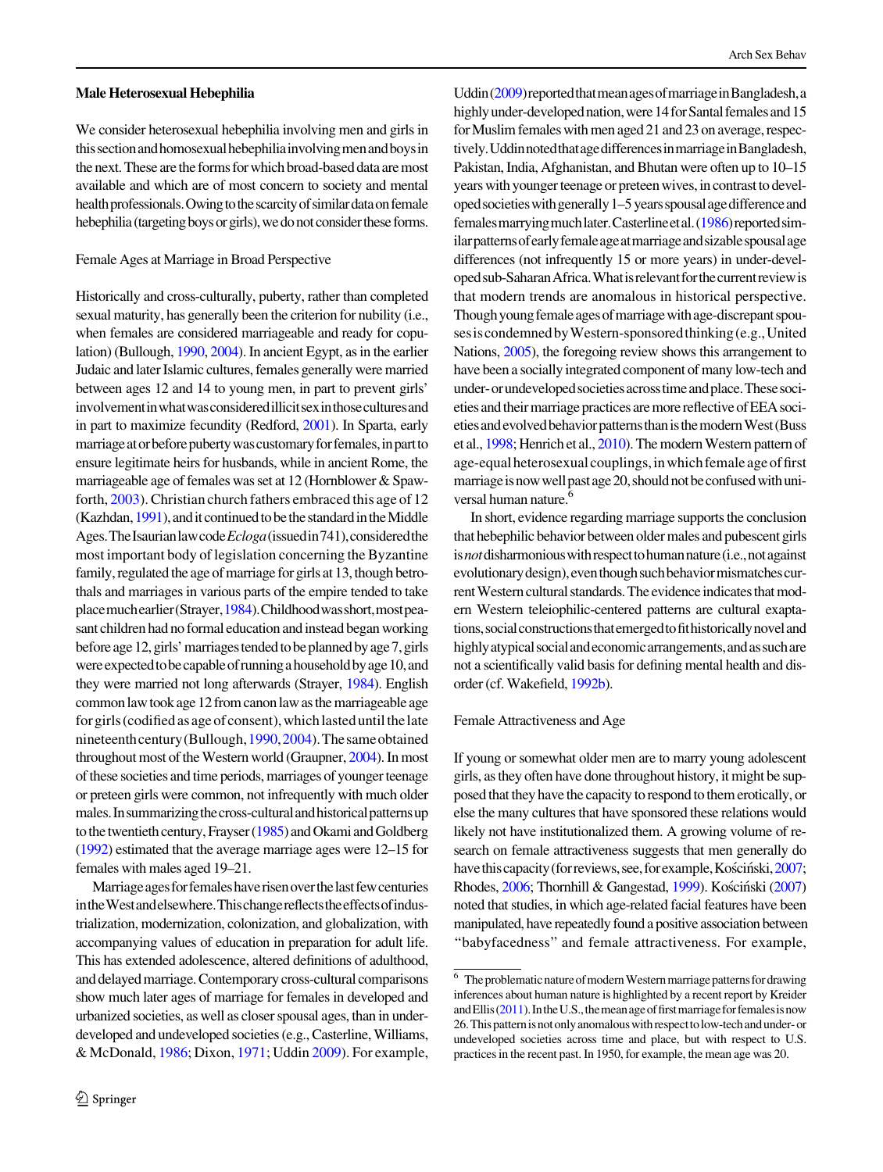### Male Heterosexual Hebephilia

We consider heterosexual hebephilia involving men and girls in thissectionandhomosexualhebephiliainvolvingmenandboysin the next. These are the forms for which broad-based data are most available and which are of most concern to society and mental health professionals. Owing to the scarcity of similar data on female hebephilia (targeting boys or girls), we do not consider these forms.

### Female Ages at Marriage in Broad Perspective

Historically and cross-culturally, puberty, rather than completed sexual maturity, has generally been the criterion for nubility (i.e., when females are considered marriageable and ready for copulation) (Bullough, [1990,](#page-28-0) [2004\)](#page-28-0). In ancient Egypt, as in the earlier Judaic and later Islamic cultures, females generally were married between ages 12 and 14 to young men, in part to prevent girls' involvement in what was considered illicit sex in those cultures and in part to maximize fecundity (Redford, [2001](#page-30-0)). In Sparta, early marriage at or before puberty was customary for females, in part to ensure legitimate heirs for husbands, while in ancient Rome, the marriageable age of females was set at 12 (Hornblower & Spawforth, [2003](#page-29-0)). Christian church fathers embraced this age of 12 (Kazhdan, [1991\)](#page-29-0), and it continued to be the standard in the Middle Ages. The Isaurian law code *Ecloga* (issued in 741), considered the most important body of legislation concerning the Byzantine family, regulated the age of marriage for girls at 13, though betrothals and marriages in various parts of the empire tended to take placemuchearlier(Strayer,[1984\)](#page-31-0).Childhoodwasshort,mostpeasant children had no formal education and instead began working before age 12, girls' marriages tended to be planned by age 7, girls were expected to be capable of running a household by age 10, and they were married not long afterwards (Strayer, [1984](#page-31-0)). English commonlaw took age 12 fromcanon lawasthe marriageable age for girls (codified as age of consent), which lasted until the late nineteenth century (Bullough, [1990](#page-28-0), [2004](#page-28-0)). The same obtained throughout most of the Western world (Graupner, [2004](#page-29-0)). In most of these societies and time periods, marriages of younger teenage or preteen girls were common, not infrequently with much older males. In summarizing the cross-cultural and historical patterns up to the twentieth century, Frayser [\(1985\)](#page-29-0) and Okami and Goldberg [\(1992\)](#page-30-0) estimated that the average marriage ages were 12–15 for females with males aged 19–21.

Marriage ages for females have risen over the last few centuries in the West and elsewhere. This change reflects the effects of industrialization, modernization, colonization, and globalization, with accompanying values of education in preparation for adult life. This has extended adolescence, altered definitions of adulthood, and delayed marriage. Contemporary cross-cultural comparisons show much later ages of marriage for females in developed and urbanized societies, as well as closer spousal ages, than in underdeveloped and undeveloped societies (e.g., Casterline, Williams, & McDonald, [1986;](#page-28-0) Dixon, [1971;](#page-28-0) Uddin [2009](#page-32-0)). For example,

Uddin([2009](#page-32-0)) reported that mean ages of marriage in Bangladesh, a highly under-developed nation, were 14 for Santal females and 15 for Muslim females with men aged 21 and 23 on average, respectively.UddinnotedthatagedifferencesinmarriageinBangladesh, Pakistan, India, Afghanistan, and Bhutan were often up to 10–15 years with younger teenage or preteen wives, in contrast to developedsocietieswithgenerally1–5 yearsspousalagedifferenceand femalesmarryingmuchlater.Casterlineetal.([1986](#page-28-0))reportedsimilar patterns of early female age at marriage and sizable spousal age differences (not infrequently 15 or more years) in under-developedsub-SaharanAfrica.Whatisrelevantforthecurrentreviewis that modern trends are anomalous in historical perspective. Though young female ages of marriage with age-discrepant spousesiscondemnedbyWestern-sponsoredthinking(e.g.,United Nations, [2005](#page-32-0)), the foregoing review shows this arrangement to have been a socially integrated component of many low-tech and under-orundevelopedsocietiesacrosstimeandplace.Thesesocieties and their marriage practices are more reflective of EEA soci-etiesandevolvedbehaviorpatternsthanisthemodernWest(Buss et al., [1998](#page-28-0); Henrich et al., [2010](#page-29-0)). The modern Western pattern of age-equal heterosexual couplings, in which female age of first marriage is now well past age 20, should not be confused with universal human nature.<sup>6</sup>

In short, evidence regarding marriage supports the conclusion that hebephilic behavior between older males and pubescent girls is not disharmonious with respect to human nature (i.e., not against evolutionary design), even though such behavior mismatches current Western cultural standards. The evidence indicates that modern Western teleiophilic-centered patterns are cultural exaptations, social constructions that emerged to fit historically novel and highly atypical social and economic arrangements, and as such are not a scientifically valid basis for defining mental health and disorder (cf. Wakefield, [1992b](#page-32-0)).

### Female Attractiveness and Age

If young or somewhat older men are to marry young adolescent girls, as they often have done throughout history, it might be supposed that they have the capacity to respond to them erotically, or else the many cultures that have sponsored these relations would likely not have institutionalized them. A growing volume of research on female attractiveness suggests that men generally do have this capacity (for reviews, see, for example, Kościński, [2007](#page-30-0); Rhodes, [2006;](#page-31-0) Thornhill & Gangestad, [1999](#page-32-0)). Kościński [\(2007\)](#page-30-0) noted that studies, in which age-related facial features have been manipulated, have repeatedly found a positive association between ''babyfacedness'' and female attractiveness. For example,

 $6$  The problematic nature of modern Western marriage patterns for drawing inferences about human nature is highlighted by a recent report by Kreider and Ellis [\(2011](#page-30-0)). In the U.S., the mean age of first marriage for females is now 26.Thispatternisnotonlyanomalouswithrespecttolow-techandunder-or undeveloped societies across time and place, but with respect to U.S. practices in the recent past. In 1950, for example, the mean age was 20.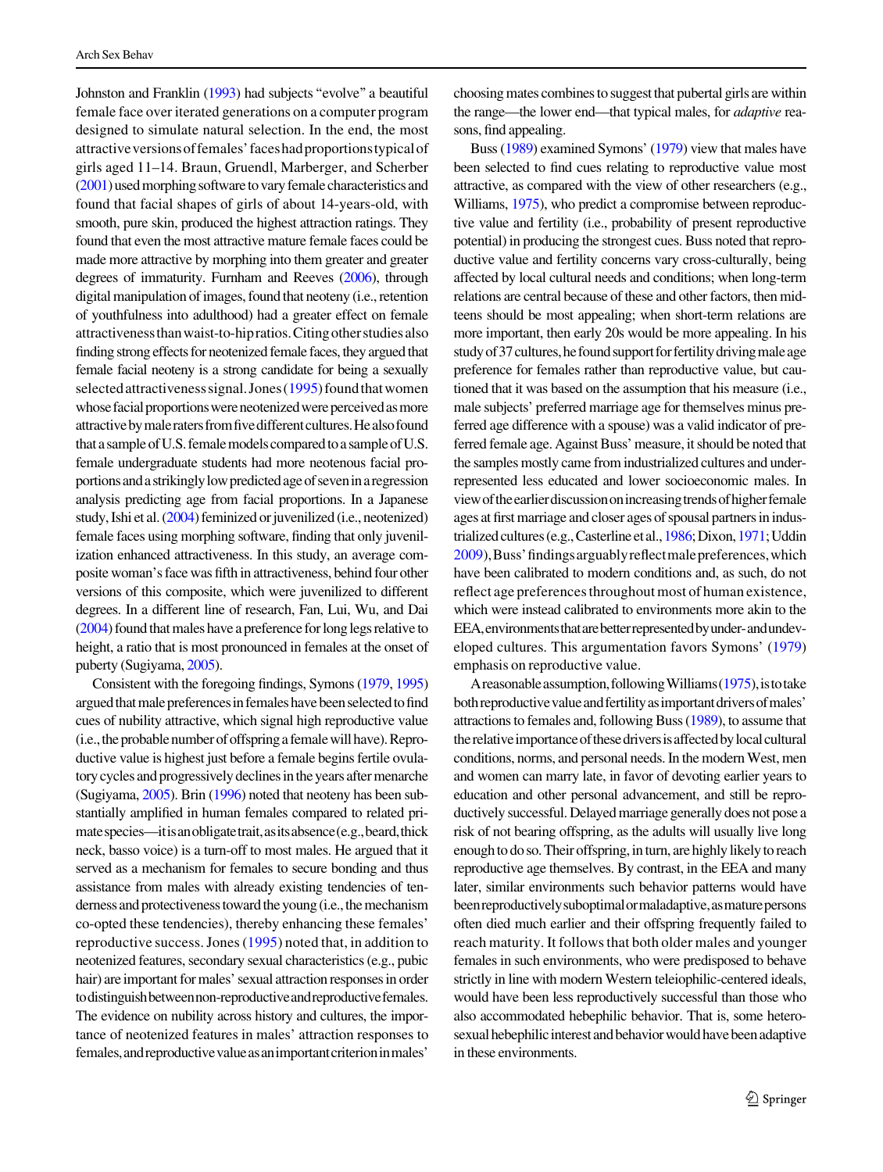Johnston and Franklin [\(1993](#page-29-0)) had subjects ''evolve'' a beautiful female face over iterated generations on a computer program designed to simulate natural selection. In the end, the most attractiveversionsoffemales'faceshadproportionstypicalof girls aged 11–14. Braun, Gruendl, Marberger, and Scherber [\(2001\)](#page-28-0) used morphing software to vary female characteristics and found that facial shapes of girls of about 14-years-old, with smooth, pure skin, produced the highest attraction ratings. They found that even the most attractive mature female faces could be made more attractive by morphing into them greater and greater degrees of immaturity. Furnham and Reeves [\(2006\)](#page-29-0), through digital manipulation of images, found that neoteny (i.e., retention of youthfulness into adulthood) had a greater effect on female attractivenessthanwaist-to-hipratios.Citingotherstudiesalso finding strong effects for neotenized female faces, they argued that female facial neoteny is a strong candidate for being a sexually selected attractiveness signal. Jones ([1995\)](#page-29-0) found that women whose facial proportions were neotenized were perceived as more attractive by male raters from five different cultures. He also found that a sample of U.S. female models compared to a sample of U.S. female undergraduate students had more neotenous facial proportionsandastrikinglylowpredictedageofseveninaregression analysis predicting age from facial proportions. In a Japanese study, Ishi et al. [\(2004](#page-29-0)) feminized or juvenilized (i.e., neotenized) female faces using morphing software, finding that only juvenilization enhanced attractiveness. In this study, an average composite woman's face was fifth in attractiveness, behind four other versions of this composite, which were juvenilized to different degrees. In a different line of research, Fan, Lui, Wu, and Dai [\(2004\)](#page-28-0) found that males have a preference for long legs relative to height, a ratio that is most pronounced in females at the onset of puberty (Sugiyama, [2005\)](#page-31-0).

Consistent with the foregoing findings, Symons [\(1979,](#page-31-0) [1995\)](#page-32-0) argued that male preferences in females have been selected to find cues of nubility attractive, which signal high reproductive value (i.e., the probable number of offspring a female will have). Reproductive value is highest just before a female begins fertile ovulatory cycles and progressively declines in the years after menarche (Sugiyama, [2005\)](#page-31-0). Brin [\(1996\)](#page-28-0) noted that neoteny has been substantially amplified in human females compared to related primatespecies—itisanobligatetrait,asitsabsence(e.g.,beard,thick neck, basso voice) is a turn-off to most males. He argued that it served as a mechanism for females to secure bonding and thus assistance from males with already existing tendencies of tenderness and protectiveness toward the young (i.e., the mechanism co-opted these tendencies), thereby enhancing these females' reproductive success. Jones ([1995](#page-29-0)) noted that, in addition to neotenized features, secondary sexual characteristics (e.g., pubic hair) are important formales' sexual attraction responses in order to distinguish between non-reproductive and reproductive females. The evidence on nubility across history and cultures, the importance of neotenized features in males' attraction responses to females, and reproductive value as an important criterion in males'

 $\bigcirc$  Springer

choosing mates combines to suggest that pubertal girls are within the range—the lower end—that typical males, for adaptive reasons, find appealing.

Buss [\(1989\)](#page-28-0) examined Symons' [\(1979\)](#page-31-0) view that males have been selected to find cues relating to reproductive value most attractive, as compared with the view of other researchers (e.g., Williams, [1975\)](#page-32-0), who predict a compromise between reproductive value and fertility (i.e., probability of present reproductive potential) in producing the strongest cues. Buss noted that reproductive value and fertility concerns vary cross-culturally, being affected by local cultural needs and conditions; when long-term relations are central because of these and other factors, then midteens should be most appealing; when short-term relations are more important, then early 20s would be more appealing. In his study of 37 cultures, he found support for fertility driving male age preference for females rather than reproductive value, but cautioned that it was based on the assumption that his measure (i.e., male subjects' preferred marriage age for themselves minus preferred age difference with a spouse) was a valid indicator of preferred female age. Against Buss' measure, it should be noted that the samples mostly came from industrialized cultures and underrepresented less educated and lower socioeconomic males. In view of the earlier discussion on increasing trends of higher female ages at first marriage and closer ages of spousal partners in indus-trialized cultures (e.g., Casterline et al., [1986;](#page-28-0) Dixon, [1971;](#page-28-0) Uddin [2009\)](#page-32-0),Buss'findingsarguablyreflectmalepreferences,which have been calibrated to modern conditions and, as such, do not reflect age preferences throughout most of human existence, which were instead calibrated to environments more akin to the EEA,environmentsthatarebetterrepresentedbyunder-andundeveloped cultures. This argumentation favors Symons' [\(1979\)](#page-31-0) emphasis on reproductive value.

A reasonable assumption, following Williams  $(1975)$ , is to take both reproductive value and fertility as important drivers of males' attractions to females and, following Buss ([1989](#page-28-0)), to assume that the relative importance of these drivers is affected by local cultural conditions, norms, and personal needs. In the modern West, men and women can marry late, in favor of devoting earlier years to education and other personal advancement, and still be reproductively successful. Delayed marriage generally does not pose a risk of not bearing offspring, as the adults will usually live long enough to do so. Their offspring, in turn, are highly likely to reach reproductive age themselves. By contrast, in the EEA and many later, similar environments such behavior patterns would have been reproductively suboptimal or maladaptive, as mature persons often died much earlier and their offspring frequently failed to reach maturity. It follows that both older males and younger females in such environments, who were predisposed to behave strictly in line with modern Western teleiophilic-centered ideals, would have been less reproductively successful than those who also accommodated hebephilic behavior. That is, some heterosexual hebephilic interest and behavior would have been adaptive in these environments.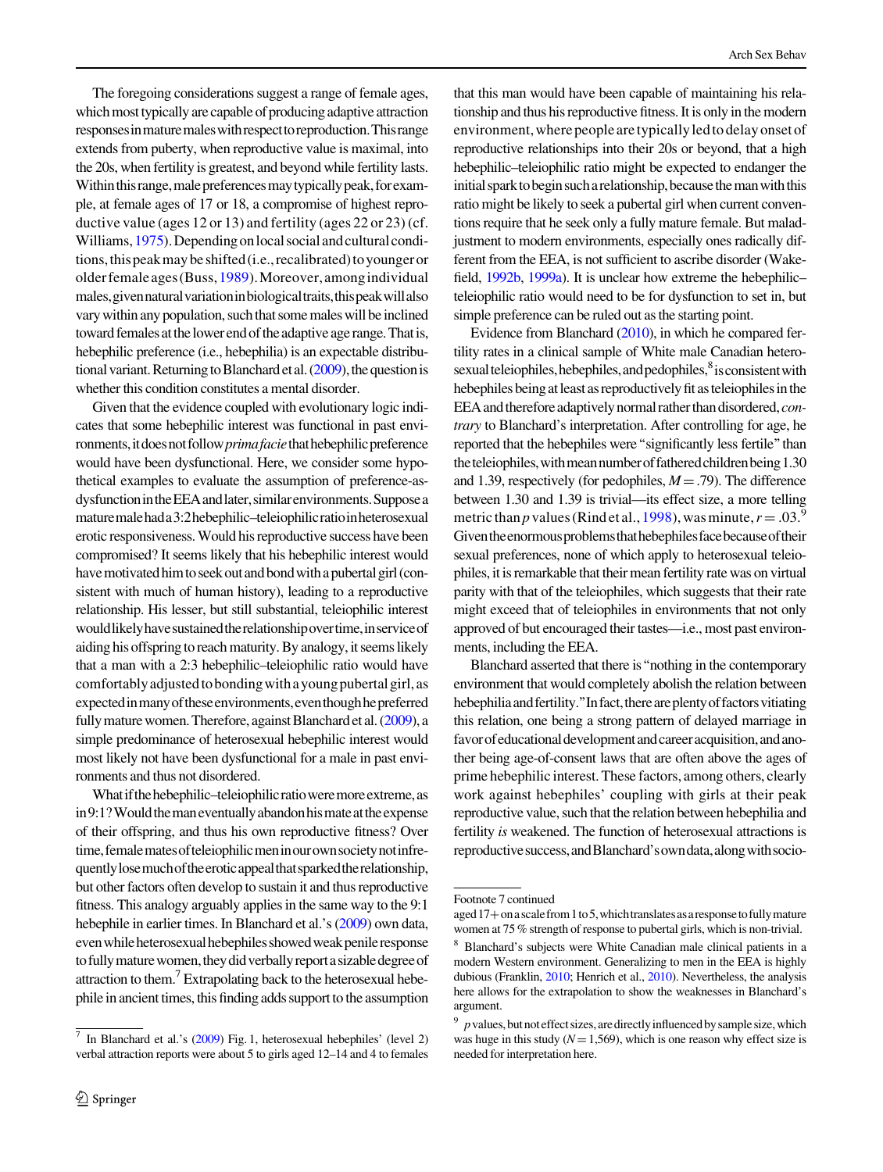The foregoing considerations suggest a range of female ages. which most typically are capable of producing adaptive attraction responsesinmaturemaleswithrespecttoreproduction.Thisrange extends from puberty, when reproductive value is maximal, into the 20s, when fertility is greatest, and beyond while fertility lasts. Within this range, male preferences may typically peak, for example, at female ages of 17 or 18, a compromise of highest reproductive value (ages 12 or 13) and fertility (ages 22 or 23) (cf. Williams, [1975](#page-32-0)). Depending on local social and cultural conditions, this peak may be shifted (i.e., recalibrated) to younger or olderfemaleages(Buss,[1989](#page-28-0)).Moreover,amongindividual males,givennaturalvariationinbiologicaltraits,thispeakwillalso vary within any population, suchthat some males will be inclined toward females at the lower end of the adaptive age range. That is, hebephilic preference (i.e., hebephilia) is an expectable distributional variant. Returning to Blanchard et al.  $(2009)$  $(2009)$ , the question is whether this condition constitutes a mental disorder.

Given that the evidence coupled with evolutionary logic indicates that some hebephilic interest was functional in past environments, it does not follow *prima facie* that hebephilic preference would have been dysfunctional. Here, we consider some hypothetical examples to evaluate the assumption of preference-asdysfunction in the EEA and later, similar environments. Suppose a maturemalehada3:2hebephilic–teleiophilicratioinheterosexual erotic responsiveness. Would hisreproductive success have been compromised? It seems likely that his hebephilic interest would have motivated him to seek out and bond with a pubertal girl (consistent with much of human history), leading to a reproductive relationship. His lesser, but still substantial, teleiophilic interest wouldlikelyhavesustainedtherelationshipovertime,inserviceof aiding his offspring to reach maturity. By analogy, it seems likely that a man with a 2:3 hebephilic–teleiophilic ratio would have comfortablyadjustedtobondingwithayoungpubertalgirl,as expectedinmanyoftheseenvironments,eventhoughhepreferred fully mature women. Therefore, against Blanchard et al. [\(2009\)](#page-28-0), a simple predominance of heterosexual hebephilic interest would most likely not have been dysfunctional for a male in past environments and thus not disordered.

What if the hebephilic–teleiophilic ratio were more extreme, as in 9:1? Would the man eventually abandon his mate at the expense of their offspring, and thus his own reproductive fitness? Over time, female mates of teleiophilic men in our own society not infrequentlylosemuchoftheeroticappealthatsparkedtherelationship, but other factors often develop to sustain it and thus reproductive fitness. This analogy arguably applies in the same way to the 9:1 hebephile in earlier times. In Blanchard et al.'s [\(2009\)](#page-28-0) own data, even while heterosexual hebephiles showed weak penile response to fully mature women, they did verbally report a sizable degree of attraction to them.7 Extrapolating back to the heterosexual hebephile in ancient times, this finding adds support to the assumption

<sup>7</sup> In Blanchard et al.'s [\(2009](#page-28-0)) Fig. 1, heterosexual hebephiles' (level 2) verbal attraction reports were about 5 to girls aged 12–14 and 4 to females

that this man would have been capable of maintaining his relationship and thus his reproductive fitness. It is only in the modern environment, where people are typically led to delay onset of reproductive relationships into their 20s or beyond, that a high hebephilic–teleiophilic ratio might be expected to endanger the initial spark to begin such a relationship, because the man with this ratio might be likely to seek a pubertal girl when current conventions require that he seek only a fully mature female. But maladjustment to modern environments, especially ones radically different from the EEA, is not sufficient to ascribe disorder (Wakefield, [1992b](#page-32-0), [1999a](#page-32-0)). It is unclear how extreme the hebephilic– teleiophilic ratio would need to be for dysfunction to set in, but simple preference can be ruled out as the starting point.

Evidence from Blanchard [\(2010\)](#page-28-0), in which he compared fertility rates in a clinical sample of White male Canadian heterosexual teleiophiles, hebephiles, and pedophiles, <sup>8</sup> is consistent with hebephiles being at least as reproductively fit as teleiophiles in the EEA and therefore adaptively normal rather than disordered, contrary to Blanchard's interpretation. After controlling for age, he reported that the hebephiles were''significantly less fertile''than the teleiophiles, with mean number of fathered children being 1.30 and 1.39, respectively (for pedophiles,  $M = .79$ ). The difference between 1.30 and 1.39 is trivial—its effect size, a more telling metric than p values (Rind et al., [1998\)](#page-31-0), was minute,  $r = .03$ .<sup>9</sup> Giventheenormousproblemsthathebephilesfacebecauseoftheir sexual preferences, none of which apply to heterosexual teleiophiles, it is remarkable that their mean fertility rate was on virtual parity with that of the teleiophiles, which suggests that their rate might exceed that of teleiophiles in environments that not only approved of but encouraged their tastes—i.e., most past environments, including the EEA.

Blanchard asserted that there is''nothing in the contemporary environment that would completely abolish the relation between hebephilia and fertility." In fact, there are plenty of factors vitiating this relation, one being a strong pattern of delayed marriage in favor of educational development and career acquisition, and another being age-of-consent laws that are often above the ages of prime hebephilic interest. These factors, among others, clearly work against hebephiles' coupling with girls at their peak reproductive value, such that the relation between hebephilia and fertility is weakened. The function of heterosexual attractions is reproductivesuccess,andBlanchard'sowndata,alongwithsocio-

Footnote 7 continued

aged 17+ on a scale from 1 to 5, which translates as a response to fully mature women at 75 % strength of response to pubertal girls, which is non-trivial.

<sup>8</sup> Blanchard's subjects were White Canadian male clinical patients in a modern Western environment. Generalizing to men in the EEA is highly dubious (Franklin, [2010](#page-29-0); Henrich et al., [2010](#page-29-0)). Nevertheless, the analysis here allows for the extrapolation to show the weaknesses in Blanchard's argument.

 $p$  values, but not effect sizes, are directly influenced by sample size, which was huge in this study ( $N=1,569$ ), which is one reason why effect size is needed for interpretation here.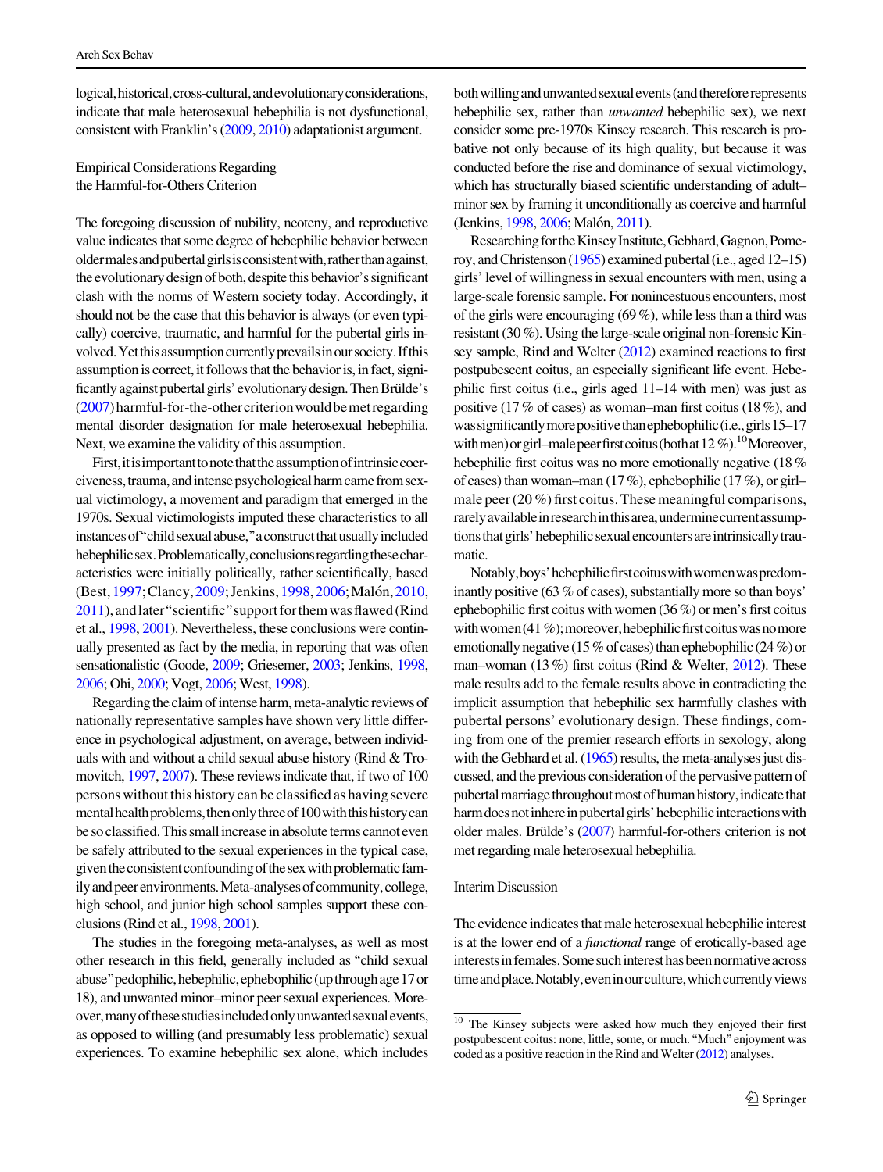logical, historical, cross-cultural, and evolutionary considerations, indicate that male heterosexual hebephilia is not dysfunctional, consistent with Franklin's [\(2009](#page-29-0), [2010](#page-29-0)) adaptationist argument.

Empirical Considerations Regarding the Harmful-for-Others Criterion

The foregoing discussion of nubility, neoteny, and reproductive value indicates that some degree of hebephilic behavior between oldermalesandpubertalgirlsisconsistentwith,ratherthanagainst, the evolutionary design of both, despite this behavior's significant clash with the norms of Western society today. Accordingly, it should not be the case that this behavior is always (or even typically) coercive, traumatic, and harmful for the pubertal girls involved. Yet this assumption currently prevails in our society. If this assumption is correct, it follows that the behavior is, in fact, significantly against pubertal girls' evolutionary design. Then Brülde's [\(2007](#page-28-0))harmful-for-the-othercriterionwouldbemetregarding mental disorder designation for male heterosexual hebephilia. Next, we examine the validity of this assumption.

First, it is important to note that the assumption of intrinsic coerciveness, trauma, and intense psychological harm came from sexual victimology, a movement and paradigm that emerged in the 1970s. Sexual victimologists imputed these characteristics to all instances of "child sexual abuse," a construct that usually included hebephilic sex. Problematically, conclusions regarding these characteristics were initially politically, rather scientifically, based (Best, [1997;](#page-28-0) Clancy, [2009;](#page-28-0) Jenkins, [1998](#page-29-0), [2006;](#page-29-0) Malón, [2010,](#page-30-0) [2011\)](#page-30-0), and later "scientific" support for them was flawed (Rind et al., [1998,](#page-31-0) [2001\)](#page-31-0). Nevertheless, these conclusions were continually presented as fact by the media, in reporting that was often sensationalistic (Goode, [2009](#page-29-0); Griesemer, [2003;](#page-29-0) Jenkins, [1998,](#page-29-0) [2006;](#page-29-0) Ohi, [2000](#page-30-0); Vogt, [2006](#page-32-0); West, [1998\)](#page-32-0).

Regarding the claim of intense harm, meta-analytic reviews of nationally representative samples have shown very little difference in psychological adjustment, on average, between individuals with and without a child sexual abuse history (Rind & Tromovitch, [1997,](#page-31-0) [2007](#page-31-0)). These reviews indicate that, if two of 100 persons without this history can be classified as having severe mental health problems, then only three of 100 with this history can be so classified. This small increase in absolute terms cannot even be safely attributed to the sexual experiences in the typical case, given the consistent confounding of the sex with problematic family and peer environments. Meta-analyses of community, college, high school, and junior high school samples support these conclusions (Rind et al., [1998,](#page-31-0) [2001\)](#page-31-0).

The studies in the foregoing meta-analyses, as well as most other research in this field, generally included as ''child sexual abuse" pedophilic, hebephilic, ephebophilic (up through age 17 or 18), and unwanted minor–minor peer sexual experiences. Moreover, many of these studies included only unwanted sexual events, as opposed to willing (and presumably less problematic) sexual experiences. To examine hebephilic sex alone, which includes both willing and unwanted sexual events (and therefore represents hebephilic sex, rather than unwanted hebephilic sex), we next consider some pre-1970s Kinsey research. This research is probative not only because of its high quality, but because it was conducted before the rise and dominance of sexual victimology, which has structurally biased scientific understanding of adult– minor sex by framing it unconditionally as coercive and harmful (Jenkins, [1998,](#page-29-0) [2006;](#page-29-0) Malón, [2011\)](#page-30-0).

Researching for the Kinsey Institute, Gebhard, Gagnon, Pomeroy, and Christenson ([1965](#page-29-0)) examined pubertal (i.e., aged 12–15) girls' level of willingness in sexual encounters with men, using a large-scale forensic sample. For nonincestuous encounters, most of the girls were encouraging (69 %), while less than a third was resistant (30 %). Using the large-scale original non-forensic Kinsey sample, Rind and Welter [\(2012](#page-31-0)) examined reactions to first postpubescent coitus, an especially significant life event. Hebephilic first coitus (i.e., girls aged 11–14 with men) was just as positive (17 % of cases) as woman–man first coitus (18 %), and was significantly more positive than ephebophilic (i.e., girls 15–17 with men) or girl–male peer first coitus (both at  $12\%$ ).<sup>10</sup>Moreover, hebephilic first coitus was no more emotionally negative (18 % of cases) than woman–man (17 %), ephebophilic (17 %), or girl– male peer (20 %) first coitus. These meaningful comparisons, rarely available in research in this area, undermine current assumptions that girls' hebephilic sexual encounters are intrinsically traumatic.

Notably, boys' hebephilic first coitus with women was predominantly positive  $(63\% \text{ of cases})$ , substantially more so than boys' ephebophilic first coitus with women (36 %) or men's first coitus with women (41 %); moreover, hebephilic first coitus was no more emotionally negative (15 % of cases) than ephebophilic (24 %) or man–woman (13 %) first coitus (Rind & Welter, [2012](#page-31-0)). These male results add to the female results above in contradicting the implicit assumption that hebephilic sex harmfully clashes with pubertal persons' evolutionary design. These findings, coming from one of the premier research efforts in sexology, along with the Gebhard et al. [\(1965\)](#page-29-0) results, the meta-analyses just discussed, and the previous consideration of the pervasive pattern of pubertal marriage throughout most of human history, indicate that harm does not inhere in pubertal girls' hebephilic interactions with older males. Brülde's [\(2007](#page-28-0)) harmful-for-others criterion is not met regarding male heterosexual hebephilia.

# Interim Discussion

The evidence indicates that male heterosexual hebephilic interest is at the lower end of a functional range of erotically-based age interests in females. Some such interest has been normative across timeandplace.Notably,eveninourculture,whichcurrentlyviews

<sup>&</sup>lt;sup>10</sup> The Kinsey subjects were asked how much they enjoyed their first postpubescent coitus: none, little, some, or much.''Much''enjoyment was coded as a positive reaction in the Rind and Welter [\(2012\)](#page-31-0) analyses.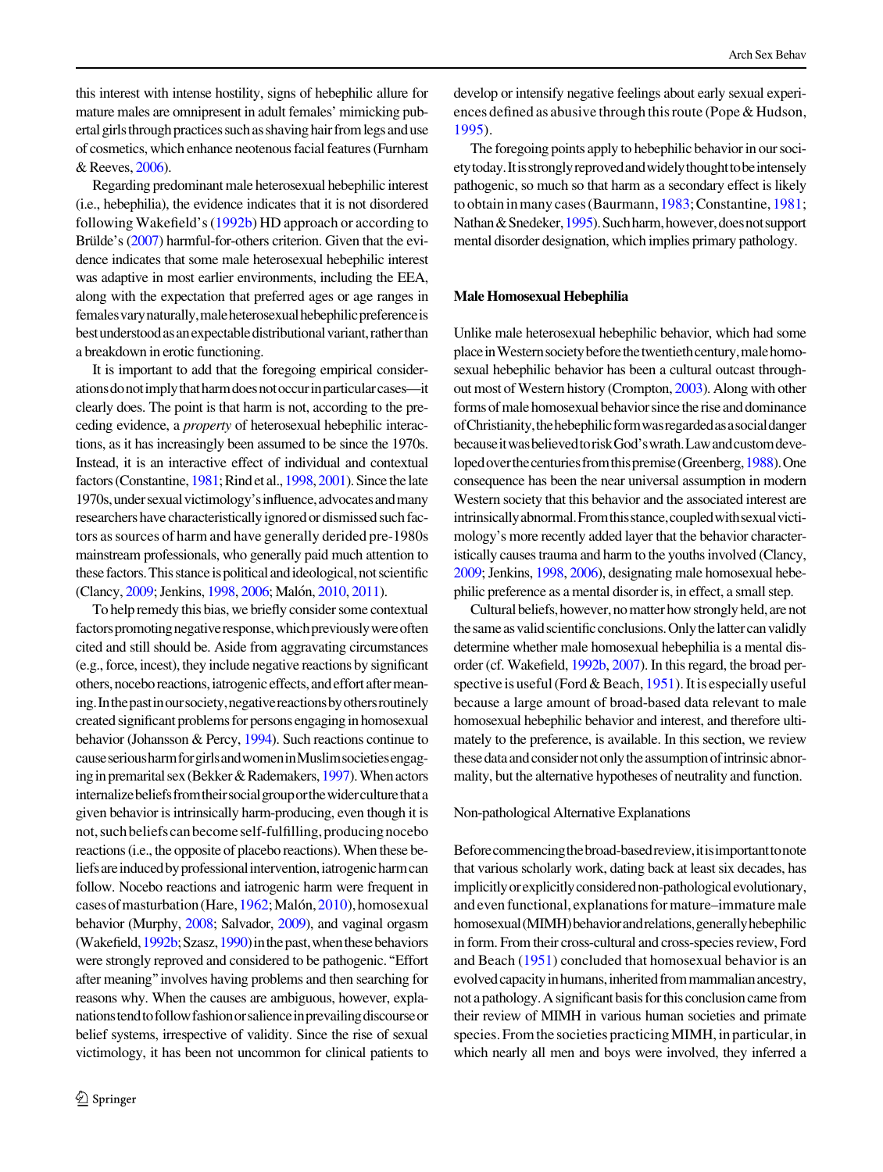this interest with intense hostility, signs of hebephilic allure for mature males are omnipresent in adult females' mimicking pubertal girls through practices such as shaving hair from legs and use of cosmetics, which enhance neotenous facial features (Furnham & Reeves, [2006](#page-29-0)).

Regarding predominant male heterosexual hebephilic interest (i.e., hebephilia), the evidence indicates that it is not disordered following Wakefield's [\(1992b](#page-32-0)) HD approach or according to Brülde's [\(2007](#page-28-0)) harmful-for-others criterion. Given that the evidence indicates that some male heterosexual hebephilic interest was adaptive in most earlier environments, including the EEA, along with the expectation that preferred ages or age ranges in females vary naturally, male heterosexual hebephilic preference is best understood as an expectable distributional variant, rather than a breakdown in erotic functioning.

It is important to add that the foregoing empirical considerationsdonotimplythatharmdoesnotoccurinparticularcases—it clearly does. The point is that harm is not, according to the preceding evidence, a property of heterosexual hebephilic interactions, as it has increasingly been assumed to be since the 1970s. Instead, it is an interactive effect of individual and contextual factors (Constantine, [1981;](#page-28-0) Rind et al., [1998](#page-31-0), [2001\)](#page-31-0). Since the late 1970s, under sexual victimology's influence, advocates and many researchers have characteristically ignored or dismissed such factors as sources of harm and have generally derided pre-1980s mainstream professionals, who generally paid much attention to these factors. This stance is political and ideological, not scientific (Clancy, [2009;](#page-28-0) Jenkins, [1998,](#page-29-0) [2006](#page-29-0); Malón, [2010](#page-30-0), [2011](#page-30-0)).

To help remedy this bias, we briefly consider some contextual factors promoting negative response, which previously were often cited and still should be. Aside from aggravating circumstances (e.g., force, incest), they include negative reactions by significant others, nocebo reactions, iatrogenic effects, and effort after meaning.Inthepastinoursociety,negativereactionsbyothersroutinely created significant problems for persons engaging in homosexual behavior (Johansson & Percy, [1994](#page-29-0)). Such reactions continue to causeseriousharmforgirlsandwomeninMuslimsocietiesengaging in premarital sex (Bekker & Rademakers,  $1997$ ). When actors internalize beliefs from their social group or the wider culture that a given behavior is intrinsically harm-producing, even though it is not,suchbeliefscanbecomeself-fulfilling,producingnocebo reactions (i.e., the opposite of placebo reactions). When these beliefs are induced by professional intervention, iatrogenic harm can follow. Nocebo reactions and iatrogenic harm were frequent in cases of masturbation (Hare, [1962](#page-29-0); Malón, [2010](#page-30-0)), homosexual behavior (Murphy, [2008;](#page-30-0) Salvador, [2009](#page-31-0)), and vaginal orgasm (Wakefield, [1992b;](#page-32-0) Szasz, [1990\)](#page-32-0) in the past, when these behaviors were strongly reproved and considered to be pathogenic.''Effort after meaning''involves having problems and then searching for reasons why. When the causes are ambiguous, however, explanationstendtofollowfashionorsalienceinprevailingdiscourseor belief systems, irrespective of validity. Since the rise of sexual victimology, it has been not uncommon for clinical patients to develop or intensify negative feelings about early sexual experiences defined as abusive through this route (Pope & Hudson, [1995](#page-30-0)).

The foregoing points apply to hebephilic behavior in our societytoday.Itisstronglyreprovedandwidelythoughttobeintensely pathogenic, so much so that harm as a secondary effect is likely to obtain in many cases (Baurmann, [1983;](#page-28-0) Constantine, [1981](#page-28-0); Nathan & Snedeker, [1995](#page-30-0)). Such harm, however, does not support mental disorder designation, which implies primary pathology.

### Male Homosexual Hebephilia

Unlike male heterosexual hebephilic behavior, which had some place in Western society before the twentieth century, male homosexual hebephilic behavior has been a cultural outcast throughout most of Western history (Crompton, [2003](#page-28-0)). Along with other forms of male homosexual behavior since the rise and dominance ofChristianity,thehebephilicformwasregardedasasocialdanger becauseitwasbelievedtoriskGod'swrath.Lawandcustomdeve-loped over the centuries from this premise (Greenberg, [1988\)](#page-29-0). One consequence has been the near universal assumption in modern Western society that this behavior and the associated interest are intrinsically abnormal. From this stance, coupled with sexual victimology's more recently added layer that the behavior characteristically causes trauma and harm to the youths involved (Clancy, [2009;](#page-28-0) Jenkins, [1998](#page-29-0), [2006](#page-29-0)), designating male homosexual hebephilic preference as a mental disorder is, in effect, a small step.

Cultural beliefs, however, no matter how strongly held, are not the same as valid scientific conclusions. Only the latter can validly determine whether male homosexual hebephilia is a mental disorder (cf. Wakefield, [1992b,](#page-32-0) [2007\)](#page-32-0). In this regard, the broad per-spective is useful (Ford & Beach, [1951\)](#page-29-0). It is especially useful because a large amount of broad-based data relevant to male homosexual hebephilic behavior and interest, and therefore ultimately to the preference, is available. In this section, we review these data and consider not only the assumption of intrinsic abnormality, but the alternative hypotheses of neutrality and function.

#### Non-pathological Alternative Explanations

Beforecommencingthebroad-basedreview,itisimportanttonote that various scholarly work, dating back at least six decades, has implicitly or explicitly considered non-pathological evolutionary, and even functional, explanations for mature–immature male homosexual (MIMH) behavior and relations, generally hebephilic in form. From their cross-cultural and cross-species review, Ford and Beach [\(1951\)](#page-29-0) concluded that homosexual behavior is an evolved capacity in humans, inherited from mammalian ancestry, nota pathology. A significant basis for this conclusion came from their review of MIMH in various human societies and primate species. From the societies practicing MIMH, in particular, in which nearly all men and boys were involved, they inferred a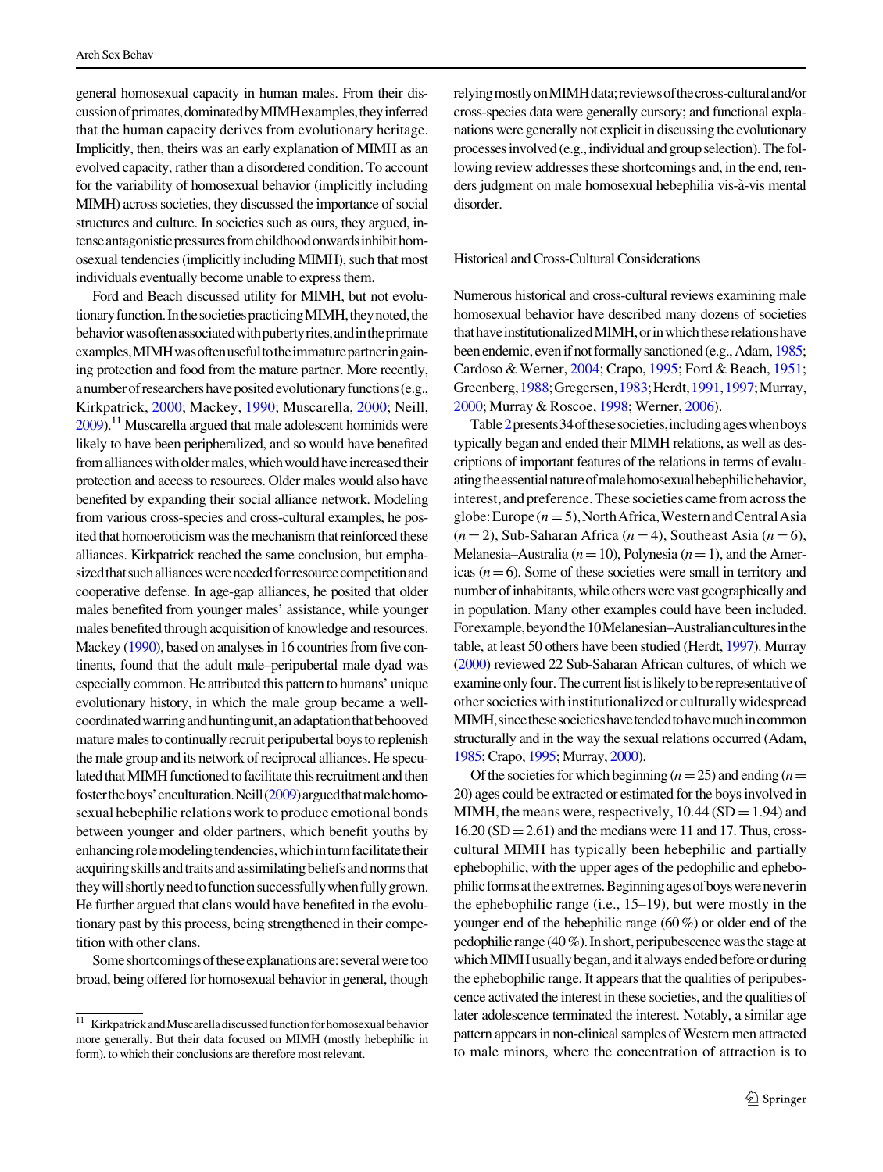general homosexual capacity in human males. From their discussion of primates, dominated by MIMH examples, they inferred that the human capacity derives from evolutionary heritage. Implicitly, then, theirs was an early explanation of MIMH as an evolved capacity, rather than a disordered condition. To account for the variability of homosexual behavior (implicitly including MIMH) across societies, they discussed the importance of social structures and culture. In societies such as ours, they argued, intense antagonistic pressures from childhood onwards inhibit homosexual tendencies (implicitly including MIMH), such that most individuals eventually become unable to express them.

Ford and Beach discussed utility for MIMH, but not evolutionary function. In the societies practicing MIMH, they noted, the behavior was often associated with puberty rites, and in the primate examples,MIMHwasoftenusefultotheimmaturepartneringaining protection and food from the mature partner. More recently, a number of researchers have posited evolutionary functions (e.g., Kirkpatrick, [2000;](#page-30-0) Mackey, [1990;](#page-30-0) Muscarella, [2000](#page-30-0); Neill,  $2009$ .<sup>11</sup> Muscarella argued that male adolescent hominids were likely to have been peripheralized, and so would have benefited from alliances with older males, which would have increased their protection and access to resources. Older males would also have benefited by expanding their social alliance network. Modeling from various cross-species and cross-cultural examples, he posited that homoeroticism was the mechanism that reinforced these alliances. Kirkpatrick reached the same conclusion, but emphasized that such alliances were needed for resource competition and cooperative defense. In age-gap alliances, he posited that older males benefited from younger males' assistance, while younger males benefited through acquisition of knowledge and resources. Mackey [\(1990](#page-30-0)), based on analyses in 16 countries from five continents, found that the adult male–peripubertal male dyad was especially common. He attributed this pattern to humans' unique evolutionary history, in which the male group became a wellcoordinatedwarringandhuntingunit,anadaptationthatbehooved mature males to continually recruit peripubertal boys to replenish the male group and its network of reciprocal alliances. He speculated that MIMH functioned to facilitate this recruitment and then fostertheboys' enculturation. Neill [\(2009\)](#page-30-0) argued that male homosexual hebephilic relations work to produce emotional bonds between younger and older partners, which benefit youths by enhancingrolemodelingtendencies,whichinturnfacilitatetheir acquiring skills and traits and assimilating beliefs and norms that they will shortly need to function successfully when fully grown. He further argued that clans would have benefited in the evolutionary past by this process, being strengthened in their competition with other clans.

Some shortcomings of these explanations are: several were too broad, being offered for homosexual behavior in general, though

relyingmostlyonMIMHdata;reviewsofthecross-culturaland/or cross-species data were generally cursory; and functional explanations were generally not explicit in discussing the evolutionary processes involved (e.g., individual and group selection). The following review addresses these shortcomings and, in the end, renders judgment on male homosexual hebephilia vis-à-vis mental disorder.

## Historical and Cross-Cultural Considerations

Numerous historical and cross-cultural reviews examining male homosexual behavior have described many dozens of societies that have institutionalized MIMH, or in which these relations have been endemic, even if not formally sanctioned (e.g., Adam, [1985](#page-27-0); Cardoso & Werner, [2004;](#page-28-0) Crapo, [1995;](#page-28-0) Ford & Beach, [1951](#page-29-0); Greenberg,[1988](#page-29-0);Gregersen,[1983](#page-29-0);Herdt,[1991,1997;](#page-29-0)Murray, [2000;](#page-30-0) Murray & Roscoe, [1998;](#page-30-0) Werner, [2006\)](#page-32-0).

Table [2](#page-14-0)presents34ofthesesocieties,includingageswhenboys typically began and ended their MIMH relations, as well as descriptions of important features of the relations in terms of evaluatingtheessentialnatureofmalehomosexualhebephilicbehavior, interest,and preference. These societies came from across the globe: Europe  $(n = 5)$ , North Africa, Western and Central Asia  $(n=2)$ , Sub-Saharan Africa  $(n=4)$ , Southeast Asia  $(n=6)$ , Melanesia–Australia ( $n=10$ ), Polynesia ( $n=1$ ), and the Americas  $(n=6)$ . Some of these societies were small in territory and number of inhabitants, while others were vast geographically and in population. Many other examples could have been included. Forexample, beyond the 10 Melanesian–Australian cultures in the table, at least 50 others have been studied (Herdt, [1997](#page-29-0)). Murray [\(2000\)](#page-30-0) reviewed 22 Sub-Saharan African cultures, of which we examine only four. The current list is likely to be representative of other societies with institutionalized or culturally widespread MIMH,sincethesesocietieshavetendedtohavemuchincommon structurally and in the way the sexual relations occurred (Adam, [1985;](#page-27-0) Crapo, [1995](#page-28-0); Murray, [2000\)](#page-30-0).

Of the societies for which beginning ( $n=25$ ) and ending ( $n=$ 20) ages could be extracted or estimated for the boys involved in MIMH, the means were, respectively,  $10.44$  (SD = 1.94) and  $16.20$  (SD = 2.61) and the medians were 11 and 17. Thus, crosscultural MIMH has typically been hebephilic and partially ephebophilic, with the upper ages of the pedophilic and ephebophilic forms at the extremes. Beginning ages of boys were never in the ephebophilic range (i.e., 15–19), but were mostly in the younger end of the hebephilic range (60 %) or older end of the pedophilic range  $(40 \%)$ . In short, peripubescence was the stage at which MIMH usually began, and it always ended before or during the ephebophilic range. It appears that the qualities of peripubescence activated the interest in these societies, and the qualities of later adolescence terminated the interest. Notably, a similar age pattern appears in non-clinical samples of Western men attracted to male minors, where the concentration of attraction is to

 $^{11}\,$ Kirkpatrick and Muscarella discussed function for homosexual behavior more generally. But their data focused on MIMH (mostly hebephilic in form), to which their conclusions are therefore most relevant.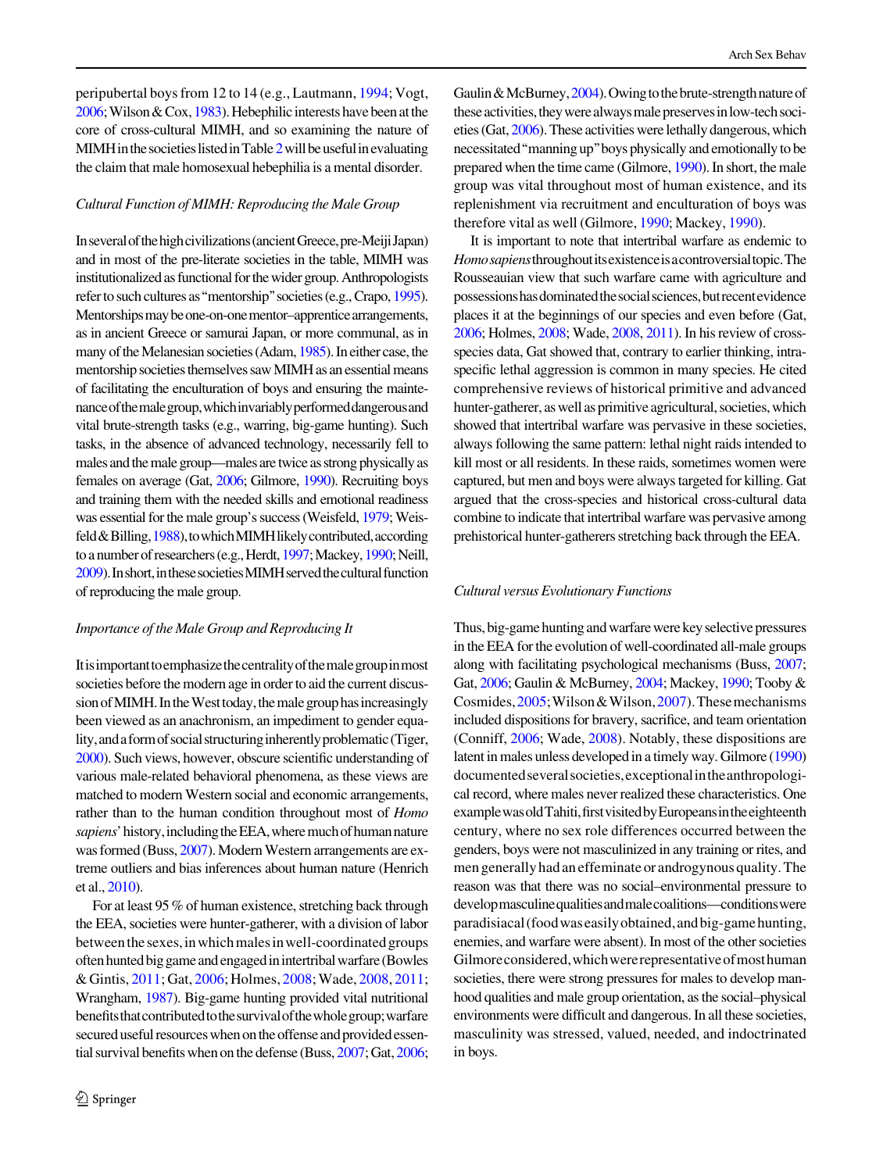peripubertal boys from 12 to 14 (e.g., Lautmann, [1994](#page-30-0); Vogt, [2006;](#page-32-0) Wilson & Cox, [1983\)](#page-32-0). Hebephilic interests have been at the core of cross-cultural MIMH, and so examining the nature of MIMH in the societies listed in Table  $2$  will be useful in evaluating the claim that male homosexual hebephilia is a mental disorder.

# Cultural Function of MIMH: Reproducing the Male Group

Inseveralofthehighcivilizations(ancientGreece,pre-MeijiJapan) and in most of the pre-literate societies in the table, MIMH was institutionalized as functional forthe widergroup. Anthropologists refer to such cultures as''mentorship''societies (e.g., Crapo, [1995\)](#page-28-0). Mentorships may be one-on-one mentor-apprentice arrangements, as in ancient Greece or samurai Japan, or more communal, as in many of the Melanesian societies (Adam, [1985\)](#page-27-0). In either case, the mentorship societies themselves saw MIMH as an essential means of facilitating the enculturation of boys and ensuring the maintenanceofthemalegroup,whichinvariablyperformeddangerousand vital brute-strength tasks (e.g., warring, big-game hunting). Such tasks, in the absence of advanced technology, necessarily fell to males and the male group—males are twice as strong physically as females on average (Gat, [2006](#page-29-0); Gilmore, [1990\)](#page-29-0). Recruiting boys and training them with the needed skills and emotional readiness was essential for the male group's success (Weisfeld, [1979](#page-32-0); Weisfeld & Billing,  $1988$ ), to which MIMH likely contributed, according to a number of researchers (e.g., Herdt, [1997;](#page-29-0) Mackey, [1990;](#page-30-0) Neill, [2009](#page-30-0)). In short, in these societies MIMH served the cultural function of reproducing the male group.

### Importance of the Male Group and Reproducing It

Itisimportanttoemphasizethecentralityofthemalegroupinmost societies before the modern age in order to aid the current discussion of MIMH. In the West today, the male group has increasingly been viewed as an anachronism, an impediment to gender equality, and a form of social structuring inherently problematic (Tiger, [2000\)](#page-32-0). Such views, however, obscure scientific understanding of various male-related behavioral phenomena, as these views are matched to modern Western social and economic arrangements, rather than to the human condition throughout most of *Homo* sapiens' history, including the EEA, where much of human nature was formed (Buss, [2007](#page-28-0)). Modern Western arrangements are extreme outliers and bias inferences about human nature (Henrich et al., [2010](#page-29-0)).

For at least 95 % of human existence, stretching back through the EEA, societies were hunter-gatherer, with a division of labor between the sexes, in which males in well-coordinated groups oftenhuntedbiggameandengagedinintertribalwarfare(Bowles & Gintis, [2011;](#page-28-0) Gat, [2006](#page-29-0); Holmes, [2008;](#page-29-0) Wade, [2008](#page-32-0), [2011](#page-32-0); Wrangham, [1987\)](#page-32-0). Big-game hunting provided vital nutritional benefits that contributed to the survival of the whole group; warfare secured useful resources when on the offense and provided essential survival benefits when on the defense (Buss, [2007](#page-28-0); Gat, [2006](#page-29-0); Gaulin & McBurney, [2004](#page-29-0)). Owing to the brute-strength nature of these activities, they were always male preserves in low-tech societies (Gat, [2006\)](#page-29-0). These activities were lethally dangerous, which necessitated''manning up''boys physically and emotionally to be prepared when the time came (Gilmore, [1990](#page-29-0)). In short, the male group was vital throughout most of human existence, and its replenishment via recruitment and enculturation of boys was therefore vital as well (Gilmore, [1990](#page-29-0); Mackey, [1990](#page-30-0)).

It is important to note that intertribal warfare as endemic to Homosapiensthroughoutitsexistenceisacontroversialtopic.The Rousseauian view that such warfare came with agriculture and possessionshasdominatedthesocialsciences,butrecentevidence places it at the beginnings of our species and even before (Gat, [2006;](#page-29-0) Holmes, [2008;](#page-29-0) Wade, [2008,](#page-32-0) [2011\)](#page-32-0). In his review of crossspecies data, Gat showed that, contrary to earlier thinking, intraspecific lethal aggression is common in many species. He cited comprehensive reviews of historical primitive and advanced hunter-gatherer, as well as primitive agricultural, societies, which showed that intertribal warfare was pervasive in these societies, always following the same pattern: lethal night raids intended to kill most or all residents. In these raids, sometimes women were captured, but men and boys were always targeted for killing. Gat argued that the cross-species and historical cross-cultural data combine to indicate that intertribal warfare was pervasive among prehistorical hunter-gatherers stretching back through the EEA.

### Cultural versus Evolutionary Functions

Thus, big-game hunting and warfare were key selective pressures in the EEA for the evolution of well-coordinated all-male groups along with facilitating psychological mechanisms (Buss, [2007](#page-28-0); Gat, [2006;](#page-29-0) Gaulin & McBurney, [2004](#page-29-0); Mackey, [1990](#page-30-0); Tooby & Cosmides,[2005;](#page-32-0)Wilson&Wilson,[2007](#page-32-0)).Thesemechanisms included dispositions for bravery, sacrifice, and team orientation (Conniff, [2006](#page-28-0); Wade, [2008\)](#page-32-0). Notably, these dispositions are latent in males unless developed in a timely way. Gilmore [\(1990\)](#page-29-0) documentedseveralsocieties,exceptionalintheanthropological record, where males never realized these characteristics. One example was old Tahiti, first visited by Europeans in the eighteenth century, where no sex role differences occurred between the genders, boys were not masculinized in any training or rites, and men generally had an effeminate or androgynous quality. The reason was that there was no social–environmental pressure to developmasculinequalitiesandmalecoalitions—conditionswere paradisiacal(foodwaseasilyobtained,andbig-gamehunting, enemies, and warfare were absent). In most of the other societies Gilmoreconsidered,whichwererepresentativeofmosthuman societies, there were strong pressures for males to develop manhood qualities and male group orientation, as the social–physical environments were difficult and dangerous. In all these societies, masculinity was stressed, valued, needed, and indoctrinated in boys.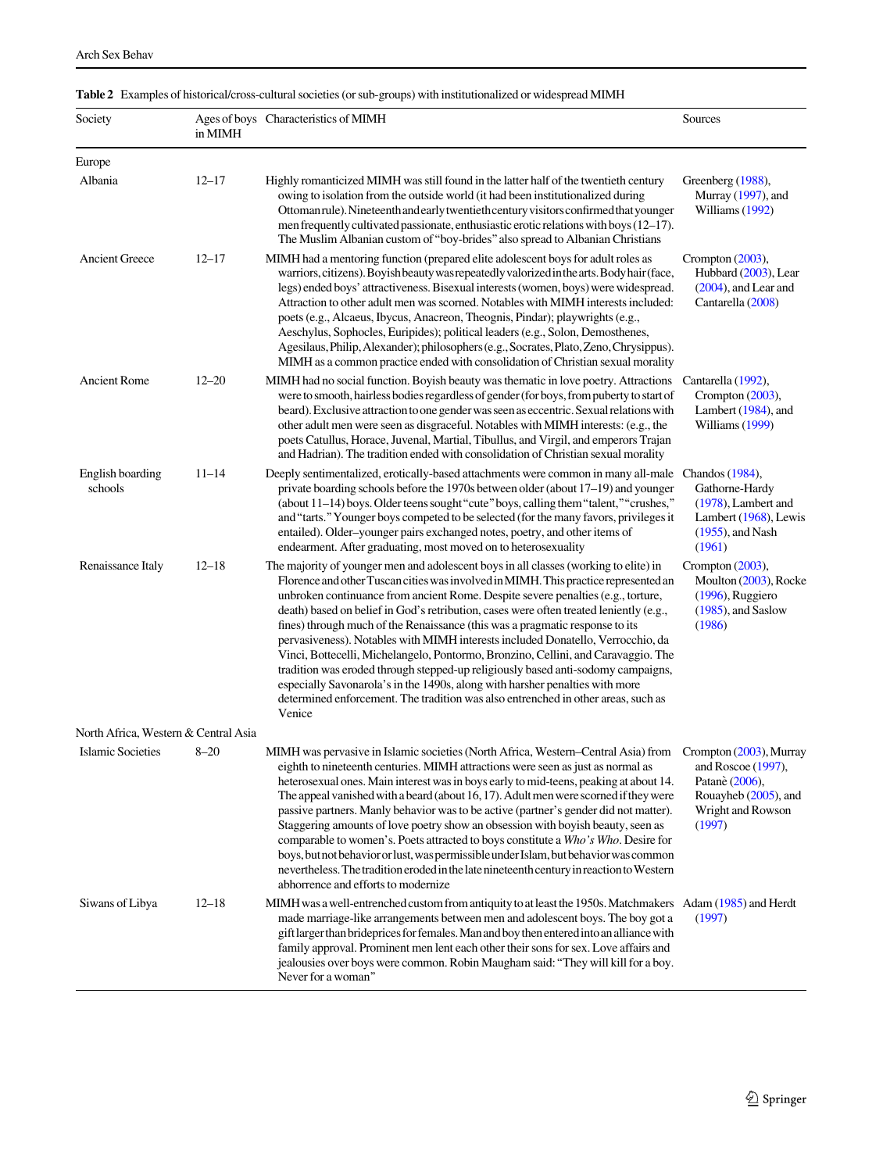# <span id="page-14-0"></span>Table 2 Examples of historical/cross-cultural societies (or sub-groups) with institutionalized or widespread MIMH

| Society                              | in MIMH   | Ages of boys Characteristics of MIMH                                                                                                                                                                                                                                                                                                                                                                                                                                                                                                                                                                                                                                                                                                                                                                                                                                                 | Sources                                                                                                                |
|--------------------------------------|-----------|--------------------------------------------------------------------------------------------------------------------------------------------------------------------------------------------------------------------------------------------------------------------------------------------------------------------------------------------------------------------------------------------------------------------------------------------------------------------------------------------------------------------------------------------------------------------------------------------------------------------------------------------------------------------------------------------------------------------------------------------------------------------------------------------------------------------------------------------------------------------------------------|------------------------------------------------------------------------------------------------------------------------|
| Europe                               |           |                                                                                                                                                                                                                                                                                                                                                                                                                                                                                                                                                                                                                                                                                                                                                                                                                                                                                      |                                                                                                                        |
| Albania                              | $12 - 17$ | Highly romanticized MIMH was still found in the latter half of the twentieth century<br>owing to isolation from the outside world (it had been institutionalized during<br>Ottoman rule). Nineteenth and early twentieth century visitors confirmed that younger<br>men frequently cultivated passionate, enthusiastic erotic relations with boys (12–17).<br>The Muslim Albanian custom of "boy-brides" also spread to Albanian Christians                                                                                                                                                                                                                                                                                                                                                                                                                                          | Greenberg (1988),<br>Murray (1997), and<br>Williams (1992)                                                             |
| <b>Ancient Greece</b>                | $12 - 17$ | MIMH had a mentoring function (prepared elite adolescent boys for adult roles as<br>warriors, citizens). Boyish beauty was repeatedly valorized in the arts. Body hair (face,<br>legs) ended boys' attractiveness. Bisexual interests (women, boys) were widespread.<br>Attraction to other adult men was scorned. Notables with MIMH interests included:<br>poets (e.g., Alcaeus, Ibycus, Anacreon, Theognis, Pindar); playwrights (e.g.,<br>Aeschylus, Sophocles, Euripides); political leaders (e.g., Solon, Demosthenes,<br>Agesilaus, Philip, Alexander); philosophers (e.g., Socrates, Plato, Zeno, Chrysippus).<br>MIMH as a common practice ended with consolidation of Christian sexual morality                                                                                                                                                                            | Crompton $(2003)$ ,<br>Hubbard (2003), Lear<br>$(2004)$ , and Lear and<br>Cantarella (2008)                            |
| <b>Ancient Rome</b>                  | $12 - 20$ | MIMH had no social function. Boyish beauty was thematic in love poetry. Attractions<br>were to smooth, hairless bodies regardless of gender (for boys, from puberty to start of<br>beard). Exclusive attraction to one gender was seen as eccentric. Sexual relations with<br>other adult men were seen as disgraceful. Notables with MIMH interests: (e.g., the<br>poets Catullus, Horace, Juvenal, Martial, Tibullus, and Virgil, and emperors Trajan<br>and Hadrian). The tradition ended with consolidation of Christian sexual morality                                                                                                                                                                                                                                                                                                                                         | Cantarella (1992),<br>Crompton $(2003)$ ,<br>Lambert (1984), and<br>Williams (1999)                                    |
| English boarding<br>schools          | $11 - 14$ | Deeply sentimentalized, erotically-based attachments were common in many all-male<br>private boarding schools before the 1970s between older (about 17–19) and younger<br>(about 11-14) boys. Older teens sought "cute" boys, calling them "talent," "crushes,"<br>and "tarts." Younger boys competed to be selected (for the many favors, privileges it<br>entailed). Older-younger pairs exchanged notes, poetry, and other items of<br>endearment. After graduating, most moved on to heterosexuality                                                                                                                                                                                                                                                                                                                                                                             | Chandos (1984),<br>Gathorne-Hardy<br>$(1978)$ , Lambert and<br>Lambert (1968), Lewis<br>$(1955)$ , and Nash<br>(1961)  |
| Renaissance Italy                    | $12 - 18$ | The majority of younger men and adolescent boys in all classes (working to elite) in<br>Florence and other Tuscan cities was involved in MIMH. This practice represented an<br>unbroken continuance from ancient Rome. Despite severe penalties (e.g., torture,<br>death) based on belief in God's retribution, cases were often treated leniently (e.g.,<br>fines) through much of the Renaissance (this was a pragmatic response to its<br>pervasiveness). Notables with MIMH interests included Donatello, Verrocchio, da<br>Vinci, Bottecelli, Michelangelo, Pontormo, Bronzino, Cellini, and Caravaggio. The<br>tradition was eroded through stepped-up religiously based anti-sodomy campaigns,<br>especially Savonarola's in the 1490s, along with harsher penalties with more<br>determined enforcement. The tradition was also entrenched in other areas, such as<br>Venice | Crompton $(2003)$ ,<br>Moulton (2003), Rocke<br>$(1996)$ , Ruggiero<br>$(1985)$ , and Saslow<br>(1986)                 |
| North Africa, Western & Central Asia |           |                                                                                                                                                                                                                                                                                                                                                                                                                                                                                                                                                                                                                                                                                                                                                                                                                                                                                      |                                                                                                                        |
| Islamic Societies                    | $8 - 20$  | MIMH was pervasive in Islamic societies (North Africa, Western–Central Asia) from<br>eighth to nineteenth centuries. MIMH attractions were seen as just as normal as<br>heterosexual ones. Main interest was in boys early to mid-teens, peaking at about 14.<br>The appeal vanished with a beard (about 16, 17). Adult men were scorned if they were<br>passive partners. Manly behavior was to be active (partner's gender did not matter).<br>Staggering amounts of love poetry show an obsession with boyish beauty, seen as<br>comparable to women's. Poets attracted to boys constitute a Who's Who. Desire for<br>boys, but not behavior or lust, was permissible under Islam, but behavior was common<br>nevertheless. The tradition eroded in the late nineteenth century in reaction to Western<br>abhorrence and efforts to modernize                                     | Crompton (2003), Murray<br>and Roscoe (1997).<br>Patanè (2006),<br>Rouayheb (2005), and<br>Wright and Rowson<br>(1997) |
| Siwans of Libya                      | $12 - 18$ | MIMH was a well-entrenched custom from antiquity to at least the 1950s. Matchmakers Adam (1985) and Herdt<br>made marriage-like arrangements between men and adolescent boys. The boy got a<br>gift larger than brideprices for females. Man and boy then entered into an alliance with<br>family approval. Prominent men lent each other their sons for sex. Love affairs and<br>jealousies over boys were common. Robin Maugham said: "They will kill for a boy.<br>Never for a woman"                                                                                                                                                                                                                                                                                                                                                                                             | (1997)                                                                                                                 |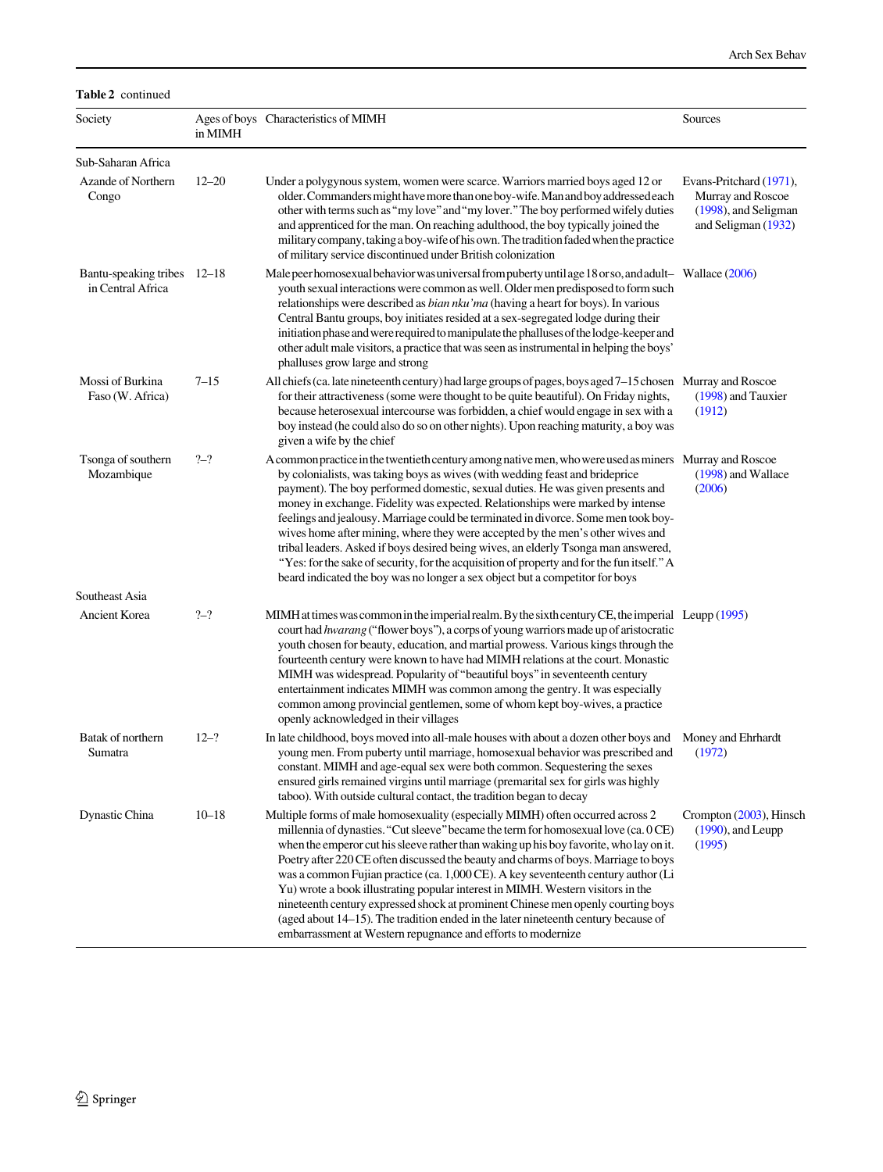Table 2 continued

| Society                                          | in MIMH   | Ages of boys Characteristics of MIMH                                                                                                                                                                                                                                                                                                                                                                                                                                                                                                                                                                                                                                                                                                                                                                   | Sources                                                                                        |
|--------------------------------------------------|-----------|--------------------------------------------------------------------------------------------------------------------------------------------------------------------------------------------------------------------------------------------------------------------------------------------------------------------------------------------------------------------------------------------------------------------------------------------------------------------------------------------------------------------------------------------------------------------------------------------------------------------------------------------------------------------------------------------------------------------------------------------------------------------------------------------------------|------------------------------------------------------------------------------------------------|
| Sub-Saharan Africa                               |           |                                                                                                                                                                                                                                                                                                                                                                                                                                                                                                                                                                                                                                                                                                                                                                                                        |                                                                                                |
| Azande of Northern<br>Congo                      | $12 - 20$ | Under a polygynous system, women were scarce. Warriors married boys aged 12 or<br>older. Commanders might have more than one boy-wife. Man and boy addressed each<br>other with terms such as "my love" and "my lover." The boy performed wifely duties<br>and apprenticed for the man. On reaching adulthood, the boy typically joined the<br>military company, taking a boy-wife of his own. The tradition faded when the practice<br>of military service discontinued under British colonization                                                                                                                                                                                                                                                                                                    | Evans-Pritchard (1971),<br>Murray and Roscoe<br>$(1998)$ , and Seligman<br>and Seligman (1932) |
| Bantu-speaking tribes 12-18<br>in Central Africa |           | Male peer homosexual behavior was universal from puberty until age 18 or so, and adult- Wallace (2006)<br>youth sexual interactions were common as well. Older men predisposed to form such<br>relationships were described as <i>bian nku'ma</i> (having a heart for boys). In various<br>Central Bantu groups, boy initiates resided at a sex-segregated lodge during their<br>initiation phase and were required to manipulate the phalluses of the lodge-keeper and<br>other adult male visitors, a practice that was seen as instrumental in helping the boys'<br>phalluses grow large and strong                                                                                                                                                                                                 |                                                                                                |
| Mossi of Burkina<br>Faso (W. Africa)             | $7 - 15$  | All chiefs (ca. late nineteenth century) had large groups of pages, boys aged 7–15 chosen Murray and Roscoe<br>for their attractiveness (some were thought to be quite beautiful). On Friday nights,<br>because heterosexual intercourse was forbidden, a chief would engage in sex with a<br>boy instead (he could also do so on other nights). Upon reaching maturity, a boy was<br>given a wife by the chief                                                                                                                                                                                                                                                                                                                                                                                        | (1998) and Tauxier<br>(1912)                                                                   |
| Tsonga of southern<br>Mozambique                 | $2 - 2$   | A common practice in the twentieth century among native men, who were used as miners Murray and Roscoe<br>by colonialists, was taking boys as wives (with wedding feast and brideprice<br>payment). The boy performed domestic, sexual duties. He was given presents and<br>money in exchange. Fidelity was expected. Relationships were marked by intense<br>feelings and jealousy. Marriage could be terminated in divorce. Some men took boy-<br>wives home after mining, where they were accepted by the men's other wives and<br>tribal leaders. Asked if boys desired being wives, an elderly Tsonga man answered,<br>"Yes: for the sake of security, for the acquisition of property and for the fun itself." A<br>beard indicated the boy was no longer a sex object but a competitor for boys | $(1998)$ and Wallace<br>(2006)                                                                 |
| Southeast Asia                                   |           |                                                                                                                                                                                                                                                                                                                                                                                                                                                                                                                                                                                                                                                                                                                                                                                                        |                                                                                                |
| Ancient Korea                                    | $2 - 2$   | MIMH at times was common in the imperial realm. By the sixth century CE, the imperial Leupp (1995)<br>court had hwarang ("flower boys"), a corps of young warriors made up of aristocratic<br>youth chosen for beauty, education, and martial prowess. Various kings through the<br>fourteenth century were known to have had MIMH relations at the court. Monastic<br>MIMH was widespread. Popularity of "beautiful boys" in seventeenth century<br>entertainment indicates MIMH was common among the gentry. It was especially<br>common among provincial gentlemen, some of whom kept boy-wives, a practice<br>openly acknowledged in their villages                                                                                                                                                |                                                                                                |
| Batak of northern<br>Sumatra                     | $12-?$    | In late childhood, boys moved into all-male houses with about a dozen other boys and<br>young men. From puberty until marriage, homosexual behavior was prescribed and<br>constant. MIMH and age-equal sex were both common. Sequestering the sexes<br>ensured girls remained virgins until marriage (premarital sex for girls was highly<br>taboo). With outside cultural contact, the tradition began to decay                                                                                                                                                                                                                                                                                                                                                                                       | Money and Ehrhardt<br>(1972)                                                                   |
| Dynastic China                                   | $10 - 18$ | Multiple forms of male homosexuality (especially MIMH) often occurred across 2<br>millennia of dynasties. "Cut sleeve" became the term for homosexual love (ca. 0 CE)<br>when the emperor cut his sleeve rather than waking up his boy favorite, who lay on it.<br>Poetry after 220 CE often discussed the beauty and charms of boys. Marriage to boys<br>was a common Fujian practice (ca. 1,000 CE). A key seventeenth century author (Li<br>Yu) wrote a book illustrating popular interest in MIMH. Western visitors in the<br>nineteenth century expressed shock at prominent Chinese men openly courting boys<br>(aged about 14-15). The tradition ended in the later nineteenth century because of<br>embarrassment at Western repugnance and efforts to modernize                               | Crompton (2003), Hinsch<br>$(1990)$ , and Leupp<br>(1995)                                      |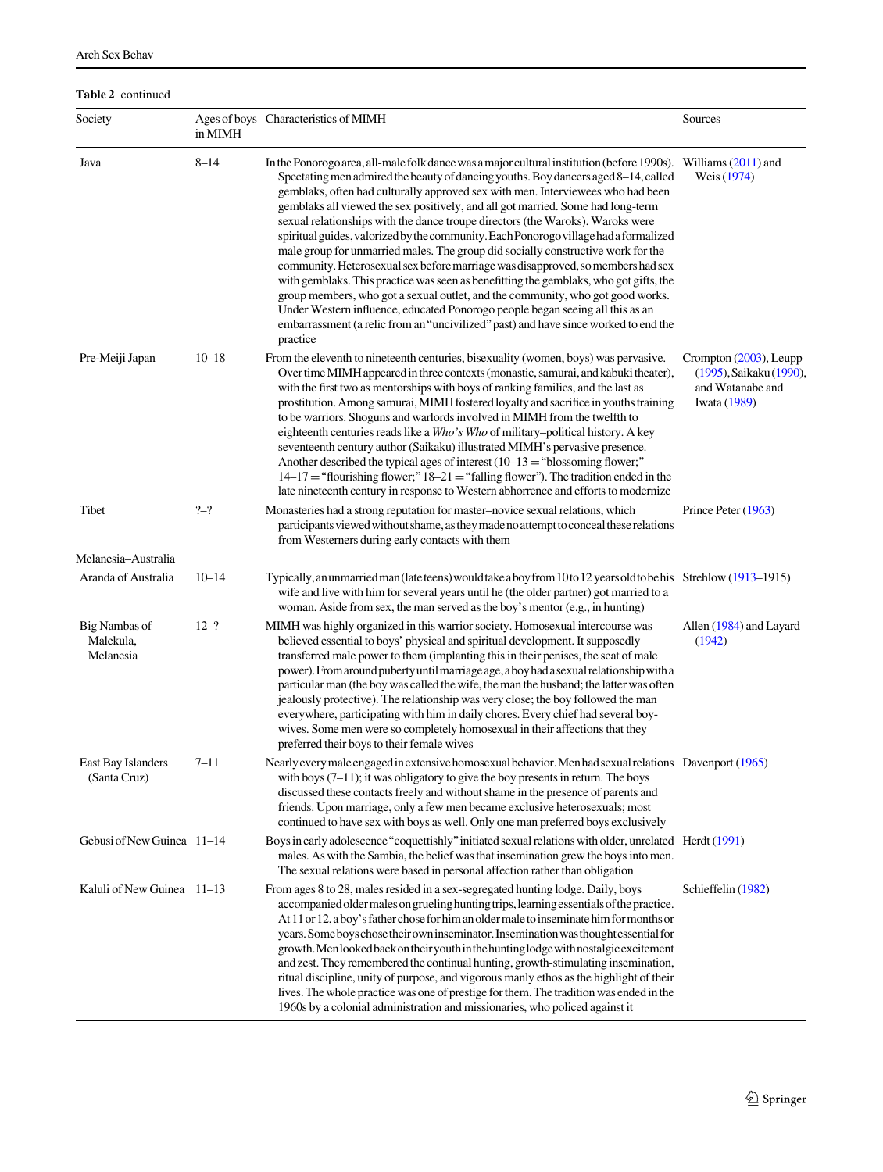## Table 2 continued

| Society                                 | in MIMH   | Ages of boys Characteristics of MIMH                                                                                                                                                                                                                                                                                                                                                                                                                                                                                                                                                                                                                                                                                                                                                                                                                                                                                                                                                                                                                                                       | Sources                                                                                  |
|-----------------------------------------|-----------|--------------------------------------------------------------------------------------------------------------------------------------------------------------------------------------------------------------------------------------------------------------------------------------------------------------------------------------------------------------------------------------------------------------------------------------------------------------------------------------------------------------------------------------------------------------------------------------------------------------------------------------------------------------------------------------------------------------------------------------------------------------------------------------------------------------------------------------------------------------------------------------------------------------------------------------------------------------------------------------------------------------------------------------------------------------------------------------------|------------------------------------------------------------------------------------------|
| Java                                    | $8 - 14$  | In the Ponorogo area, all-male folk dance was a major cultural institution (before 1990s). Williams (2011) and<br>Spectating men admired the beauty of dancing youths. Boy dancers aged 8-14, called<br>gemblaks, often had culturally approved sex with men. Interviewees who had been<br>gemblaks all viewed the sex positively, and all got married. Some had long-term<br>sexual relationships with the dance troupe directors (the Waroks). Waroks were<br>spiritual guides, valorized by the community. Each Ponorogo village had a formalized<br>male group for unmarried males. The group did socially constructive work for the<br>community. Heterosexual sex before marriage was disapproved, so members had sex<br>with gemblaks. This practice was seen as benefitting the gemblaks, who got gifts, the<br>group members, who got a sexual outlet, and the community, who got good works.<br>Under Western influence, educated Ponorogo people began seeing all this as an<br>embarrassment (a relic from an "uncivilized" past) and have since worked to end the<br>practice | Weis (1974)                                                                              |
| Pre-Meiji Japan                         | $10 - 18$ | From the eleventh to nineteenth centuries, bisexuality (women, boys) was pervasive.<br>Over time MIMH appeared in three contexts (monastic, samurai, and kabuki theater),<br>with the first two as mentorships with boys of ranking families, and the last as<br>prostitution. Among samurai, MIMH fostered loyalty and sacrifice in youths training<br>to be warriors. Shoguns and warlords involved in MIMH from the twelfth to<br>eighteenth centuries reads like a Who's Who of military-political history. A key<br>seventeenth century author (Saikaku) illustrated MIMH's pervasive presence.<br>Another described the typical ages of interest $(10-13)$ = "blossoming flower;"<br>$14-17$ = "flourishing flower;" $18-21$ = "falling flower"). The tradition ended in the<br>late nineteenth century in response to Western abhorrence and efforts to modernize                                                                                                                                                                                                                   | Crompton $(2003)$ , Leupp<br>(1995), Saikaku (1990),<br>and Watanabe and<br>Iwata (1989) |
| Tibet                                   | $2 - 2$   | Monasteries had a strong reputation for master-novice sexual relations, which<br>participants viewed without shame, as they made no attempt to conceal these relations<br>from Westerners during early contacts with them                                                                                                                                                                                                                                                                                                                                                                                                                                                                                                                                                                                                                                                                                                                                                                                                                                                                  | Prince Peter (1963)                                                                      |
| Melanesia–Australia                     |           |                                                                                                                                                                                                                                                                                                                                                                                                                                                                                                                                                                                                                                                                                                                                                                                                                                                                                                                                                                                                                                                                                            |                                                                                          |
| Aranda of Australia                     | $10 - 14$ | Typically, an unmarried man (late teens) would take a boy from 10 to 12 years old to be his Strehlow (1913–1915)<br>wife and live with him for several years until he (the older partner) got married to a<br>woman. Aside from sex, the man served as the boy's mentor (e.g., in hunting)                                                                                                                                                                                                                                                                                                                                                                                                                                                                                                                                                                                                                                                                                                                                                                                                 |                                                                                          |
| Big Nambas of<br>Malekula,<br>Melanesia | $12-?$    | MIMH was highly organized in this warrior society. Homosexual intercourse was<br>believed essential to boys' physical and spiritual development. It supposedly<br>transferred male power to them (implanting this in their penises, the seat of male<br>power). From around puberty until marriage age, a boy had a sexual relationship with a<br>particular man (the boy was called the wife, the man the husband; the latter was often<br>jealously protective). The relationship was very close; the boy followed the man<br>everywhere, participating with him in daily chores. Every chief had several boy-<br>wives. Some men were so completely homosexual in their affections that they<br>preferred their boys to their female wives                                                                                                                                                                                                                                                                                                                                              | Allen (1984) and Layard<br>(1942)                                                        |
| East Bay Islanders<br>(Santa Cruz)      | $7 - 11$  | Nearly every male engaged in extensive homosexual behavior. Men had sexual relations Davenport (1965)<br>with boys $(7-11)$ ; it was obligatory to give the boy presents in return. The boys<br>discussed these contacts freely and without shame in the presence of parents and<br>friends. Upon marriage, only a few men became exclusive heterosexuals; most<br>continued to have sex with boys as well. Only one man preferred boys exclusively                                                                                                                                                                                                                                                                                                                                                                                                                                                                                                                                                                                                                                        |                                                                                          |
| Gebusi of New Guinea 11–14              |           | Boys in early adolescence "coquettishly" initiated sexual relations with older, unrelated Herdt (1991)<br>males. As with the Sambia, the belief was that insemination grew the boys into men.<br>The sexual relations were based in personal affection rather than obligation                                                                                                                                                                                                                                                                                                                                                                                                                                                                                                                                                                                                                                                                                                                                                                                                              |                                                                                          |
| Kaluli of New Guinea 11-13              |           | From ages 8 to 28, males resided in a sex-segregated hunting lodge. Daily, boys<br>accompanied older males on grueling hunting trips, learning essentials of the practice.<br>At 11 or 12, a boy's father chose for him an older male to inseminate him for months or<br>years. Some boys chose their own inseminator. Insemination was thought essential for<br>growth. Men looked back on their youth in the hunting lodge with nostal gic excitement<br>and zest. They remembered the continual hunting, growth-stimulating insemination,<br>ritual discipline, unity of purpose, and vigorous manly ethos as the highlight of their<br>lives. The whole practice was one of prestige for them. The tradition was ended in the<br>1960s by a colonial administration and missionaries, who policed against it                                                                                                                                                                                                                                                                           | Schieffelin (1982)                                                                       |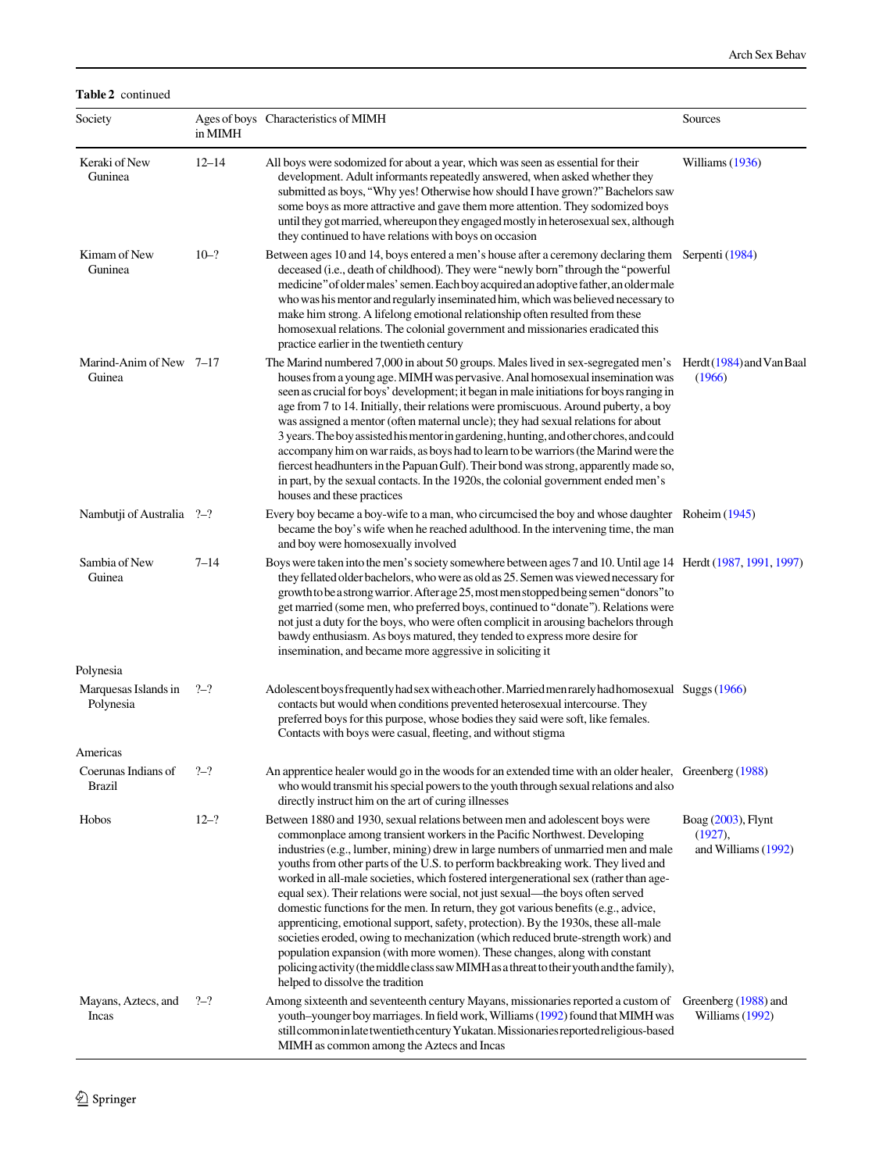Table 2 continued

| Society                           | in MIMH   | Ages of boys Characteristics of MIMH                                                                                                                                                                                                                                                                                                                                                                                                                                                                                                                                                                                                                                                                                                                                                                                                                                                                                                                                                       | Sources                                                 |
|-----------------------------------|-----------|--------------------------------------------------------------------------------------------------------------------------------------------------------------------------------------------------------------------------------------------------------------------------------------------------------------------------------------------------------------------------------------------------------------------------------------------------------------------------------------------------------------------------------------------------------------------------------------------------------------------------------------------------------------------------------------------------------------------------------------------------------------------------------------------------------------------------------------------------------------------------------------------------------------------------------------------------------------------------------------------|---------------------------------------------------------|
| Keraki of New<br>Guninea          | $12 - 14$ | All boys were sodomized for about a year, which was seen as essential for their<br>development. Adult informants repeatedly answered, when asked whether they<br>submitted as boys, "Why yes! Otherwise how should I have grown?" Bachelors saw<br>some boys as more attractive and gave them more attention. They sodomized boys<br>until they got married, whereupon they engaged mostly in heterosexual sex, although<br>they continued to have relations with boys on occasion                                                                                                                                                                                                                                                                                                                                                                                                                                                                                                         | Williams (1936)                                         |
| Kimam of New<br>Guninea           | $10-?$    | Between ages 10 and 14, boys entered a men's house after a ceremony declaring them Serpenti (1984)<br>deceased (i.e., death of childhood). They were "newly born" through the "powerful<br>medicine" of older males' semen. Each boy acquired an adoptive father, an older male<br>who was his mentor and regularly inseminated him, which was believed necessary to<br>make him strong. A lifelong emotional relationship often resulted from these<br>homosexual relations. The colonial government and missionaries eradicated this<br>practice earlier in the twentieth century                                                                                                                                                                                                                                                                                                                                                                                                        |                                                         |
| Marind-Anim of New 7-17<br>Guinea |           | The Marind numbered 7,000 in about 50 groups. Males lived in sex-segregated men's Herdt (1984) and Van Baal<br>houses from a young age. MIMH was pervasive. Anal homosexual insemination was<br>seen as crucial for boys' development; it began in male initiations for boys ranging in<br>age from 7 to 14. Initially, their relations were promiscuous. Around puberty, a boy<br>was assigned a mentor (often maternal uncle); they had sexual relations for about<br>3 years. The boy assisted his mentor in gardening, hunting, and other chores, and could<br>accompany him on war raids, as boys had to learn to be warriors (the Marind were the<br>fiercest headhunters in the Papuan Gulf). Their bond was strong, apparently made so,<br>in part, by the sexual contacts. In the 1920s, the colonial government ended men's<br>houses and these practices                                                                                                                        | (1966)                                                  |
| Nambutji of Australia ?–?         |           | Every boy became a boy-wife to a man, who circumcised the boy and whose daughter Roheim (1945)<br>became the boy's wife when he reached adulthood. In the intervening time, the man<br>and boy were homosexually involved                                                                                                                                                                                                                                                                                                                                                                                                                                                                                                                                                                                                                                                                                                                                                                  |                                                         |
| Sambia of New<br>Guinea           | $7 - 14$  | Boys were taken into the men's society somewhere between ages 7 and 10. Until age 14 Herdt (1987, 1991, 1997)<br>they fellated older bachelors, who were as old as 25. Semen was viewed necessary for<br>growth to be a strong warrior. After age 25, most men stopped being semen "donors" to<br>get married (some men, who preferred boys, continued to "donate"). Relations were<br>not just a duty for the boys, who were often complicit in arousing bachelors through<br>bawdy enthusiasm. As boys matured, they tended to express more desire for<br>insemination, and became more aggressive in soliciting it                                                                                                                                                                                                                                                                                                                                                                      |                                                         |
| Polynesia                         |           |                                                                                                                                                                                                                                                                                                                                                                                                                                                                                                                                                                                                                                                                                                                                                                                                                                                                                                                                                                                            |                                                         |
| Marquesas Islands in<br>Polynesia | $2 - 2$   | Adolescent boys frequently had sex with each other. Married men rarely had homosexual Suggs (1966)<br>contacts but would when conditions prevented heterosexual intercourse. They<br>preferred boys for this purpose, whose bodies they said were soft, like females.<br>Contacts with boys were casual, fleeting, and without stigma                                                                                                                                                                                                                                                                                                                                                                                                                                                                                                                                                                                                                                                      |                                                         |
| Americas                          |           |                                                                                                                                                                                                                                                                                                                                                                                                                                                                                                                                                                                                                                                                                                                                                                                                                                                                                                                                                                                            |                                                         |
| Coerunas Indians of<br>Brazil     | $2 - 2$   | An apprentice healer would go in the woods for an extended time with an older healer, Greenberg (1988)<br>who would transmit his special powers to the youth through sexual relations and also<br>directly instruct him on the art of curing illnesses                                                                                                                                                                                                                                                                                                                                                                                                                                                                                                                                                                                                                                                                                                                                     |                                                         |
| Hobos                             | $12-?$    | Between 1880 and 1930, sexual relations between men and adolescent boys were<br>commonplace among transient workers in the Pacific Northwest. Developing<br>industries (e.g., lumber, mining) drew in large numbers of unmarried men and male<br>youths from other parts of the U.S. to perform backbreaking work. They lived and<br>worked in all-male societies, which fostered intergenerational sex (rather than age-<br>equal sex). Their relations were social, not just sexual—the boys often served<br>domestic functions for the men. In return, they got various benefits (e.g., advice,<br>apprenticing, emotional support, safety, protection). By the 1930s, these all-male<br>societies eroded, owing to mechanization (which reduced brute-strength work) and<br>population expansion (with more women). These changes, along with constant<br>policing activity (the middle class saw MIMH as a threat to their youth and the family),<br>helped to dissolve the tradition | Boag $(2003)$ , Flynt<br>(1927),<br>and Williams (1992) |
| Mayans, Aztecs, and<br>Incas      | $2 - 2$   | Among sixteenth and seventeenth century Mayans, missionaries reported a custom of<br>youth-younger boy marriages. In field work, Williams (1992) found that MIMH was<br>still common in late twentieth century Yukatan. Missionaries reported religious-based<br>MIMH as common among the Aztecs and Incas                                                                                                                                                                                                                                                                                                                                                                                                                                                                                                                                                                                                                                                                                 | Greenberg (1988) and<br>Williams (1992)                 |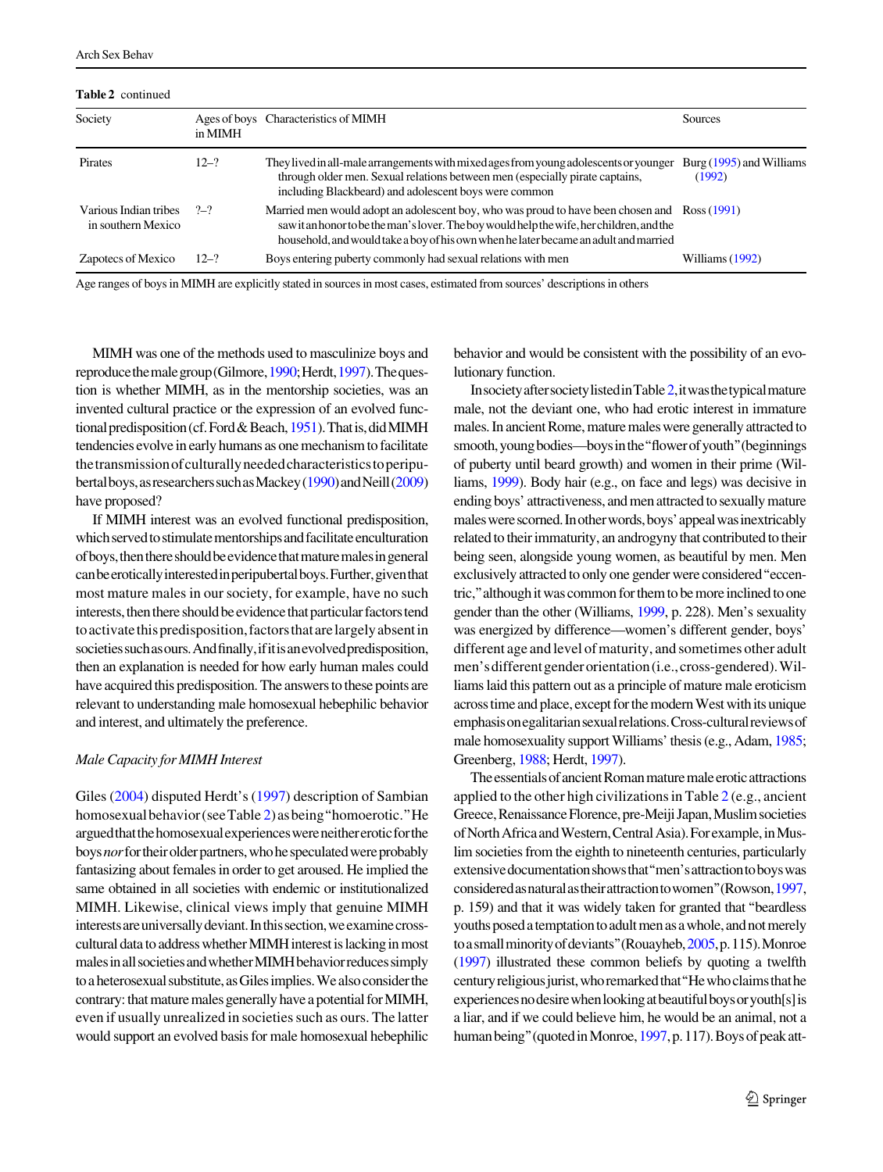| <b>Table 2</b> continued |  |
|--------------------------|--|
|--------------------------|--|

| $\mathbf{1}$ and $\mathbf{2}$ contribution  |          |                                                                                                                                                                                                                                                                                   |                                      |  |  |  |
|---------------------------------------------|----------|-----------------------------------------------------------------------------------------------------------------------------------------------------------------------------------------------------------------------------------------------------------------------------------|--------------------------------------|--|--|--|
| Society                                     | in MIMH  | Ages of boys Characteristics of MIMH                                                                                                                                                                                                                                              |                                      |  |  |  |
| Pirates                                     | $12-?$   | They lived in all-male arrangements with mixed ages from young adolescents or younger<br>through older men. Sexual relations between men (especially pirate captains,<br>including Blackbeard) and adolescent boys were common                                                    | Burg $(1995)$ and Williams<br>(1992) |  |  |  |
| Various Indian tribes<br>in southern Mexico | $2 - 2$  | Married men would adopt an adolescent boy, who was proud to have been chosen and Ross (1991)<br>saw it an honor to be the man's lover. The boy would help the wife, her children, and the<br>household, and would take a boy of his own when he later became an adult and married |                                      |  |  |  |
| Zapotecs of Mexico                          | $12 - ?$ | Boys entering puberty commonly had sexual relations with men                                                                                                                                                                                                                      | Williams (1992)                      |  |  |  |

Age ranges of boys in MIMH are explicitly stated in sources in most cases, estimated from sources' descriptions in others

MIMH was one of the methods used to masculinize boys and reproduce the male group (Gilmore, [1990](#page-29-0); Herdt, [1997\)](#page-29-0). The question is whether MIMH, as in the mentorship societies, was an invented cultural practice or the expression of an evolved func-tional predisposition (cf. Ford & Beach, [1951](#page-29-0)). That is, did MIMH tendencies evolve in early humans as one mechanism to facilitate thetransmissionofculturallyneededcharacteristicstoperipubertalboys,asresearcherssuchasMackey[\(1990\)](#page-30-0)andNeill[\(2009\)](#page-30-0) have proposed?

If MIMH interest was an evolved functional predisposition, which served to stimulate mentorships and facilitate enculturation ofboys,thenthereshouldbeevidencethatmaturemalesingeneral canbeeroticallyinterestedinperipubertalboys.Further,giventhat most mature males in our society, for example, have no such interests, then there should be evidence that particular factors tend to activate this predisposition, factors that are largely absent in societies such as ours. And finally, if it is an evolved predisposition, then an explanation is needed for how early human males could have acquired this predisposition. The answers to these points are relevant to understanding male homosexual hebephilic behavior and interest, and ultimately the preference.

### Male Capacity for MIMH Interest

Giles [\(2004](#page-29-0)) disputed Herdt's ([1997\)](#page-29-0) description of Sambian homosexualbehavior(seeTable [2\)](#page-14-0)asbeing''homoerotic.''He argued that the homosexual experiences were neither erotic for the boys nor for their older partners, who he speculated were probably fantasizing about females in order to get aroused. He implied the same obtained in all societies with endemic or institutionalized MIMH. Likewise, clinical views imply that genuine MIMH interests are universally deviant. In this section, we examine crosscultural data to address whether MIMH interest is lacking in most males in all societies and whether MIMH behavior reduces simply to a heterosexual substitute, as Giles implies. We also consider the contrary: that mature males generally have a potential for MIMH, even if usually unrealized in societies such as ours. The latter would support an evolved basis for male homosexual hebephilic behavior and would be consistent with the possibility of an evolutionary function.

Insociety after society listed in Table [2,](#page-14-0) it was the typical mature male, not the deviant one, who had erotic interest in immature males. In ancient Rome, mature males were generally attracted to smooth,youngbodies—boysinthe''flowerofyouth''(beginnings of puberty until beard growth) and women in their prime (Williams, [1999](#page-32-0)). Body hair (e.g., on face and legs) was decisive in ending boys' attractiveness, and men attracted to sexually mature maleswerescorned.Inotherwords,boys'appealwasinextricably related to their immaturity, an androgyny that contributed to their being seen, alongside young women, as beautiful by men. Men exclusively attracted to only one gender were considered''eccentric," although it was common for them to be more inclined to one gender than the other (Williams, [1999](#page-32-0), p. 228). Men's sexuality was energized by difference—women's different gender, boys' different age and level of maturity, and sometimes other adult men's different gender orientation (i.e., cross-gendered). Williams laid this pattern out as a principle of mature male eroticism across time and place, except for the modern West with its unique emphasisonegalitariansexualrelations.Cross-culturalreviewsof male homosexuality support Williams' thesis (e.g., Adam, [1985](#page-27-0); Greenberg, [1988;](#page-29-0) Herdt, [1997](#page-29-0)).

The essentials of ancient Roman mature male erotic attractions applied to the other high civilizations in Table [2](#page-14-0) (e.g., ancient Greece, Renaissance Florence, pre-Meiji Japan, Muslim societies of North Africa and Western, Central Asia). For example, in Muslim societies from the eighth to nineteenth centuries, particularly extensivedocumentationshowsthat''men'sattractiontoboyswas consideredasnaturalastheirattractiontowomen''(Rowson,[1997,](#page-31-0) p. 159) and that it was widely taken for granted that ''beardless youths posed a temptation to adult men as a whole, and not merely toasmallminorityofdeviants''(Rouayheb,[2005](#page-31-0),p.115).Monroe [\(1997\)](#page-30-0) illustrated these common beliefs by quoting a twelfth century religious jurist, who remarked that "He who claims that he experiencesnodesirewhenlookingatbeautifulboysoryouth[s]is a liar, and if we could believe him, he would be an animal, not a human being" (quoted in Monroe, [1997](#page-30-0), p. 117). Boys of peak att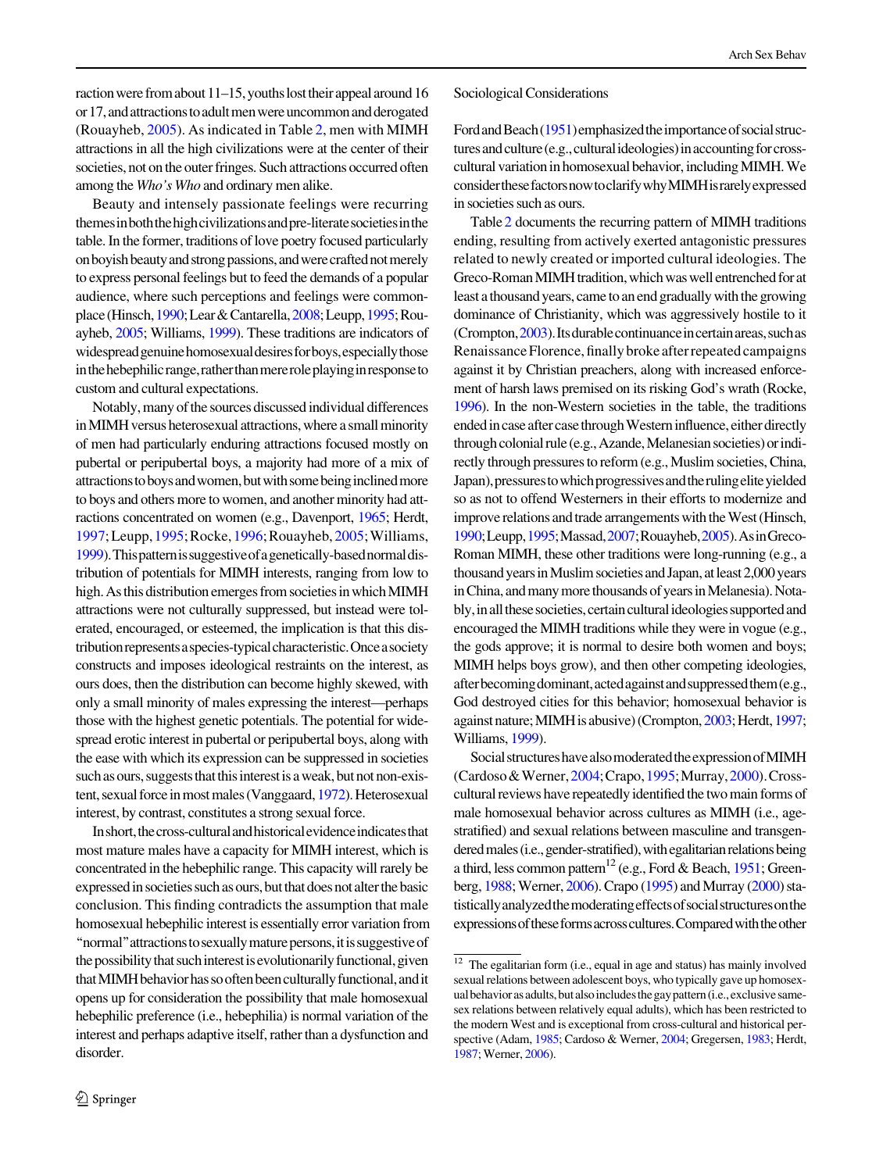raction were from about  $11-15$ , youths lost their appeal around 16 or 17, and attractions to adult men were uncommon and derogated (Rouayheb, [2005](#page-31-0)). As indicated in Table [2,](#page-14-0) men with MIMH attractions in all the high civilizations were at the center of their societies, not on the outer fringes. Such attractions occurred often among the Who's Who and ordinary men alike.

Beauty and intensely passionate feelings were recurring themesinboththehighcivilizationsandpre-literatesocietiesinthe table. In the former, traditions of love poetry focused particularly onboyishbeautyandstrongpassions,andwerecraftednotmerely to express personal feelings but to feed the demands of a popular audience, where such perceptions and feelings were common-place (Hinsch, [1990;](#page-29-0) Lear & Cantarella, [2008;](#page-30-0) Leupp, [1995](#page-30-0); Rouayheb, [2005;](#page-31-0) Williams, [1999](#page-32-0)). These traditions are indicators of widespread genuine homosexual desires for boys, especially those in the hebephilic range, rather than mere role playing in response to custom and cultural expectations.

Notably, many of the sources discussed individual differences in MIMH versus heterosexual attractions, where a small minority of men had particularly enduring attractions focused mostly on pubertal or peripubertal boys, a majority had more of a mix of attractionstoboysandwomen,butwithsomebeinginclinedmore to boys and others more to women, and another minority had attractions concentrated on women (e.g., Davenport, [1965](#page-28-0); Herdt, [1997](#page-29-0);Leupp,[1995](#page-30-0);Rocke,[1996;](#page-31-0)Rouayheb,[2005;](#page-31-0)Williams, [1999\)](#page-32-0).Thispatternissuggestiveofagenetically-basednormaldistribution of potentials for MIMH interests, ranging from low to high. As this distribution emerges from societies in which MIMH attractions were not culturally suppressed, but instead were tolerated, encouraged, or esteemed, the implication is that this distributionrepresentsaspecies-typicalcharacteristic.Onceasociety constructs and imposes ideological restraints on the interest, as ours does, then the distribution can become highly skewed, with only a small minority of males expressing the interest—perhaps those with the highest genetic potentials. The potential for widespread erotic interest in pubertal or peripubertal boys, along with the ease with which its expression can be suppressed in societies such as ours, suggests that this interest is a weak, but not non-exis-tent, sexual force in most males (Vanggaard, [1972\)](#page-32-0). Heterosexual interest, by contrast, constitutes a strong sexual force.

In short, the cross-cultural and historical evidence indicates that most mature males have a capacity for MIMH interest, which is concentrated in the hebephilic range. This capacity will rarely be expressed in societies such as ours, but that does not alter the basic conclusion. This finding contradicts the assumption that male homosexual hebephilic interest is essentially error variation from "normal" attractions to sexually mature persons, it is suggestive of the possibility that such interest is evolutionarily functional, given that MIMH behavior has so often been culturally functional, and it opens up for consideration the possibility that male homosexual hebephilic preference (i.e., hebephilia) is normal variation of the interest and perhaps adaptive itself, rather than a dysfunction and disorder.

#### Sociological Considerations

Ford and Beach [\(1951](#page-29-0)) emphasized the importance of social structures and culture (e.g., cultural ideologies) in accounting for crosscultural variation in homosexual behavior, including MIMH. We considerthesefactorsnowtoclarifywhyMIMHisrarelyexpressed in societies such as ours.

Table [2](#page-14-0) documents the recurring pattern of MIMH traditions ending, resulting from actively exerted antagonistic pressures related to newly created or imported cultural ideologies. The Greco-Roman MIMH tradition, which was well entrenched for at least a thousand years, came to an end gradually with the growing dominance of Christianity, which was aggressively hostile to it  $(Crompton, 2003)$  $(Crompton, 2003)$  $(Crompton, 2003)$ . Its durable continuance in certain areas, such as Renaissance Florence, finally broke after repeated campaigns against it by Christian preachers, along with increased enforcement of harsh laws premised on its risking God's wrath (Rocke, [1996\)](#page-31-0). In the non-Western societies in the table, the traditions ended in case after case through Western influence, either directly through colonial rule (e.g., Azande, Melanesian societies) or indirectly through pressures to reform (e.g., Muslim societies, China, Japan), pressures to which progressives and the ruling elite yielded so as not to offend Westerners in their efforts to modernize and improve relations and trade arrangements with the West (Hinsch, [1990;](#page-29-0)Leupp,[1995](#page-30-0);Massad,[2007;](#page-30-0)Rouayheb,[2005](#page-31-0)).AsinGreco-Roman MIMH, these other traditions were long-running (e.g., a thousand years in Muslim societies and Japan, at least 2,000 years in China, and many more thousands of years in Melanesia). Notably, in all these societies, certain cultural ideologies supported and encouraged the MIMH traditions while they were in vogue (e.g., the gods approve; it is normal to desire both women and boys; MIMH helps boys grow), and then other competing ideologies, afterbecomingdominant,actedagainstandsuppressedthem(e.g., God destroyed cities for this behavior; homosexual behavior is against nature; MIMH is abusive) (Crompton, [2003;](#page-28-0) Herdt, [1997](#page-29-0); Williams, [1999](#page-32-0)).

Social structures have also moderated the expression of MIMH (Cardoso&Werner,[2004;](#page-28-0)Crapo,[1995;](#page-28-0)Murray,[2000\)](#page-30-0).Crosscultural reviews have repeatedly identified the two main forms of male homosexual behavior across cultures as MIMH (i.e., agestratified) and sexual relations between masculine and transgendered males (i.e., gender-stratified), with egalitarian relations being a third, less common pattern<sup>12</sup> (e.g., Ford & Beach, [1951](#page-29-0); Greenberg, [1988](#page-29-0); Werner, [2006\)](#page-32-0). Crapo [\(1995](#page-28-0)) and Murray [\(2000\)](#page-30-0) statisticallyanalyzedthemoderatingeffectsofsocialstructuresonthe expressions of these forms across cultures. Compared with the other

 $12$  The egalitarian form (i.e., equal in age and status) has mainly involved sexual relations between adolescent boys, who typically gave up homosexual behavior as adults, but also includes the gay pattern (i.e., exclusive samesex relations between relatively equal adults), which has been restricted to the modern West and is exceptional from cross-cultural and historical perspective (Adam, [1985](#page-27-0); Cardoso & Werner, [2004](#page-28-0); Gregersen, [1983;](#page-29-0) Herdt, [1987](#page-29-0); Werner, [2006\)](#page-32-0).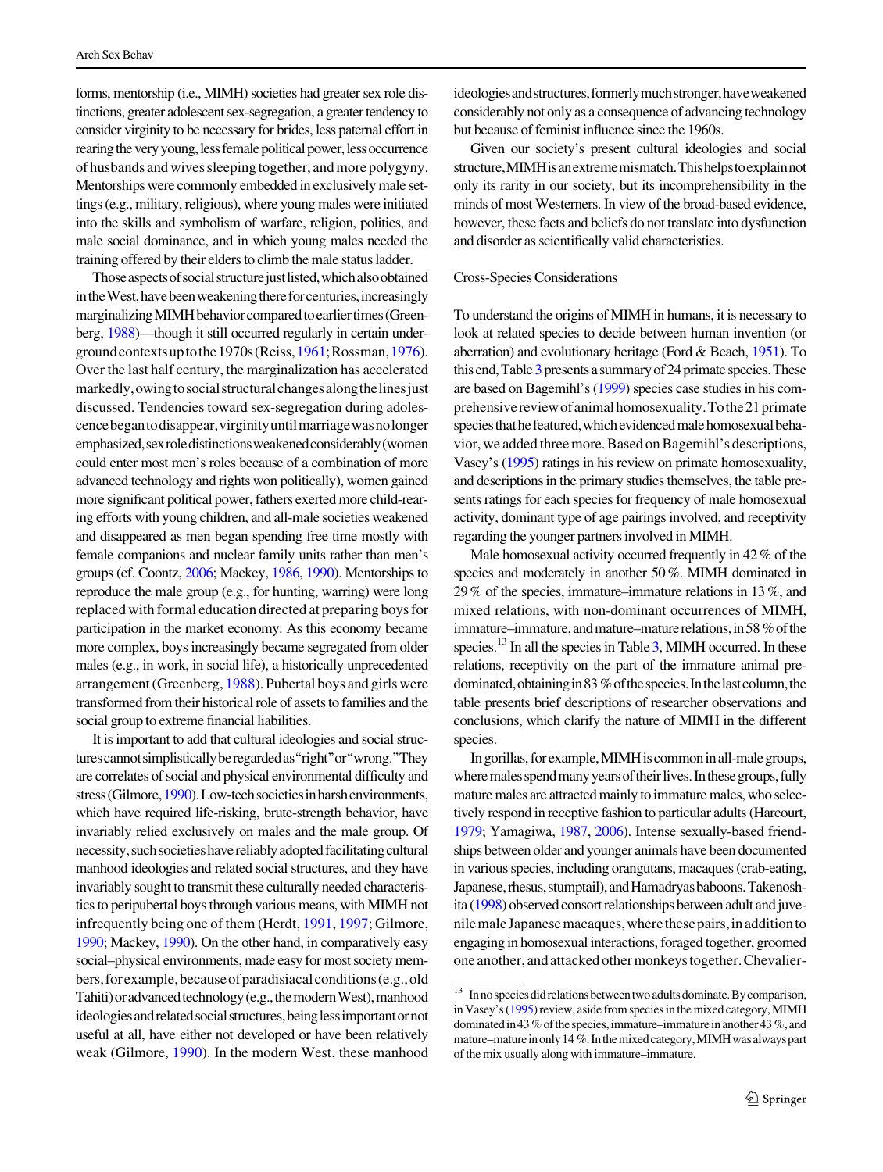forms, mentorship (i.e., MIMH) societies had greater sex role distinctions, greater adolescent sex-segregation, a greater tendency to consider virginity to be necessary for brides, less paternal effort in rearing the very young, less female political power, less occurrence of husbands and wives sleeping together, and more polygyny. Mentorships were commonly embedded in exclusively male settings (e.g., military, religious), where young males were initiated into the skills and symbolism of warfare, religion, politics, and male social dominance, and in which young males needed the training offered by their elders to climb the male status ladder.

Those aspects of social structure just listed, which also obtained in the West, have been weakening there for centuries, increasingly marginalizing MIMH behavior compared to earlier times (Greenberg, [1988](#page-29-0))—though it still occurred regularly in certain undergroundcontextsuptothe1970s(Reiss,[1961;](#page-31-0)Rossman,[1976](#page-31-0)). Over the last half century, the marginalization has accelerated markedly,owingtosocialstructuralchangesalongthelinesjust discussed. Tendencies toward sex-segregation during adolescencebegantodisappear,virginityuntilmarriagewasnolonger emphasized, sex role distinctions weakened considerably (women could enter most men's roles because of a combination of more advanced technology and rights won politically), women gained more significant political power, fathers exerted more child-rearing efforts with young children, and all-male societies weakened and disappeared as men began spending free time mostly with female companions and nuclear family units rather than men's groups (cf. Coontz, [2006;](#page-28-0) Mackey, [1986](#page-30-0), [1990](#page-30-0)). Mentorships to reproduce the male group (e.g., for hunting, warring) were long replaced with formal education directed at preparing boys for participation in the market economy. As this economy became more complex, boys increasingly became segregated from older males (e.g., in work, in social life), a historically unprecedented arrangement (Greenberg, [1988](#page-29-0)). Pubertal boys and girls were transformed from their historical role of assets to families and the social group to extreme financial liabilities.

It is important to add that cultural ideologies and social structures cannot simplistically be regarded as "right" or "wrong." They are correlates of social and physical environmental difficulty and stress (Gilmore, [1990](#page-29-0)). Low-tech societies in harshenvironments, which have required life-risking, brute-strength behavior, have invariably relied exclusively on males and the male group. Of necessity, such societies have reliably adopted facilitating cultural manhood ideologies and related social structures, and they have invariably sought to transmit these culturally needed characteristics to peripubertal boys through various means, with MIMH not infrequently being one of them (Herdt, [1991](#page-29-0), [1997;](#page-29-0) Gilmore, [1990;](#page-29-0) Mackey, [1990](#page-30-0)). On the other hand, in comparatively easy social–physical environments, made easy for most society members,forexample,becauseofparadisiacalconditions(e.g.,old Tahiti)oradvancedtechnology(e.g.,themodernWest),manhood ideologies and related social structures, being less important or not useful at all, have either not developed or have been relatively weak (Gilmore, [1990](#page-29-0)). In the modern West, these manhood ideologiesandstructures,formerlymuchstronger,haveweakened considerably not only as a consequence of advancing technology but because of feminist influence since the 1960s.

Given our society's present cultural ideologies and social structure,MIMHisanextrememismatch.Thishelpstoexplainnot only its rarity in our society, but its incomprehensibility in the minds of most Westerners. In view of the broad-based evidence, however, these facts and beliefs do not translate into dysfunction and disorder as scientifically valid characteristics.

### Cross-Species Considerations

To understand the origins of MIMH in humans, it is necessary to look at related species to decide between human invention (or aberration) and evolutionary heritage (Ford & Beach, [1951\)](#page-29-0). To this end, Table [3](#page-24-0) presents a summary of 24 primate species. These are based on Bagemihl's [\(1999\)](#page-28-0) species case studies in his comprehensive review of animal homosexuality. To the 21 primate species that he featured, which evidenced male homosexual behavior, we added three more. Based on Bagemihl's descriptions, Vasey's ([1995](#page-32-0)) ratings in his review on primate homosexuality, and descriptions in the primary studies themselves, the table presents ratings for each species for frequency of male homosexual activity, dominant type of age pairings involved, and receptivity regarding the younger partners involved in MIMH.

Male homosexual activity occurred frequently in 42 % of the species and moderately in another 50 %. MIMH dominated in 29 % of the species, immature–immature relations in 13 %, and mixed relations, with non-dominant occurrences of MIMH, immature–immature, and mature–mature relations, in 58 % of the species.<sup>13</sup> In all the species in Table [3,](#page-24-0) MIMH occurred. In these relations, receptivity on the part of the immature animal predominated, obtaining in 83 % of the species. In the last column, the table presents brief descriptions of researcher observations and conclusions, which clarify the nature of MIMH in the different species.

Ingorillas,forexample,MIMHiscommoninall-malegroups, where males spend many years of their lives. In these groups, fully mature males are attracted mainly to immature males, who selectively respond in receptive fashion to particular adults (Harcourt, [1979](#page-29-0); Yamagiwa, [1987](#page-32-0), [2006\)](#page-32-0). Intense sexually-based friendships between older and younger animals have been documented in various species, including orangutans, macaques (crab-eating, Japanese, rhesus, stumptail), and Hamadryas baboons. Takenoshita [\(1998\)](#page-32-0) observed consort relationships between adult and juvenilemaleJapanesemacaques,wherethesepairs,inadditionto engaging in homosexual interactions, foraged together, groomed one another, and attacked other monkeys together. Chevalier-

 $\frac{13}{13}$  In no species did relations between two adults dominate. By comparison, in Vasey's ([1995](#page-32-0)) review, aside from species in the mixed category, MIMH dominated in 43 % of the species, immature–immature in another 43 %, and mature–mature in only 14 %. In the mixed category, MIMH was always part of the mix usually along with immature–immature.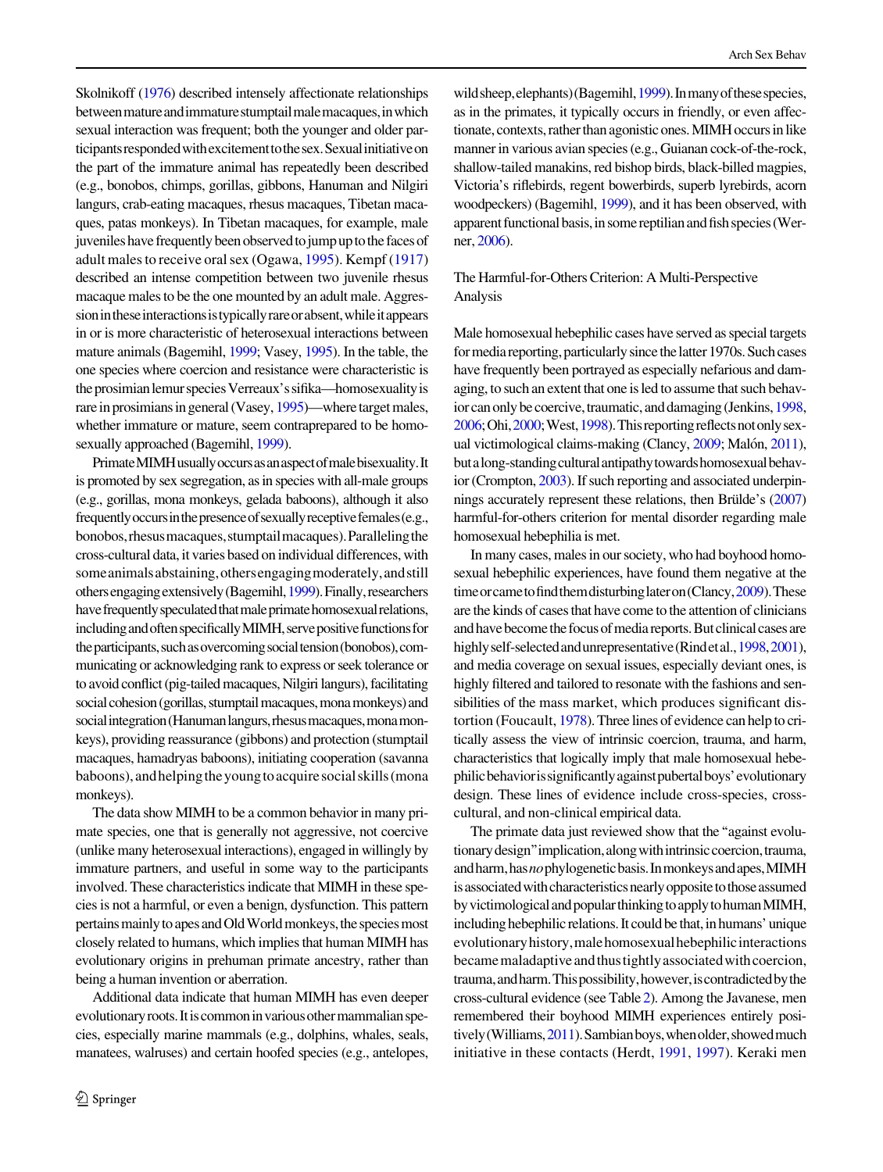Skolnikoff [\(1976](#page-28-0)) described intensely affectionate relationships between mature and immature stumptail male macaques, in which sexual interaction was frequent; both the younger and older participants responded with excitement to the sex. Sexual initiative on the part of the immature animal has repeatedly been described (e.g., bonobos, chimps, gorillas, gibbons, Hanuman and Nilgiri langurs, crab-eating macaques, rhesus macaques, Tibetan macaques, patas monkeys). In Tibetan macaques, for example, male juveniles have frequently been observed to jump up to the faces of adult males to receive oral sex (Ogawa, [1995\)](#page-30-0). Kempf ([1917\)](#page-29-0) described an intense competition between two juvenile rhesus macaque males to be the one mounted by an adult male. Aggression in these interactions is typically rare or absent, while it appears in or is more characteristic of heterosexual interactions between mature animals (Bagemihl, [1999](#page-28-0); Vasey, [1995](#page-32-0)). In the table, the one species where coercion and resistance were characteristic is theprosimianlemurspeciesVerreaux'ssifika—homosexualityis rare in prosimians in general (Vasey, [1995\)](#page-32-0)—where target males, whether immature or mature, seem contraprepared to be homosexually approached (Bagemihl, [1999](#page-28-0)).

PrimateMIMHusuallyoccursasanaspectofmalebisexuality.It is promoted by sex segregation, as in species with all-male groups (e.g., gorillas, mona monkeys, gelada baboons), although it also frequently occurs in the presence of sexually receptive females (e.g., bonobos,rhesusmacaques,stumptailmacaques).Parallelingthe cross-cultural data, it varies based on individual differences, with someanimalsabstaining,othersengagingmoderately,andstill othersengagingextensively(Bagemihl,[1999\)](#page-28-0).Finally,researchers have frequently speculated that male primate homosexual relations, including and often specifically MIMH, serve positive functions for the participants, such as overcoming social tension (bonobos), communicating or acknowledging rank to express or seek tolerance or to avoid conflict (pig-tailed macaques, Nilgiri langurs), facilitating social cohesion (gorillas, stumptail macaques, mona monkeys) and social integration (Hanuman langurs, rhesus macaques, mona monkeys), providing reassurance (gibbons) and protection (stumptail macaques, hamadryas baboons), initiating cooperation (savanna baboons),andhelpingtheyoungtoacquiresocialskills(mona monkeys).

The data show MIMH to be a common behavior in many primate species, one that is generally not aggressive, not coercive (unlike many heterosexual interactions), engaged in willingly by immature partners, and useful in some way to the participants involved. These characteristics indicate that MIMH in these species is not a harmful, or even a benign, dysfunction. This pattern pertains mainly to apes and Old World monkeys, the species most closely related to humans, which implies that human MIMH has evolutionary origins in prehuman primate ancestry, rather than being a human invention or aberration.

Additional data indicate that human MIMH has even deeper evolutionaryroots.Itiscommoninvariousothermammalianspecies, especially marine mammals (e.g., dolphins, whales, seals, manatees, walruses) and certain hoofed species (e.g., antelopes,

wild sheep, elephants) (Bagemihl, [1999](#page-28-0)). In many of these species, as in the primates, it typically occurs in friendly, or even affectionate, contexts, rather than agonistic ones. MIMH occurs in like manner in various avian species (e.g., Guianan cock-of-the-rock, shallow-tailed manakins, red bishop birds, black-billed magpies, Victoria's riflebirds, regent bowerbirds, superb lyrebirds, acorn woodpeckers) (Bagemihl, [1999\)](#page-28-0), and it has been observed, with apparent functional basis, in some reptilian and fish species (Werner, [2006\)](#page-32-0).

# The Harmful-for-Others Criterion: A Multi-Perspective Analysis

Male homosexual hebephilic cases have served as special targets for media reporting, particularly since the latter 1970s. Such cases have frequently been portrayed as especially nefarious and damaging, to such an extent that one is led to assume that such behav-ior can only be coercive, traumatic, and damaging (Jenkins, [1998,](#page-29-0) [2006;](#page-29-0) Ohi, [2000;](#page-30-0) West, [1998](#page-32-0)). This reporting reflects not only sex-ual victimological claims-making (Clancy, [2009](#page-28-0); Malón, [2011\)](#page-30-0), butalong-standingculturalantipathytowardshomosexualbehavior (Crompton, [2003](#page-28-0)). If such reporting and associated underpinnings accurately represent these relations, then Brülde's  $(2007)$ harmful-for-others criterion for mental disorder regarding male homosexual hebephilia is met.

In many cases, males in our society, who had boyhood homosexual hebephilic experiences, have found them negative at the time or came to find them disturbing later on (Clancy, [2009](#page-28-0)). These are the kinds of cases that have come to the attention of clinicians and have become the focus of media reports. But clinical cases are highly self-selected and unrepresentative (Rindet al., 1998, 2001), and media coverage on sexual issues, especially deviant ones, is highly filtered and tailored to resonate with the fashions and sensibilities of the mass market, which produces significant distortion (Foucault, [1978](#page-29-0)). Three lines of evidence can help to critically assess the view of intrinsic coercion, trauma, and harm, characteristics that logically imply that male homosexual hebephilic behavior is significantly against pubertal boys' evolutionary design. These lines of evidence include cross-species, crosscultural, and non-clinical empirical data.

The primate data just reviewed show that the "against evolutionarydesign''implication,alongwithintrinsiccoercion,trauma, and harm, has no phylogenetic basis. In monkeys and apes, MIMH is associated with characteristics nearly opposite to those assumed byvictimologicalandpopularthinkingtoapplytohumanMIMH, including hebephilic relations. It could be that, in humans' unique evolutionaryhistory,malehomosexualhebephilicinteractions became maladaptive and thus tightly associated with coercion, trauma, and harm. This possibility, however, is contradicted by the cross-cultural evidence (see Table [2\)](#page-14-0). Among the Javanese, men remembered their boyhood MIMH experiences entirely posi-tively (Williams, [2011\)](#page-32-0). Sambian boys, when older, showed much initiative in these contacts (Herdt, [1991](#page-29-0), [1997](#page-29-0)). Keraki men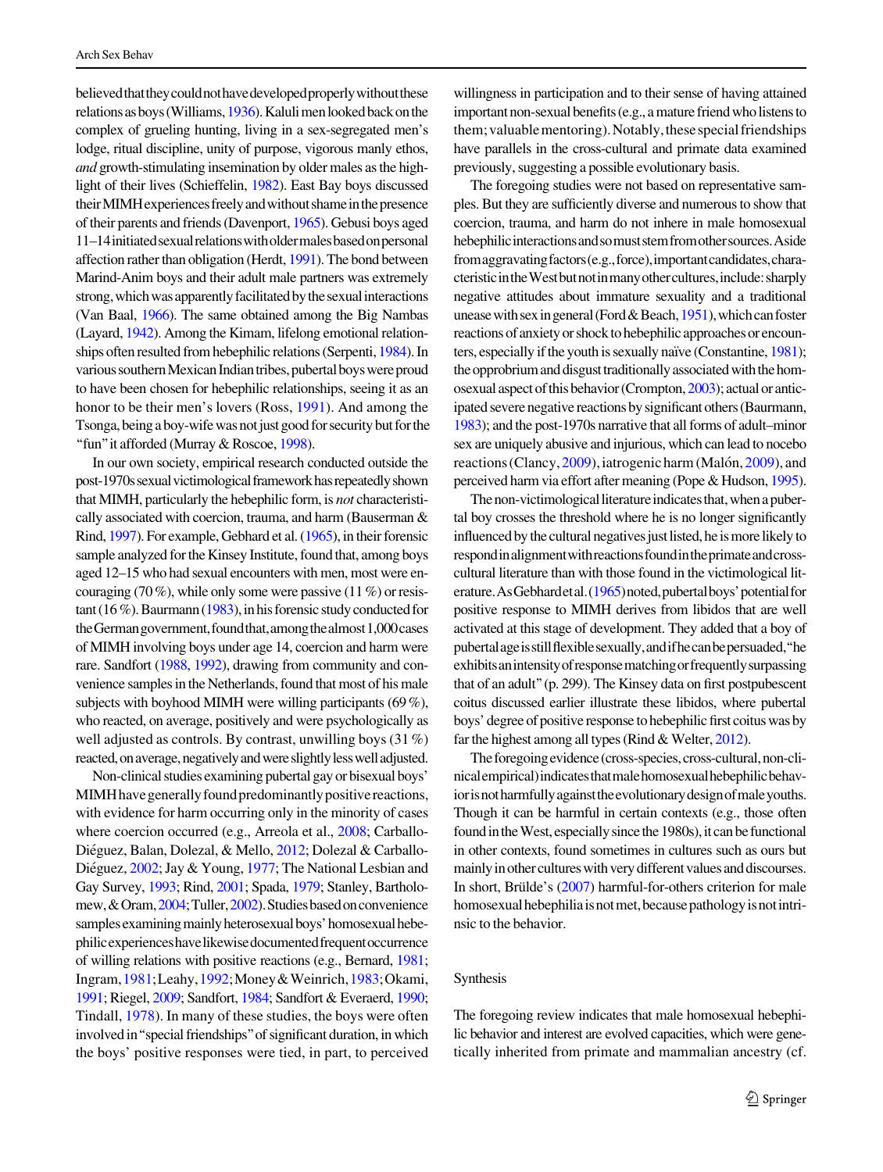believedthattheycouldnothavedevelopedproperlywithoutthese relations as boys (Williams, [1936](#page-32-0)). Kaluli men looked back on the complex of grueling hunting, living in a sex-segregated men's lodge, ritual discipline, unity of purpose, vigorous manly ethos, and growth-stimulating insemination by older males as the highlight of their lives (Schieffelin, [1982](#page-31-0)). East Bay boys discussed their MIMH experiences freely and without shame in the presence of their parents and friends (Davenport, [1965](#page-28-0)). Gebusi boys aged 11–14initiatedsexualrelationswitholdermalesbasedonpersonal affection rather than obligation (Herdt, [1991\)](#page-29-0). The bond between Marind-Anim boys and their adult male partners was extremely strong, which was apparently facilitated by the sexual interactions (Van Baal, [1966](#page-32-0)). The same obtained among the Big Nambas (Layard, [1942\)](#page-30-0). Among the Kimam, lifelong emotional relationships often resulted from hebephilic relations (Serpenti, [1984](#page-31-0)). In various southern Mexican Indian tribes, pubertal boys were proud to have been chosen for hebephilic relationships, seeing it as an honor to be their men's lovers (Ross, [1991\)](#page-31-0). And among the Tsonga, being a boy-wife was not just good for security but for the ''fun''it afforded (Murray & Roscoe, [1998](#page-30-0)).

In our own society, empirical research conducted outside the post-1970s sexual victimological framework has repeatedly shown that MIMH, particularly the hebephilic form, is not characteristically associated with coercion, trauma, and harm (Bauserman & Rind, [1997](#page-28-0)). For example, Gebhard et al. ([1965](#page-29-0)), in their forensic sample analyzed for the Kinsey Institute, found that, among boys aged 12–15 who had sexual encounters with men, most were encouraging (70 %), while only some were passive (11 %) or resis-tant (16 %). Baurmann [\(1983\)](#page-28-0), in his forensic study conducted for the German government, found that, among the almost 1,000 cases of MIMH involving boys under age 14, coercion and harm were rare. Sandfort [\(1988](#page-31-0), [1992\)](#page-31-0), drawing from community and convenience samples in the Netherlands, found that most of his male subjects with boyhood MIMH were willing participants (69 %), who reacted, on average, positively and were psychologically as well adjusted as controls. By contrast, unwilling boys (31 %) reacted, on average, negatively and were slightly less well adjusted.

Non-clinical studies examining pubertal gay or bisexual boys' MIMH have generally found predominantly positive reactions, with evidence for harm occurring only in the minority of cases where coercion occurred (e.g., Arreola et al., [2008](#page-27-0); Carballo-Diéguez, Balan, Dolezal, & Mello, [2012;](#page-28-0) Dolezal & Carballo-Diéguez, [2002;](#page-28-0) Jay & Young, [1977;](#page-29-0) The National Lesbian and Gay Survey, [1993;](#page-32-0) Rind, [2001](#page-31-0); Spada, [1979;](#page-31-0) Stanley, Bartholo-mew, & Oram, [2004](#page-31-0); Tuller, [2002\)](#page-32-0). Studies based on convenience samples examining mainly heterosexual boys' homosexual hebephilicexperienceshavelikewisedocumentedfrequentoccurrence of willing relations with positive reactions (e.g., Bernard, [1981](#page-28-0); Ingram,[1981;](#page-29-0)Leahy,[1992](#page-30-0);Money&Weinrich,[1983;](#page-30-0)Okami, [1991;](#page-30-0) Riegel, [2009;](#page-31-0) Sandfort, [1984](#page-31-0); Sandfort & Everaerd, [1990](#page-31-0); Tindall, [1978\)](#page-32-0). In many of these studies, the boys were often involved in''special friendships''of significant duration, in which the boys' positive responses were tied, in part, to perceived

willingness in participation and to their sense of having attained important non-sexual benefits (e.g., a mature friend who listens to them; valuable mentoring). Notably, these special friendships have parallels in the cross-cultural and primate data examined previously, suggesting a possible evolutionary basis.

The foregoing studies were not based on representative samples. But they are sufficiently diverse and numerous to show that coercion, trauma, and harm do not inhere in male homosexual hebephilicinteractionsandsomuststemfromothersources.Aside fromaggravatingfactors(e.g.,force),importantcandidates,characteristicintheWestbutnotinmanyothercultures,include:sharply negative attitudes about immature sexuality and a traditional unease with sex in general (Ford & Beach,  $1951$ ), which can foster reactions of anxiety or shock to hebephilic approaches or encoun-ters, especially if the youth is sexually naïve (Constantine, [1981](#page-28-0)); the opprobrium and disgust traditionally associated with the hom-osexual aspect of this behavior (Crompton, [2003\)](#page-28-0); actual or anticipated severe negative reactions by significant others (Baurmann, [1983\)](#page-28-0); and the post-1970s narrative that all forms of adult–minor sex are uniquely abusive and injurious, which can lead to nocebo reactions (Clancy, [2009](#page-28-0)), iatrogenic harm (Malón, [2009\)](#page-30-0), and perceived harm via effort after meaning (Pope & Hudson, [1995\)](#page-30-0).

The non-victimological literature indicates that, when a pubertal boy crosses the threshold where he is no longer significantly influenced by the cultural negatives just listed, he is more likely to respondinalignmentwithreactionsfoundintheprimateandcrosscultural literature than with those found in the victimological literature.AsGebhardetal.[\(1965\)](#page-29-0)noted,pubertalboys'potentialfor positive response to MIMH derives from libidos that are well activated at this stage of development. They added that a boy of pubertalageisstillflexiblesexually,andifhecanbepersuaded,''he exhibitsanintensityofresponsematchingorfrequentlysurpassing that of an adult''(p. 299). The Kinsey data on first postpubescent coitus discussed earlier illustrate these libidos, where pubertal boys' degree of positive response to hebephilic first coitus was by far the highest among all types (Rind & Welter, [2012](#page-31-0)).

The foregoing evidence (cross-species, cross-cultural, non-clinicalempirical)indicatesthatmalehomosexualhebephilicbehavior is not harmfully against the evolutionary design of male youths. Though it can be harmful in certain contexts (e.g., those often found in the West, especially since the 1980s), it can be functional in other contexts, found sometimes in cultures such as ours but mainly in other cultures with very different values and discourses. In short, Brülde's [\(2007\)](#page-28-0) harmful-for-others criterion for male homosexual hebephilia is not met, because pathology is not intrinsic to the behavior.

#### Synthesis

The foregoing review indicates that male homosexual hebephilic behavior and interest are evolved capacities, which were genetically inherited from primate and mammalian ancestry (cf.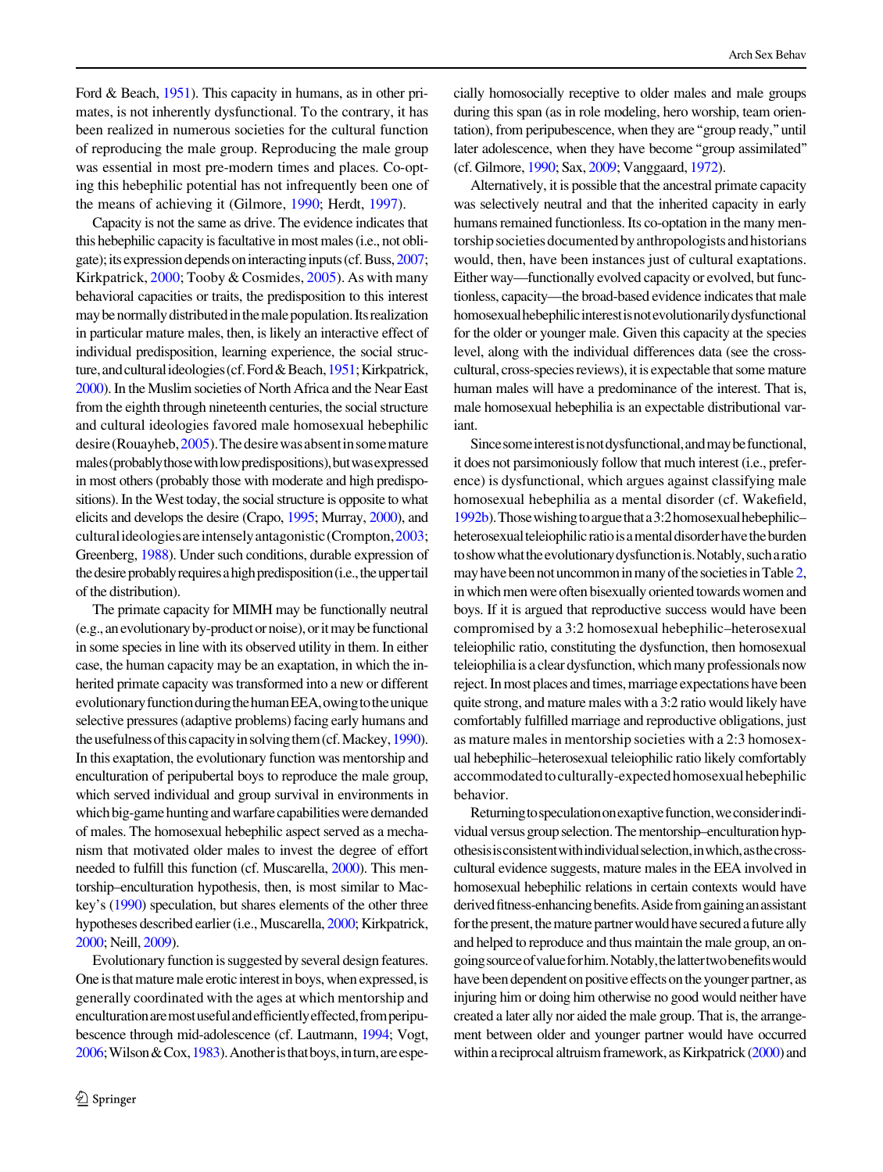Ford & Beach, [1951\)](#page-29-0). This capacity in humans, as in other primates, is not inherently dysfunctional. To the contrary, it has been realized in numerous societies for the cultural function of reproducing the male group. Reproducing the male group was essential in most pre-modern times and places. Co-opting this hebephilic potential has not infrequently been one of the means of achieving it (Gilmore, [1990](#page-29-0); Herdt, [1997](#page-29-0)).

Capacity is not the same as drive. The evidence indicates that this hebephilic capacity is facultative in most males (i.e., not obli-gate); its expression depends on interacting inputs (cf. Buss, [2007](#page-28-0); Kirkpatrick, [2000](#page-30-0); Tooby & Cosmides, [2005](#page-32-0)). As with many behavioral capacities or traits, the predisposition to this interest may be normally distributed in the male population. Its realization in particular mature males, then, is likely an interactive effect of individual predisposition, learning experience, the social struc-ture, and cultural ideologies (cf. Ford & Beach, [1951;](#page-29-0) Kirkpatrick, [2000\)](#page-30-0). In the Muslim societies of North Africa and the Near East from the eighth through nineteenth centuries, the social structure and cultural ideologies favored male homosexual hebephilic desire (Rouayheb, [2005](#page-31-0)). The desire was absent in some mature males (probably those with low predispositions), but was expressed in most others (probably those with moderate and high predispositions). In the West today, the social structure is opposite to what elicits and develops the desire (Crapo, [1995](#page-28-0); Murray, [2000\)](#page-30-0), and culturalideologiesareintenselyantagonistic(Crompton,[2003](#page-28-0); Greenberg, [1988\)](#page-29-0). Under such conditions, durable expression of the desire probably requires a high predisposition (i.e., the upper tail of the distribution).

The primate capacity for MIMH may be functionally neutral (e.g.,anevolutionaryby-productornoise),oritmaybefunctional in some species in line with its observed utility in them. In either case, the human capacity may be an exaptation, in which the inherited primate capacity was transformed into a new or different evolutionaryfunctionduringthehumanEEA,owingtotheunique selective pressures (adaptive problems) facing early humans and the usefulness of this capacity in solving them (cf. Mackey, [1990\)](#page-30-0). In this exaptation, the evolutionary function was mentorship and enculturation of peripubertal boys to reproduce the male group, which served individual and group survival in environments in which big-game hunting and warfare capabilities were demanded of males. The homosexual hebephilic aspect served as a mechanism that motivated older males to invest the degree of effort needed to fulfill this function (cf. Muscarella, [2000](#page-30-0)). This mentorship–enculturation hypothesis, then, is most similar to Mackey's [\(1990\)](#page-30-0) speculation, but shares elements of the other three hypotheses described earlier (i.e., Muscarella, [2000](#page-30-0); Kirkpatrick, [2000;](#page-30-0) Neill, [2009\)](#page-30-0).

Evolutionary function is suggested by several design features. One is that mature male erotic interest in boys, when expressed, is generally coordinated with the ages at which mentorship and enculturationaremostusefulandefficientlyeffected,fromperipubescence through mid-adolescence (cf. Lautmann, [1994;](#page-30-0) Vogt,  $2006$ ; Wilson & Cox, [1983](#page-32-0)). Another is that boys, in turn, are especially homosocially receptive to older males and male groups during this span (as in role modeling, hero worship, team orientation), from peripubescence, when they are''group ready,''until later adolescence, when they have become ''group assimilated'' (cf. Gilmore, [1990;](#page-29-0) Sax, [2009;](#page-31-0) Vanggaard, [1972](#page-32-0)).

Alternatively, it is possible that the ancestral primate capacity was selectively neutral and that the inherited capacity in early humans remained functionless. Its co-optation in the many mentorship societies documented by anthropologists and historians would, then, have been instances just of cultural exaptations. Either way—functionally evolved capacity or evolved, but functionless, capacity—the broad-based evidence indicates that male homosexualhebephilicinterestisnotevolutionarilydysfunctional for the older or younger male. Given this capacity at the species level, along with the individual differences data (see the crosscultural, cross-species reviews), it is expectable that some mature human males will have a predominance of the interest. That is, male homosexual hebephilia is an expectable distributional variant.

Since some interest is not dysfunctional, and may be functional, it does not parsimoniously follow that much interest (i.e., preference) is dysfunctional, which argues against classifying male homosexual hebephilia as a mental disorder (cf. Wakefield, [1992b\)](#page-32-0).Thosewishingtoarguethata3:2homosexualhebephilic– heterosexual teleiophilic ratio is a mental disorder have the burden to show what the evolutionary dysfunction is. Notably, such a ratio may have been not uncommon in many of the societies in Table [2,](#page-14-0) in which men were often bisexually oriented towards women and boys. If it is argued that reproductive success would have been compromised by a 3:2 homosexual hebephilic–heterosexual teleiophilic ratio, constituting the dysfunction, then homosexual teleiophilia is a clear dysfunction, which many professionals now reject. In most places and times, marriage expectations have been quite strong, and mature males with a 3:2 ratio would likely have comfortably fulfilled marriage and reproductive obligations, just as mature males in mentorship societies with a 2:3 homosexual hebephilic–heterosexual teleiophilic ratio likely comfortably accommodated to culturally-expected homosexual hebephilic behavior.

Returning to speculation on exaptive function, we consider individual versus group selection. The mentorship–enculturation hypothesisisconsistentwithindividualselection,inwhich,asthecrosscultural evidence suggests, mature males in the EEA involved in homosexual hebephilic relations in certain contexts would have derived fitness-enhancing benefits. Aside from gaining an assistant for the present, the mature partner would have secured a future ally and helped to reproduce and thus maintain the male group, an ongoingsourceofvalueforhim.Notably,thelattertwobenefitswould have been dependent on positive effects on the younger partner, as injuring him or doing him otherwise no good would neither have created a later ally nor aided the male group. That is, the arrangement between older and younger partner would have occurred within a reciprocal altruism framework, as Kirkpatrick [\(2000\)](#page-30-0) and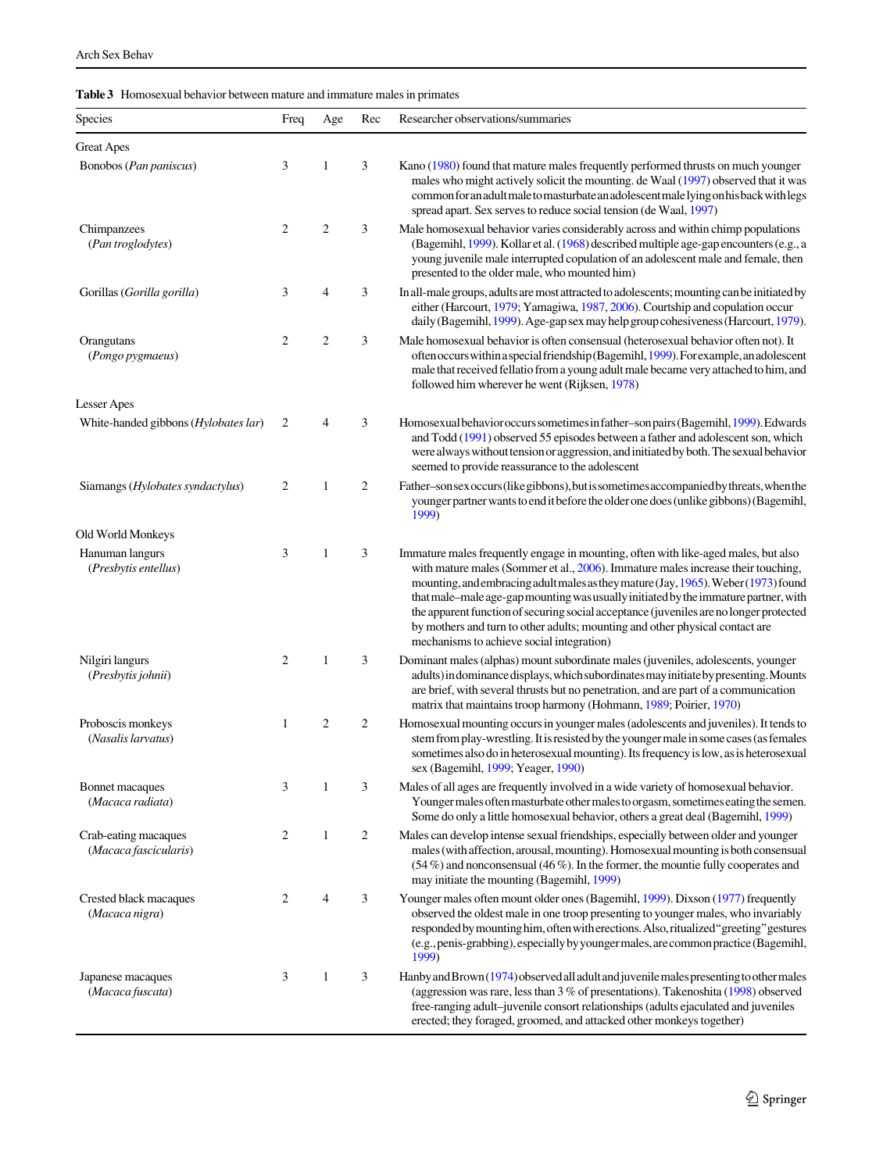<span id="page-24-0"></span>

| <b>Table 3</b> Homosexual behavior between mature and immature males in primates |
|----------------------------------------------------------------------------------|
|----------------------------------------------------------------------------------|

| Species                                       | Freq                    | Age            | Rec              | Researcher observations/summaries                                                                                                                                                                                                                                                                                                                                                                                                                                                                                                                                          |
|-----------------------------------------------|-------------------------|----------------|------------------|----------------------------------------------------------------------------------------------------------------------------------------------------------------------------------------------------------------------------------------------------------------------------------------------------------------------------------------------------------------------------------------------------------------------------------------------------------------------------------------------------------------------------------------------------------------------------|
| <b>Great Apes</b>                             |                         |                |                  |                                                                                                                                                                                                                                                                                                                                                                                                                                                                                                                                                                            |
| Bonobos (Pan paniscus)                        | 3                       | 1              | 3                | Kano (1980) found that mature males frequently performed thrusts on much younger<br>males who might actively solicit the mounting. de Waal (1997) observed that it was<br>common for an adult male to masturbate an adolescent male lying on his back with legs<br>spread apart. Sex serves to reduce social tension (de Waal, 1997)                                                                                                                                                                                                                                       |
| Chimpanzees<br>(Pan troglodytes)              | 2                       | 2              | 3                | Male homosexual behavior varies considerably across and within chimp populations<br>(Bagemihl, 1999). Kollar et al. (1968) described multiple age-gap encounters (e.g., a<br>young juvenile male interrupted copulation of an adolescent male and female, then<br>presented to the older male, who mounted him)                                                                                                                                                                                                                                                            |
| Gorillas (Gorilla gorilla)                    | 3                       | 4              | 3                | In all-male groups, adults are most attracted to adolescents; mounting can be initiated by<br>either (Harcourt, 1979; Yamagiwa, 1987, 2006). Courtship and copulation occur<br>daily (Bagemihl, 1999). Age-gap sex may help group cohesiveness (Harcourt, 1979).                                                                                                                                                                                                                                                                                                           |
| Orangutans<br>(Pongo pygmaeus)                | $\overline{\mathbf{c}}$ | $\overline{c}$ | 3                | Male homosexual behavior is often consensual (heterosexual behavior often not). It<br>often occurs within a special friendship (Bagemihl, 1999). For example, an adolescent<br>male that received fellatio from a young adult male became very attached to him, and<br>followed him wherever he went (Rijksen, 1978)                                                                                                                                                                                                                                                       |
| Lesser Apes                                   |                         |                |                  |                                                                                                                                                                                                                                                                                                                                                                                                                                                                                                                                                                            |
| White-handed gibbons (Hylobates lar)          | 2                       | 4              | 3                | Homosexual behavior occurs sometimes in father–son pairs (Bagemihl, 1999). Edwards<br>and Todd (1991) observed 55 episodes between a father and adolescent son, which<br>were always without tension or aggression, and initiated by both. The sexual behavior<br>seemed to provide reassurance to the adolescent                                                                                                                                                                                                                                                          |
| Siamangs (Hylobates syndactylus)              | 2                       | 1              | $\mathfrak{2}$   | Father-son sex occurs (like gibbons), but is sometimes accompanied by threats, when the<br>younger partner wants to end it before the older one does (unlike gibbons) (Bagemihl,<br>1999)                                                                                                                                                                                                                                                                                                                                                                                  |
| Old World Monkeys                             |                         |                |                  |                                                                                                                                                                                                                                                                                                                                                                                                                                                                                                                                                                            |
| Hanuman langurs<br>(Presbytis entellus)       | 3                       | 1              | 3                | Immature males frequently engage in mounting, often with like-aged males, but also<br>with mature males (Sommer et al., 2006). Immature males increase their touching,<br>mounting, and embracing adult males as they mature (Jay, 1965). Weber (1973) found<br>that male-male age-gap mounting was usually initiated by the immature partner, with<br>the apparent function of securing social acceptance (juveniles are no longer protected<br>by mothers and turn to other adults; mounting and other physical contact are<br>mechanisms to achieve social integration) |
| Nilgiri langurs<br>(Presbytis johnii)         | $\overline{\mathbf{c}}$ | 1              | 3                | Dominant males (alphas) mount subordinate males (juveniles, adolescents, younger<br>adults) in dominance displays, which subordinates may initiate by presenting. Mounts<br>are brief, with several thrusts but no penetration, and are part of a communication<br>matrix that maintains troop harmony (Hohmann, 1989; Poirier, 1970)                                                                                                                                                                                                                                      |
| Proboscis monkeys<br>(Nasalis larvatus)       | 1                       | 2              | $\boldsymbol{2}$ | Homosexual mounting occurs in younger males (adolescents and juveniles). It tends to<br>stem from play-wrestling. It is resisted by the younger male in some cases (as females<br>sometimes also do in heterosexual mounting). Its frequency is low, as is heterosexual<br>sex (Bagemihl, 1999; Yeager, 1990)                                                                                                                                                                                                                                                              |
| Bonnet macaques<br>(Macaca radiata)           | 3                       | $\mathbf{1}$   | 3                | Males of all ages are frequently involved in a wide variety of homosexual behavior.<br>Younger males often masturbate other males to orgasm, sometimes eating the semen.<br>Some do only a little homosexual behavior, others a great deal (Bagemihl, 1999)                                                                                                                                                                                                                                                                                                                |
| Crab-eating macaques<br>(Macaca fascicularis) | 2                       | $\mathbf{1}$   | 2                | Males can develop intense sexual friendships, especially between older and younger<br>males (with affection, arousal, mounting). Homosexual mounting is both consensual<br>$(54\%)$ and nonconsensual (46%). In the former, the mountie fully cooperates and<br>may initiate the mounting (Bagemihl, 1999)                                                                                                                                                                                                                                                                 |
| Crested black macaques<br>(Macaca nigra)      | 2                       | 4              | 3                | Younger males often mount older ones (Bagemihl, 1999). Dixson (1977) frequently<br>observed the oldest male in one troop presenting to younger males, who invariably<br>responded by mounting him, often with erections. Also, ritualized "greeting" gestures<br>(e.g., penis-grabbing), especially by younger males, are common practice (Bagemihl,<br>1999)                                                                                                                                                                                                              |
| Japanese macaques<br>(Macaca fuscata)         | 3                       | $\mathbf{1}$   | 3                | Hanby and Brown $(1974)$ observed all adult and juvenile males presenting to other males<br>(aggression was rare, less than $3\%$ of presentations). Takenoshita (1998) observed<br>free-ranging adult-juvenile consort relationships (adults ejaculated and juveniles<br>erected; they foraged, groomed, and attacked other monkeys together)                                                                                                                                                                                                                             |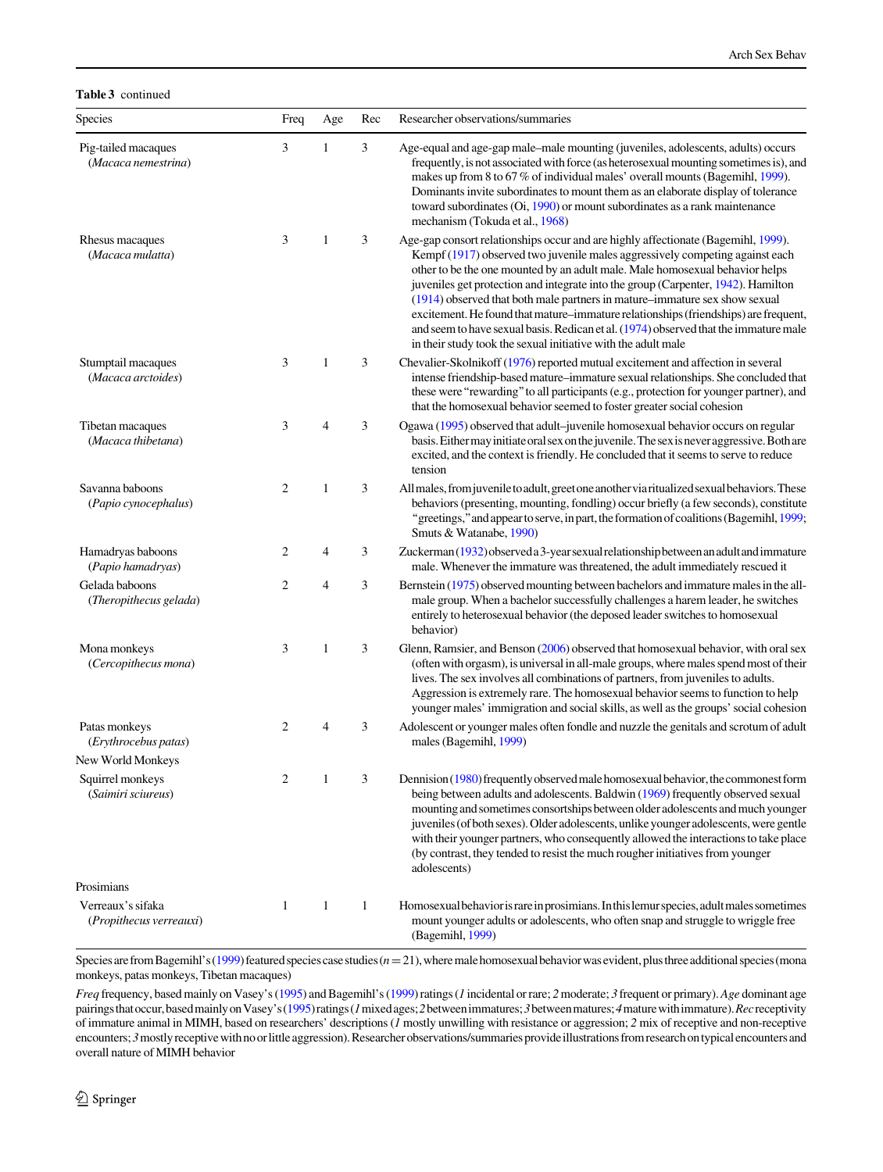### Table 3 continued

| Species                                                    | Freq           | Age            | Rec          | Researcher observations/summaries                                                                                                                                                                                                                                                                                                                                                                                                                                                                                                                                                                                                                                      |
|------------------------------------------------------------|----------------|----------------|--------------|------------------------------------------------------------------------------------------------------------------------------------------------------------------------------------------------------------------------------------------------------------------------------------------------------------------------------------------------------------------------------------------------------------------------------------------------------------------------------------------------------------------------------------------------------------------------------------------------------------------------------------------------------------------------|
| Pig-tailed macaques<br>(Macaca nemestrina)                 | 3              | $\mathbf{1}$   | 3            | Age-equal and age-gap male-male mounting (juveniles, adolescents, adults) occurs<br>frequently, is not associated with force (as heterosexual mounting sometimes is), and<br>makes up from 8 to 67% of individual males' overall mounts (Bagemihl, 1999).<br>Dominants invite subordinates to mount them as an elaborate display of tolerance<br>toward subordinates $(0i, 1990)$ or mount subordinates as a rank maintenance<br>mechanism (Tokuda et al., 1968)                                                                                                                                                                                                       |
| Rhesus macaques<br>(Macaca mulatta)                        | 3              | 1              | 3            | Age-gap consort relationships occur and are highly affectionate (Bagemihl, 1999).<br>Kempf (1917) observed two juvenile males aggressively competing against each<br>other to be the one mounted by an adult male. Male homosexual behavior helps<br>juveniles get protection and integrate into the group (Carpenter, 1942). Hamilton<br>(1914) observed that both male partners in mature–immature sex show sexual<br>excitement. He found that mature-immature relationships (friendships) are frequent,<br>and seem to have sexual basis. Redican et al. $(1974)$ observed that the immature male<br>in their study took the sexual initiative with the adult male |
| Stumptail macaques<br>(Macaca arctoides)                   | 3              | 1              | 3            | Chevalier-Skolnikoff (1976) reported mutual excitement and affection in several<br>intense friendship-based mature-immature sexual relationships. She concluded that<br>these were "rewarding" to all participants (e.g., protection for younger partner), and<br>that the homosexual behavior seemed to foster greater social cohesion                                                                                                                                                                                                                                                                                                                                |
| Tibetan macaques<br>(Macaca thibetana)                     | 3              | 4              | 3            | Ogawa (1995) observed that adult-juvenile homosexual behavior occurs on regular<br>basis. Either may initiate oral sex on the juvenile. The sex is never aggressive. Both are<br>excited, and the context is friendly. He concluded that it seems to serve to reduce<br>tension                                                                                                                                                                                                                                                                                                                                                                                        |
| Savanna baboons<br>(Papio cynocephalus)                    | 2              | 1              | 3            | All males, from juvenile to adult, greet one another via ritualized sexual behaviors. These<br>behaviors (presenting, mounting, fondling) occur briefly (a few seconds), constitute<br>"greetings," and appear to serve, in part, the formation of coalitions (Bagemihl, 1999;<br>Smuts & Watanabe, 1990)                                                                                                                                                                                                                                                                                                                                                              |
| Hamadryas baboons<br>(Papio hamadryas)                     | 2              | 4              | 3            | Zuckerman (1932) observed a 3-year sexual relationship between an adult and immature<br>male. Whenever the immature was threatened, the adult immediately rescued it                                                                                                                                                                                                                                                                                                                                                                                                                                                                                                   |
| Gelada baboons<br>(Theropithecus gelada)                   | $\overline{c}$ | $\overline{4}$ | 3            | Bernstein (1975) observed mounting between bachelors and immature males in the all-<br>male group. When a bachelor successfully challenges a harem leader, he switches<br>entirely to heterosexual behavior (the deposed leader switches to homosexual<br>behavior)                                                                                                                                                                                                                                                                                                                                                                                                    |
| Mona monkeys<br>(Cercopithecus mona)                       | 3              | 1              | 3            | Glenn, Ramsier, and Benson (2006) observed that homosexual behavior, with oral sex<br>(often with orgasm), is universal in all-male groups, where males spend most of their<br>lives. The sex involves all combinations of partners, from juveniles to adults.<br>Aggression is extremely rare. The homosexual behavior seems to function to help<br>younger males' immigration and social skills, as well as the groups' social cohesion                                                                                                                                                                                                                              |
| Patas monkeys<br>(Erythrocebus patas)<br>New World Monkeys | 2              | 4              | 3            | Adolescent or younger males often fondle and nuzzle the genitals and scrotum of adult<br>males (Bagemihl, 1999)                                                                                                                                                                                                                                                                                                                                                                                                                                                                                                                                                        |
| Squirrel monkeys<br>(Saimiri sciureus)                     | 2              | 1              | 3            | Dennision (1980) frequently observed male homosexual behavior, the commonest form<br>being between adults and adolescents. Baldwin (1969) frequently observed sexual<br>mounting and sometimes consortships between older adolescents and much younger<br>juveniles (of both sexes). Older adolescents, unlike younger adolescents, were gentle<br>with their younger partners, who consequently allowed the interactions to take place<br>(by contrast, they tended to resist the much rougher initiatives from younger<br>adolescents)                                                                                                                               |
| Prosimians                                                 |                |                |              |                                                                                                                                                                                                                                                                                                                                                                                                                                                                                                                                                                                                                                                                        |
| Verreaux's sifaka<br>(Propithecus verreauxi)               | 1              | 1              | $\mathbf{1}$ | Homosexual behavior is rare in prosimians. In this lemur species, adult males sometimes<br>mount younger adults or adolescents, who often snap and struggle to wriggle free<br>(Bagemihl, 1999)                                                                                                                                                                                                                                                                                                                                                                                                                                                                        |

Species are from Bagemihl's ([1999](#page-28-0)) featured species case studies ( $n=21$ ), where male homosexual behavior was evident, plus three additional species (mona monkeys, patas monkeys, Tibetan macaques)

Freq frequency, based mainly on Vasey's [\(1995](#page-32-0)) and Bagemihl's [\(1999](#page-28-0)) ratings (1 incidental or rare; 2 moderate; 3 frequent or primary). Age dominant age pairingsthatoccur,basedmainlyon Vasey's([1995\)](#page-32-0)ratings(1mixedages;2betweenimmatures;3betweenmatures;4mature withimmature).Recreceptivity of immature animal in MIMH, based on researchers' descriptions (1 mostly unwilling with resistance or aggression; 2 mix of receptive and non-receptive encounters; 3 mostly receptive with no or little aggression). Researcher observations/summaries provide illustrations from research on typical encounters and overall nature of MIMH behavior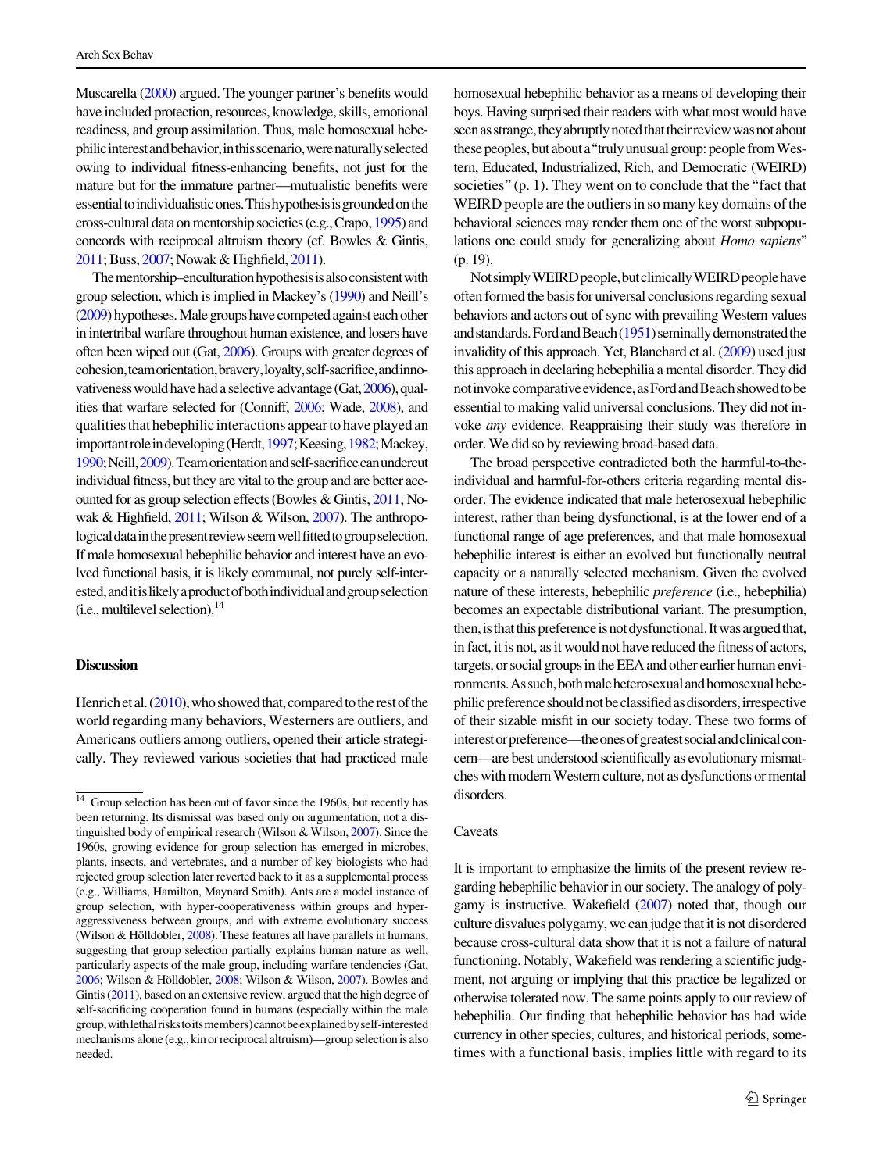Muscarella [\(2000\)](#page-30-0) argued. The younger partner's benefits would have included protection, resources, knowledge, skills, emotional readiness, and group assimilation. Thus, male homosexual hebephilicinterestandbehavior,inthisscenario,werenaturallyselected owing to individual fitness-enhancing benefits, not just for the mature but for the immature partner—mutualistic benefits were essential to individualistic ones. This hypothesis is grounded on the cross-cultural data on mentorship societies (e.g., Crapo, [1995\)](#page-28-0) and concords with reciprocal altruism theory (cf. Bowles & Gintis, [2011;](#page-28-0) Buss, [2007;](#page-28-0) Nowak & Highfield, [2011\)](#page-30-0).

The mentorship–enculturation hypothesis is also consistent with group selection, which is implied in Mackey's [\(1990](#page-30-0)) and Neill's [\(2009](#page-30-0)) hypotheses. Male groups have competed against each other in intertribal warfare throughout human existence, and losers have often been wiped out (Gat, [2006\)](#page-29-0). Groups with greater degrees of cohesion,teamorientation,bravery,loyalty,self-sacrifice,andinno-vativeness would have had a selective advantage (Gat, [2006\)](#page-29-0), qualities that warfare selected for (Conniff, [2006;](#page-28-0) Wade, [2008](#page-32-0)), and qualities that hebephilic interactions appear to have played an importantrole in developing (Herdt, [1997](#page-29-0); Keesing, [1982](#page-29-0); Mackey, [1990](#page-30-0);Neill,[2009\)](#page-30-0).Teamorientationandself-sacrificecanundercut individual fitness, but they are vital to the group and are better accounted for as group selection effects (Bowles & Gintis, [2011;](#page-28-0) No-wak & Highfield, [2011](#page-30-0); Wilson & Wilson, [2007](#page-32-0)). The anthropological data in the present review seem well fitted to group selection. If male homosexual hebephilic behavior and interest have an evolved functional basis, it is likely communal, not purely self-interested,anditislikelyaproductofbothindividualandgroupselection  $(i.e.,$  multilevel selection).<sup>14</sup>

# Discussion

Henrich et al.  $(2010)$ , who showed that, compared to the rest of the world regarding many behaviors, Westerners are outliers, and Americans outliers among outliers, opened their article strategically. They reviewed various societies that had practiced male

homosexual hebephilic behavior as a means of developing their boys. Having surprised their readers with what most would have seen as strange, they abruptly noted that their review was not about these peoples, but about a "truly unusual group: people from Western, Educated, Industrialized, Rich, and Democratic (WEIRD) societies" (p. 1). They went on to conclude that the "fact that WEIRD people are the outliers in so many key domains of the behavioral sciences may render them one of the worst subpopulations one could study for generalizing about Homo sapiens'' (p. 19).

Not simply WEIRD people, but clinically WEIRD people have often formed the basis for universal conclusions regarding sexual behaviors and actors out of sync with prevailing Western values and standards. Ford and Beach ([1951](#page-29-0)) seminally demonstrated the invalidity of this approach. Yet, Blanchard et al. [\(2009\)](#page-28-0) used just this approach in declaring hebephilia a mental disorder. They did notinvokecomparativeevidence,asFordandBeachshowedtobe essential to making valid universal conclusions. They did not invoke any evidence. Reappraising their study was therefore in order. We did so by reviewing broad-based data.

The broad perspective contradicted both the harmful-to-theindividual and harmful-for-others criteria regarding mental disorder. The evidence indicated that male heterosexual hebephilic interest, rather than being dysfunctional, is at the lower end of a functional range of age preferences, and that male homosexual hebephilic interest is either an evolved but functionally neutral capacity or a naturally selected mechanism. Given the evolved nature of these interests, hebephilic preference (i.e., hebephilia) becomes an expectable distributional variant. The presumption, then, is that this preference is not dysfunctional. It was argued that, in fact, it is not, as it would not have reduced the fitness of actors, targets, or social groups in the EEA and other earlier human environments. As such, both male heterosexual and homosexual hebephilic preference should not be classified as disorders, irrespective of their sizable misfit in our society today. These two forms of interest or preference—the ones of greatest social and clinical concern—are best understood scientifically as evolutionary mismatches with modern Western culture, not as dysfunctions or mental disorders.

# **Caveats**

It is important to emphasize the limits of the present review regarding hebephilic behavior in our society. The analogy of polygamy is instructive. Wakefield ([2007](#page-32-0)) noted that, though our culture disvalues polygamy, we can judge that it is not disordered because cross-cultural data show that it is not a failure of natural functioning. Notably, Wakefield was rendering a scientific judgment, not arguing or implying that this practice be legalized or otherwise tolerated now. The same points apply to our review of hebephilia. Our finding that hebephilic behavior has had wide currency in other species, cultures, and historical periods, sometimes with a functional basis, implies little with regard to its

<sup>&</sup>lt;sup>14</sup> Group selection has been out of favor since the 1960s, but recently has been returning. Its dismissal was based only on argumentation, not a distinguished body of empirical research (Wilson & Wilson, [2007](#page-32-0)). Since the 1960s, growing evidence for group selection has emerged in microbes, plants, insects, and vertebrates, and a number of key biologists who had rejected group selection later reverted back to it as a supplemental process (e.g., Williams, Hamilton, Maynard Smith). Ants are a model instance of group selection, with hyper-cooperativeness within groups and hyperaggressiveness between groups, and with extreme evolutionary success (Wilson & Hölldobler,  $2008$ ). These features all have parallels in humans, suggesting that group selection partially explains human nature as well, particularly aspects of the male group, including warfare tendencies (Gat, [2006](#page-29-0); Wilson & Hölldobler, [2008](#page-32-0); Wilson & Wilson, [2007\)](#page-32-0). Bowles and Gintis [\(2011](#page-28-0)), based on an extensive review, argued that the high degree of self-sacrificing cooperation found in humans (especially within the male group,withlethalriskstoitsmembers)cannotbeexplainedbyself-interested mechanisms alone (e.g., kin or reciprocal altruism)—group selection is also needed.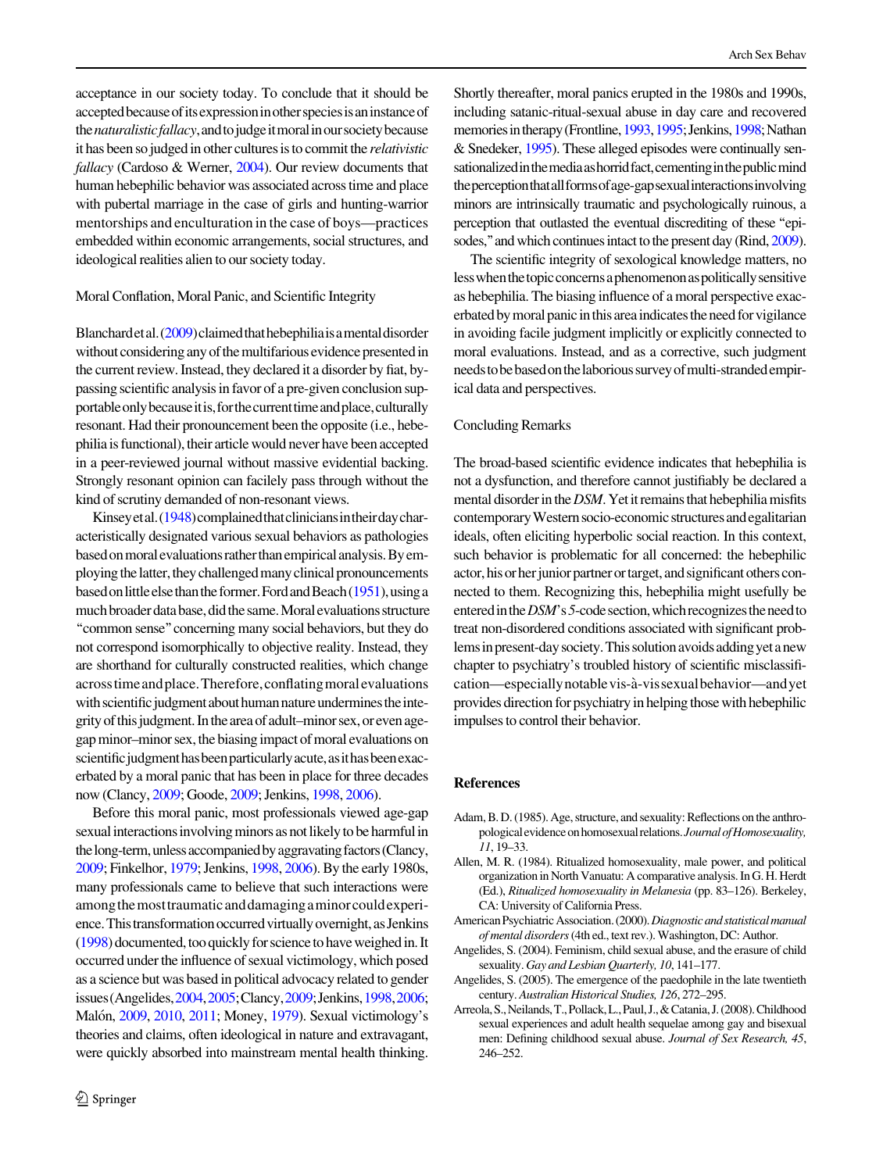<span id="page-27-0"></span>acceptance in our society today. To conclude that it should be accepted because of its expression in other species is an instance of the *naturalistic fallacy*, and to judge it moral in our society because it has been so judged in other cultures is to commit the relativistic fallacy (Cardoso & Werner, [2004](#page-28-0)). Our review documents that human hebephilic behavior was associated across time and place with pubertal marriage in the case of girls and hunting-warrior mentorships and enculturation in the case of boys—practices embedded within economic arrangements, social structures, and ideological realities alien to our society today.

### Moral Conflation, Moral Panic, and Scientific Integrity

Blanchard et al. [\(2009\)](#page-28-0) claimed that hebephilia is a mental disorder without considering any of the multifarious evidence presented in the current review. Instead, they declared it a disorder by fiat, bypassing scientific analysis in favor of a pre-given conclusion supportableonlybecauseitis,forthecurrenttimeandplace,culturally resonant. Had their pronouncement been the opposite (i.e., hebephilia is functional), their article would never have been accepted in a peer-reviewed journal without massive evidential backing. Strongly resonant opinion can facilely pass through without the kind of scrutiny demanded of non-resonant views.

Kinseyetal. [\(1948](#page-30-0)) complained that clinicians in their day characteristically designated various sexual behaviors as pathologies based on moral evaluations rather than empirical analysis. By employing the latter, they challenged many clinical pronouncements based on little else than the former. Ford and Beach [\(1951\)](#page-29-0), using a much broader data base, did the same. Moral evaluations structure ''common sense''concerning many social behaviors, but they do not correspond isomorphically to objective reality. Instead, they are shorthand for culturally constructed realities, which change acrosstimeandplace.Therefore,conflatingmoralevaluations with scientific judgment about human nature undermines the integrityofthisjudgment.Intheareaofadult–minorsex,orevenagegap minor–minor sex, the biasing impact of moral evaluations on scientific judgment has been particularly acute, as it has been exacerbated by a moral panic that has been in place for three decades now (Clancy, [2009;](#page-28-0) Goode, [2009](#page-29-0); Jenkins, [1998](#page-29-0), [2006](#page-29-0)).

Before this moral panic, most professionals viewed age-gap sexual interactions involving minors as not likely to be harmful in the long-term, unless accompanied by aggravating factors (Clancy, [2009;](#page-28-0) Finkelhor, [1979](#page-28-0); Jenkins, [1998](#page-29-0), [2006\)](#page-29-0). By the early 1980s, many professionals came to believe that such interactions were amongthemosttraumaticanddamagingaminorcouldexperience. This transformation occurred virtually overnight, as Jenkins [\(1998\)](#page-29-0) documented, too quickly for science to have weighed in. It occurred under the influence of sexual victimology, which posed as a science but was based in political advocacy related to gender issues(Angelides,2004,2005;Clancy,[2009](#page-28-0);Jenkins,[1998](#page-29-0),[2006](#page-29-0); Malón, [2009](#page-30-0), [2010,](#page-30-0) [2011](#page-30-0); Money, [1979](#page-30-0)). Sexual victimology's theories and claims, often ideological in nature and extravagant, were quickly absorbed into mainstream mental health thinking.

Shortly thereafter, moral panics erupted in the 1980s and 1990s, including satanic-ritual-sexual abuse in day care and recovered memories in therapy (Frontline, 1993, 1995; Jenkins, [1998;](#page-29-0) Nathan & Snedeker, [1995](#page-30-0)). These alleged episodes were continually sensationalized in the media as horrid fact, cementing in the public mind theperceptionthatallformsofage-gapsexualinteractionsinvolving minors are intrinsically traumatic and psychologically ruinous, a perception that outlasted the eventual discrediting of these ''epi-sodes," and which continues intact to the present day (Rind, [2009\)](#page-31-0).

The scientific integrity of sexological knowledge matters, no lesswhenthetopicconcernsaphenomenonaspoliticallysensitive as hebephilia. The biasing influence of a moral perspective exacerbated by moral panic in this area indicates the need for vigilance in avoiding facile judgment implicitly or explicitly connected to moral evaluations. Instead, and as a corrective, such judgment needs to be based on the laborious survey of multi-stranded empirical data and perspectives.

### Concluding Remarks

The broad-based scientific evidence indicates that hebephilia is not a dysfunction, and therefore cannot justifiably be declared a mental disorder in the DSM. Yet it remains that hebephilia misfits contemporaryWesternsocio-economicstructuresandegalitarian ideals, often eliciting hyperbolic social reaction. In this context, such behavior is problematic for all concerned: the hebephilic actor, his or her junior partner or target, and significant others connected to them. Recognizing this, hebephilia might usefully be entered in the DSM's 5-code section, which recognizes the need to treat non-disordered conditions associated with significant problemsinpresent-daysociety.Thissolutionavoidsaddingyetanew chapter to psychiatry's troubled history of scientific misclassification—especiallynotablevis-a`-vissexualbehavior—andyet provides direction for psychiatry in helping those with hebephilic impulses to control their behavior.

#### References

- Adam, B. D. (1985). Age, structure, and sexuality: Reflections on the anthropological evidence on homosexual relations. Journal of Homosexuality, 11, 19–33.
- Allen, M. R. (1984). Ritualized homosexuality, male power, and political organization in North Vanuatu: A comparative analysis. In G. H. Herdt (Ed.), Ritualized homosexuality in Melanesia (pp. 83–126). Berkeley, CA: University of California Press.
- American Psychiatric Association. (2000). Diagnostic and statistical manual of mental disorders(4th ed., text rev.). Washington, DC: Author.
- Angelides, S. (2004). Feminism, child sexual abuse, and the erasure of child sexuality. Gay and Lesbian Quarterly, 10, 141–177.
- Angelides, S. (2005). The emergence of the paedophile in the late twentieth century. Australian Historical Studies, 126, 272–295.
- Arreola,S.,Neilands,T.,Pollack,L.,Paul,J.,&Catania,J.(2008).Childhood sexual experiences and adult health sequelae among gay and bisexual men: Defining childhood sexual abuse. Journal of Sex Research, 45, 246–252.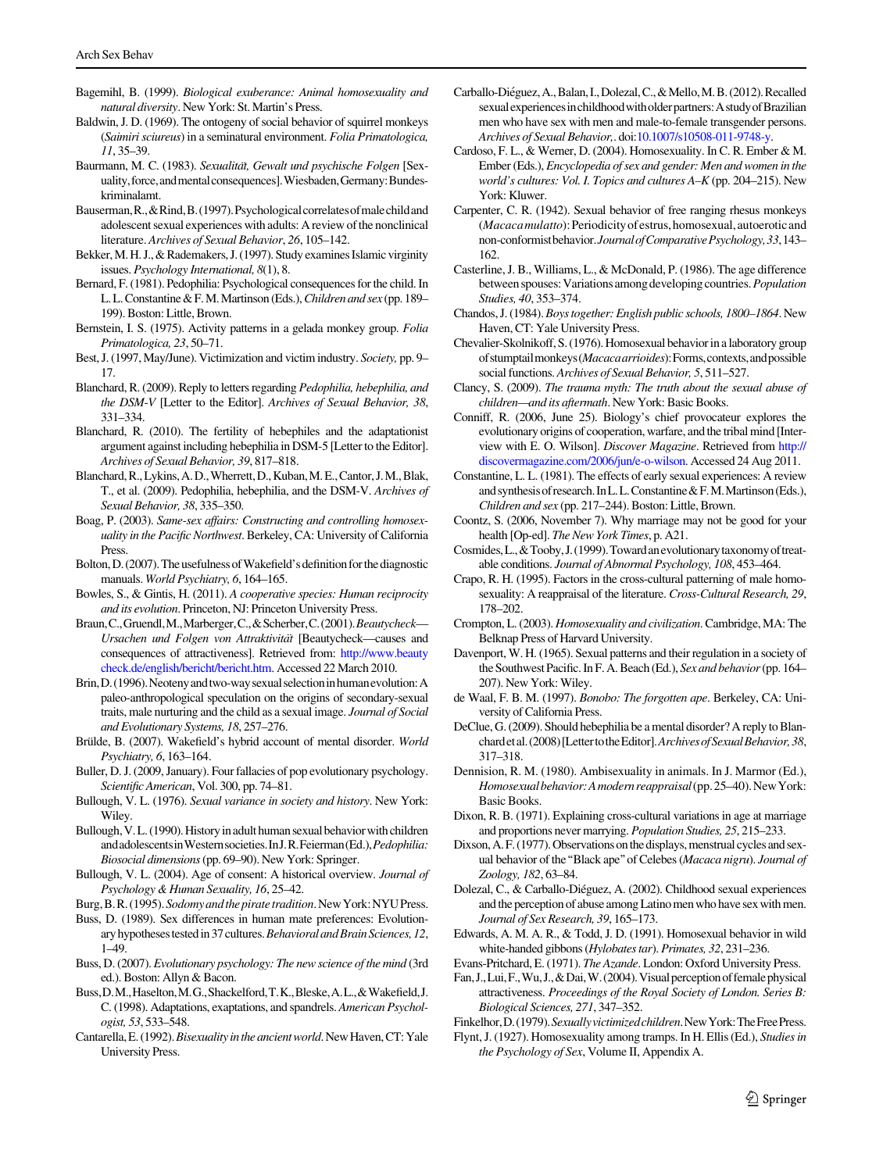- <span id="page-28-0"></span>Bagemihl, B. (1999). Biological exuberance: Animal homosexuality and natural diversity. New York: St. Martin's Press.
- Baldwin, J. D. (1969). The ontogeny of social behavior of squirrel monkeys (Saimiri sciureus) in a seminatural environment. Folia Primatologica, 11, 35–39.
- Baurmann, M. C. (1983). Sexualität, Gewalt und psychische Folgen [Sexuality, force, and mental consequences]. Wiesbaden, Germany: Bundeskriminalamt.
- Bauserman, R., & Rind, B. (1997). Psychological correlates of male child and adolescent sexual experiences with adults: A review of the nonclinical literature. Archives of Sexual Behavior, 26, 105–142.
- Bekker, M. H. J., & Rademakers, J. (1997). Study examines Islamic virginity issues. Psychology International, 8(1), 8.
- Bernard, F. (1981). Pedophilia: Psychological consequences for the child. In L.L. Constantine & F.M. Martinson (Eds.), Children and sex (pp. 189– 199). Boston: Little, Brown.
- Bernstein, I. S. (1975). Activity patterns in a gelada monkey group. Folia Primatologica, 23, 50–71.
- Best, J. (1997, May/June). Victimization and victim industry. Society, pp. 9– 17.
- Blanchard, R. (2009). Reply to letters regarding Pedophilia, hebephilia, and the DSM-V [Letter to the Editor]. Archives of Sexual Behavior, 38, 331–334.
- Blanchard, R. (2010). The fertility of hebephiles and the adaptationist argument against including hebephilia in DSM-5 [Letter to the Editor]. Archives of Sexual Behavior, 39, 817–818.
- Blanchard,R.,Lykins,A.D.,Wherrett,D.,Kuban,M.E.,Cantor,J.M.,Blak, T., et al. (2009). Pedophilia, hebephilia, and the DSM-V. Archives of Sexual Behavior, 38, 335–350.
- Boag, P. (2003). Same-sex affairs: Constructing and controlling homosexuality in the Pacific Northwest. Berkeley, CA: University of California Press.
- Bolton, D. (2007). The usefulness of Wakefield's definition for the diagnostic manuals. World Psychiatry, 6, 164–165.
- Bowles, S., & Gintis, H. (2011). A cooperative species: Human reciprocity and its evolution. Princeton, NJ: Princeton University Press.
- Braun, C., Gruendl, M., Marberger, C., & Scherber, C. (2001). Beautycheck-Ursachen und Folgen von Attraktivität [Beautycheck-causes and consequences of attractiveness]. Retrieved from: [http://www.beauty](http://www.beautycheck.de/english/bericht/bericht.htm) [check.de/english/bericht/bericht.htm](http://www.beautycheck.de/english/bericht/bericht.htm). Accessed 22 March 2010.
- Brin, D. (1996). Neoteny and two-way sexual selection in human evolution: A paleo-anthropological speculation on the origins of secondary-sexual traits, male nurturing and the child as a sexual image. Journal of Social and Evolutionary Systems, 18, 257–276.
- Brülde, B. (2007). Wakefield's hybrid account of mental disorder. World Psychiatry, 6, 163–164.
- Buller, D. J. (2009, January). Four fallacies of pop evolutionary psychology. Scientific American, Vol. 300, pp. 74–81.
- Bullough, V. L. (1976). Sexual variance in society and history. New York: Wiley.
- Bullough, V.L. (1990). History in adult human sexual behavior with children andadolescentsinWesternsocieties.InJ.R.Feierman(Ed.),Pedophilia: Biosocial dimensions(pp. 69–90). New York: Springer.
- Bullough, V. L. (2004). Age of consent: A historical overview. Journal of Psychology & Human Sexuality, 16, 25–42.
- Burg, B.R. (1995). Sodomy and the pirate tradition. New York: NYU Press.
- Buss, D. (1989). Sex differences in human mate preferences: Evolutionary hypotheses tested in 37 cultures. Behavioral and Brain Sciences, 12, 1–49.
- Buss, D. (2007). Evolutionary psychology: The new science of the mind (3rd ed.). Boston: Allyn & Bacon.
- Buss,D.M.,Haselton,M.G.,Shackelford,T.K.,Bleske,A.L.,&Wakefield,J. C. (1998). Adaptations, exaptations, and spandrels. American Psychologist, 53, 533–548.
- Cantarella, E. (1992). Bisexuality in the ancient world. New Haven, CT: Yale University Press.
- Carballo-Diéguez, A., Balan, I., Dolezal, C., & Mello, M.B. (2012). Recalled sexual experiences in childhood with older partners: A study of Brazilian men who have sex with men and male-to-female transgender persons. Archives of Sexual Behavior,. doi:[10.1007/s10508-011-9748-y.](http://dx.doi.org/10.1007/s10508-011-9748-y)
- Cardoso, F. L., & Werner, D. (2004). Homosexuality. In C. R. Ember & M. Ember (Eds.), Encyclopedia of sex and gender: Men and women in the world's cultures: Vol. I. Topics and cultures A–K (pp. 204–215). New York: Kluwer.
- Carpenter, C. R. (1942). Sexual behavior of free ranging rhesus monkeys (Macacamulatto): Periodicity of estrus, homosexual, autoerotic and non-conformistbehavior.JournalofComparativePsychology,33,143– 162.
- Casterline, J. B., Williams, L., & McDonald, P. (1986). The age difference between spouses: Variations among developing countries. Population Studies, 40, 353–374.
- Chandos, J. (1984).Boys together: English public schools, 1800–1864. New Haven, CT: Yale University Press.
- Chevalier-Skolnikoff, S. (1976). Homosexual behavior in a laboratory group of stumptail monkeys (Macaca arrioides): Forms, contexts, and possible social functions. Archives of Sexual Behavior, 5, 511–527.
- Clancy, S. (2009). The trauma myth: The truth about the sexual abuse of children—and its aftermath. New York: Basic Books.
- Conniff, R. (2006, June 25). Biology's chief provocateur explores the evolutionary origins of cooperation, warfare, and the tribal mind [Interview with E. O. Wilson]. Discover Magazine. Retrieved from [http://](http://discovermagazine.com/2006/jun/e-o-wilson) [discovermagazine.com/2006/jun/e-o-wilson](http://discovermagazine.com/2006/jun/e-o-wilson). Accessed 24 Aug 2011.
- Constantine, L. L. (1981). The effects of early sexual experiences: A review andsynthesisofresearch.InL.L.Constantine&F.M.Martinson(Eds.), Children and sex (pp. 217–244). Boston: Little, Brown.
- Coontz, S. (2006, November 7). Why marriage may not be good for your health [Op-ed]. The New York Times, p. A21.
- Cosmides,L.,&Tooby,J.(1999).Towardanevolutionarytaxonomyoftreatable conditions. Journal of Abnormal Psychology, 108, 453–464.
- Crapo, R. H. (1995). Factors in the cross-cultural patterning of male homosexuality: A reappraisal of the literature. Cross-Cultural Research, 29, 178–202.
- Crompton, L. (2003). Homosexuality and civilization. Cambridge, MA: The Belknap Press of Harvard University.
- Davenport, W. H. (1965). Sexual patterns and their regulation in a society of the Southwest Pacific. In F. A. Beach (Ed.), Sex and behavior (pp. 164– 207). New York: Wiley.
- de Waal, F. B. M. (1997). Bonobo: The forgotten ape. Berkeley, CA: University of California Press.
- DeClue, G. (2009). Should hebephilia be a mental disorder? A reply to Blanchardet al. (2008) [Letter to the Editor]. Archives of Sexual Behavior, 38, 317–318.
- Dennision, R. M. (1980). Ambisexuality in animals. In J. Marmor (Ed.), Homosexual behavior: A modern reappraisal (pp. 25-40). New York: Basic Books.
- Dixon, R. B. (1971). Explaining cross-cultural variations in age at marriage and proportions never marrying. Population Studies, 25, 215–233.
- Dixson, A.F. (1977). Observations on the displays, menstrual cycles and sexual behavior of the "Black ape" of Celebes (Macaca nigru). Journal of Zoology, 182, 63–84.
- Dolezal, C., & Carballo-Diéguez, A. (2002). Childhood sexual experiences and the perception of abuse among Latino menwho have sex with men. Journal of Sex Research, 39, 165–173.
- Edwards, A. M. A. R., & Todd, J. D. (1991). Homosexual behavior in wild white-handed gibbons (Hylobates tar). Primates, 32, 231–236.
- Evans-Pritchard, E. (1971). The Azande. London: Oxford University Press.
- Fan,J.,Lui,F.,Wu,J.,&Dai,W.(2004).Visualperceptionoffemalephysical attractiveness. Proceedings of the Royal Society of London. Series B: Biological Sciences, 271, 347–352.
- Finkelhor, D. (1979). Sexually victimized children. New York: The Free Press.
- Flynt, J. (1927). Homosexuality among tramps. In H. Ellis (Ed.), Studies in the Psychology of Sex, Volume II, Appendix A.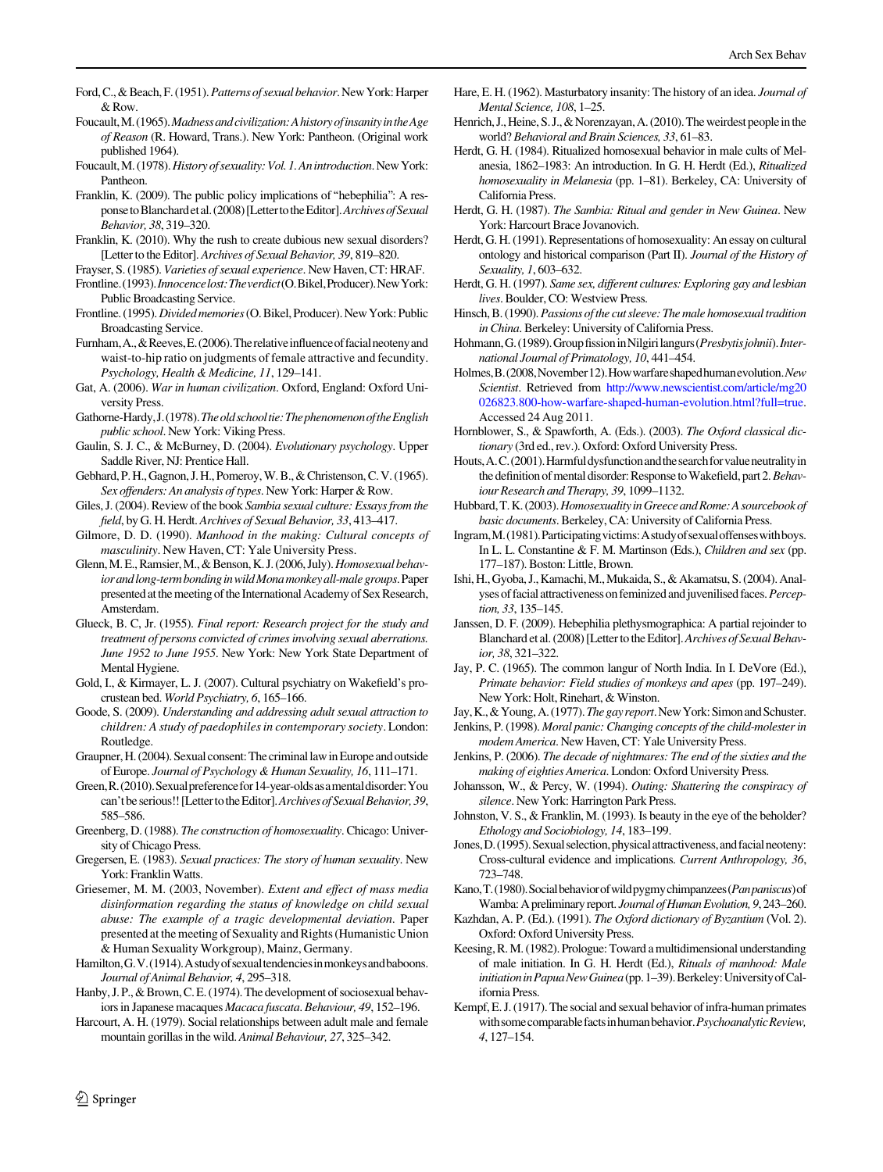- <span id="page-29-0"></span>Foucault,M.(1965).Madnessandcivilization:AhistoryofinsanityintheAge of Reason (R. Howard, Trans.). New York: Pantheon. (Original work published 1964).
- Foucault, M. (1978). History of sexuality: Vol. 1. An introduction. New York: Pantheon.
- Franklin, K. (2009). The public policy implications of "hebephilia": A response to Blanchard et al. (2008) [Letter to the Editor]. Archives of Sexual Behavior, 38, 319–320.
- Franklin, K. (2010). Why the rush to create dubious new sexual disorders? [Letter to the Editor]. Archives of Sexual Behavior, 39, 819–820.
- Frayser, S. (1985). Varieties of sexual experience. New Haven, CT: HRAF.
- Frontline.(1993).Innocencelost:Theverdict(O.Bikel,Producer).NewYork: Public Broadcasting Service.
- Frontline. (1995). Divided memories (O. Bikel, Producer). New York: Public Broadcasting Service.
- Furnham, A., & Reeves, E. (2006). The relative influence of facial neoteny and waist-to-hip ratio on judgments of female attractive and fecundity. Psychology, Health & Medicine, 11, 129–141.
- Gat, A. (2006). War in human civilization. Oxford, England: Oxford University Press.
- Gathorne-Hardy, J. (1978). The old school tie: The phenomenon of the English public school. New York: Viking Press.
- Gaulin, S. J. C., & McBurney, D. (2004). Evolutionary psychology. Upper Saddle River, NJ: Prentice Hall.
- Gebhard, P. H., Gagnon, J. H., Pomeroy, W. B., & Christenson, C. V. (1965). Sex offenders: An analysis of types. New York: Harper & Row.
- Giles, J. (2004). Review of the book Sambia sexual culture: Essays from the field, by G. H. Herdt. Archives of Sexual Behavior, 33, 413–417.
- Gilmore, D. D. (1990). Manhood in the making: Cultural concepts of masculinity. New Haven, CT: Yale University Press.
- Glenn, M.E., Ramsier, M., & Benson, K.J. (2006, July). Homosexual behavior and long-term bonding in wild Mona monkey all-male groups. Paper presented at the meeting of the International Academy of Sex Research, Amsterdam.
- Glueck, B. C, Jr. (1955). Final report: Research project for the study and treatment of persons convicted of crimes involving sexual aberrations. June 1952 to June 1955. New York: New York State Department of Mental Hygiene.
- Gold, I., & Kirmayer, L. J. (2007). Cultural psychiatry on Wakefield's procrustean bed. World Psychiatry, 6, 165–166.
- Goode, S. (2009). Understanding and addressing adult sexual attraction to children: A study of paedophiles in contemporary society. London: Routledge.
- Graupner, H. (2004). Sexual consent: The criminal law in Europe and outside of Europe. Journal of Psychology & Human Sexuality, 16, 111–171.
- Green,R.(2010).Sexualpreferencefor14-year-oldsasamentaldisorder:You can't be serious!! [Letter to the Editor]. Archives of Sexual Behavior, 39, 585–586.
- Greenberg, D. (1988). The construction of homosexuality. Chicago: University of Chicago Press.
- Gregersen, E. (1983). Sexual practices: The story of human sexuality. New York: Franklin Watts.
- Griesemer, M. M. (2003, November). Extent and effect of mass media disinformation regarding the status of knowledge on child sexual abuse: The example of a tragic developmental deviation. Paper presented at the meeting of Sexuality and Rights (Humanistic Union & Human Sexuality Workgroup), Mainz, Germany.
- Hamilton, G.V. (1914). A study of sexual tendencies in monkeys and baboons. Journal of Animal Behavior, 4, 295–318.
- Hanby, J.P., & Brown, C.E. (1974). The development of sociosexual behaviors in Japanese macaques Macaca fuscata. Behaviour, 49, 152–196.
- Harcourt, A. H. (1979). Social relationships between adult male and female mountain gorillas in the wild. Animal Behaviour, 27, 325–342.
- Hare, E. H. (1962). Masturbatory insanity: The history of an idea. Journal of Mental Science, 108, 1–25.
- Henrich, J., Heine, S. J., & Norenzayan, A. (2010). The weirdest people in the world? Behavioral and Brain Sciences, 33, 61–83.
- Herdt, G. H. (1984). Ritualized homosexual behavior in male cults of Melanesia, 1862–1983: An introduction. In G. H. Herdt (Ed.), Ritualized homosexuality in Melanesia (pp. 1–81). Berkeley, CA: University of California Press.
- Herdt, G. H. (1987). The Sambia: Ritual and gender in New Guinea. New York: Harcourt Brace Jovanovich.
- Herdt, G. H. (1991). Representations of homosexuality: An essay on cultural ontology and historical comparison (Part II). Journal of the History of Sexuality, 1, 603–632.
- Herdt, G. H. (1997). Same sex, different cultures: Exploring gay and lesbian lives. Boulder, CO: Westview Press.
- Hinsch, B. (1990). Passions of the cut sleeve: The male homosexual tradition in China. Berkeley: University of California Press.
- Hohmann, G. (1989). Group fission in Nilgiri langurs (Presbytis johnii). International Journal of Primatology, 10, 441–454.
- Holmes,B.(2008,November12).Howwarfareshapedhumanevolution.New Scientist. Retrieved from [http://www.newscientist.com/article/mg20](http://www.newscientist.com/article/mg20026823.800-how-warfare-shaped-human-evolution.html?full=true) [026823.800-how-warfare-shaped-human-evolution.html?full=true](http://www.newscientist.com/article/mg20026823.800-how-warfare-shaped-human-evolution.html?full=true). Accessed 24 Aug 2011.
- Hornblower, S., & Spawforth, A. (Eds.). (2003). The Oxford classical dictionary (3rd ed., rev.). Oxford: Oxford University Press.
- Houts, A.C.(2001). Harmful dysfunction and the search for value neutrality in the definition of mental disorder: Response to Wakefield, part 2. Behaviour Research and Therapy, 39, 1099–1132.
- Hubbard, T. K. (2003). Homosexuality in Greece and Rome: A sourcebook of basic documents. Berkeley, CA: University of California Press.
- Ingram, M. (1981). Participating victims: A study of sexual offenses with boys. In L. L. Constantine & F. M. Martinson (Eds.), Children and sex (pp. 177–187). Boston: Little, Brown.
- Ishi, H., Gyoba, J., Kamachi, M., Mukaida, S., & Akamatsu, S. (2004). Analyses of facial attractiveness on feminized and juvenilised faces. Perception, 33, 135–145.
- Janssen, D. F. (2009). Hebephilia plethysmographica: A partial rejoinder to Blanchard et al. (2008) [Letter to the Editor].Archives of Sexual Behavior, 38, 321–322.
- Jay, P. C. (1965). The common langur of North India. In I. DeVore (Ed.), Primate behavior: Field studies of monkeys and apes (pp. 197–249). New York: Holt, Rinehart, & Winston.
- Jay, K., & Young, A. (1977). The gay report. New York: Simon and Schuster.
- Jenkins, P. (1998). Moral panic: Changing concepts of the child-molester in modem America. New Haven, CT: Yale University Press.
- Jenkins, P. (2006). The decade of nightmares: The end of the sixties and the making of eighties America. London: Oxford University Press.
- Johansson, W., & Percy, W. (1994). Outing: Shattering the conspiracy of silence. New York: Harrington Park Press.
- Johnston, V. S., & Franklin, M. (1993). Is beauty in the eye of the beholder? Ethology and Sociobiology, 14, 183–199.
- Jones, D. (1995). Sexual selection, physical attractiveness, and facial neoteny: Cross-cultural evidence and implications. Current Anthropology, 36, 723–748.
- Kano,T.(1980).Socialbehaviorofwildpygmychimpanzees(Panpaniscus)of Wamba: A preliminary report. Journal of Human Evolution, 9, 243-260.
- Kazhdan, A. P. (Ed.). (1991). The Oxford dictionary of Byzantium (Vol. 2). Oxford: Oxford University Press.
- Keesing, R. M. (1982). Prologue: Toward a multidimensional understanding of male initiation. In G. H. Herdt (Ed.), Rituals of manhood: Male initiation in Papua New Guinea (pp. 1-39). Berkeley: University of California Press.
- Kempf, E. J. (1917). The social and sexual behavior of infra-human primates with some comparable facts in human behavior. Psychoanalytic Review, 4, 127–154.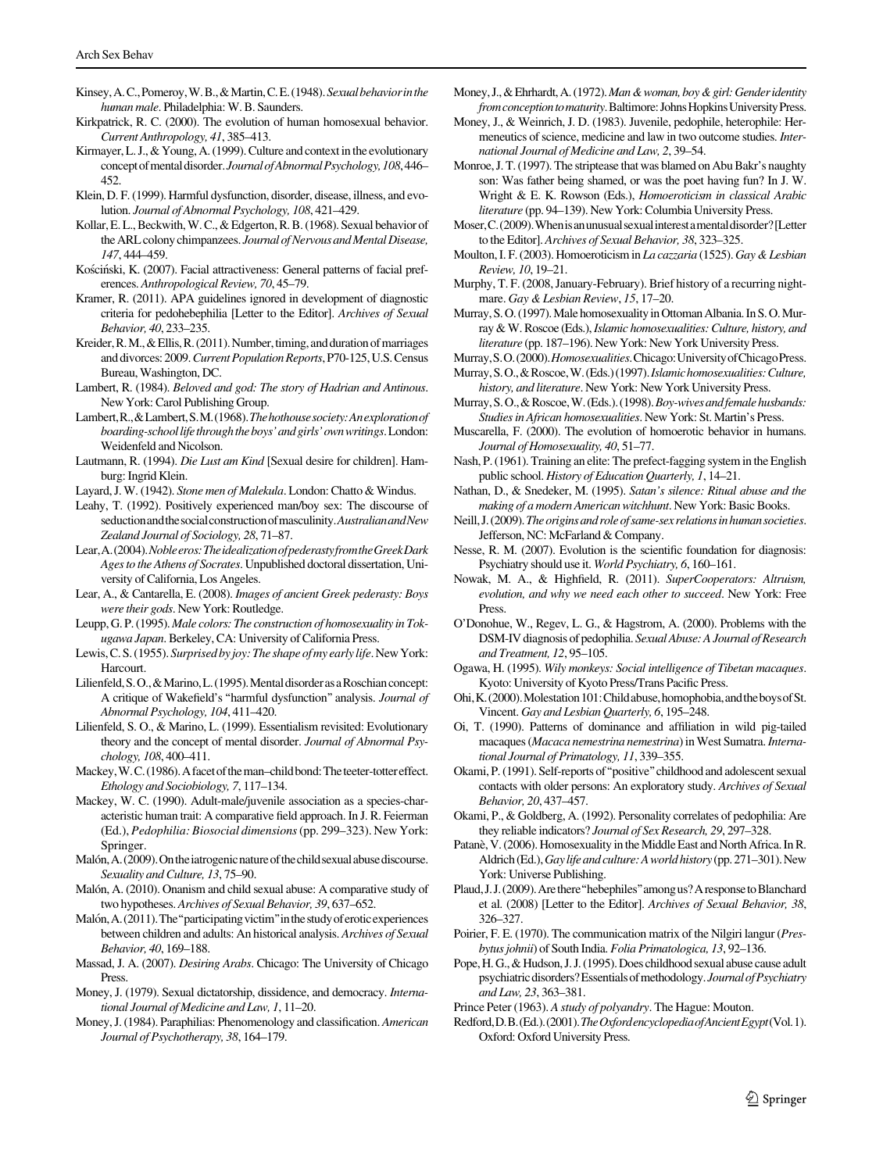<span id="page-30-0"></span>Kinsey, A.C., Pomeroy, W.B., & Martin, C.E. (1948). Sexual behavior in the human male. Philadelphia: W. B. Saunders.

Kirkpatrick, R. C. (2000). The evolution of human homosexual behavior. Current Anthropology, 41, 385–413.

- Kirmayer, L. J., & Young, A. (1999). Culture and context in the evolutionary concept of mental disorder. Journal of Abnormal Psychology, 108,446– 452.
- Klein, D. F. (1999). Harmful dysfunction, disorder, disease, illness, and evolution. Journal of Abnormal Psychology, 108, 421–429.
- Kollar, E. L., Beckwith, W. C., & Edgerton, R. B. (1968). Sexual behavior of the ARL colony chimpanzees. Journal of Nervous and Mental Disease, 147, 444–459.
- Kościński, K. (2007). Facial attractiveness: General patterns of facial preferences. Anthropological Review, 70, 45–79.
- Kramer, R. (2011). APA guidelines ignored in development of diagnostic criteria for pedohebephilia [Letter to the Editor]. Archives of Sexual Behavior, 40, 233–235.
- Kreider, R. M., & Ellis, R. (2011). Number, timing, and duration of marriages and divorces: 2009. Current Population Reports, P70-125, U.S. Census Bureau, Washington, DC.
- Lambert, R. (1984). Beloved and god: The story of Hadrian and Antinous. New York: Carol Publishing Group.
- Lambert, R., & Lambert, S.M. (1968). The hothouse society: An exploration of boarding-school life through the boys' and girls' own writings. London: Weidenfeld and Nicolson.
- Lautmann, R. (1994). Die Lust am Kind [Sexual desire for children]. Hamburg: Ingrid Klein.

Layard, J. W. (1942). Stone men of Malekula. London: Chatto & Windus.

- Leahy, T. (1992). Positively experienced man/boy sex: The discourse of seduction and the social construction of masculinity. Australian and New Zealand Journal of Sociology, 28, 71–87.
- Lear, A. (2004). Noble eros: The idealization of pederasty from the Greek Dark Ages to the Athens of Socrates. Unpublished doctoral dissertation, University of California, Los Angeles.
- Lear, A., & Cantarella, E. (2008). Images of ancient Greek pederasty: Boys were their gods. New York: Routledge.
- Leupp, G. P. (1995). Male colors: The construction of homosexuality in Tokugawa Japan. Berkeley, CA: University of California Press.
- Lewis, C.S. (1955). Surprised by joy: The shape of my early life. New York: Harcourt.
- Lilienfeld, S.O., & Marino, L. (1995). Mental disorder as a Roschian concept: A critique of Wakefield's ''harmful dysfunction'' analysis. Journal of Abnormal Psychology, 104, 411–420.
- Lilienfeld, S. O., & Marino, L. (1999). Essentialism revisited: Evolutionary theory and the concept of mental disorder. Journal of Abnormal Psychology, 108, 400–411.
- Mackey, W. C. (1986). A facet of the man–child bond: The teeter-totter effect. Ethology and Sociobiology, 7, 117–134.
- Mackey, W. C. (1990). Adult-male/juvenile association as a species-characteristic human trait: A comparative field approach. In J. R. Feierman (Ed.), Pedophilia: Biosocial dimensions(pp. 299–323). New York: Springer.
- Malón, A. (2009). On the iatrogenic nature of the child sexual abuse discourse. Sexuality and Culture, 13, 75–90.
- Malón, A. (2010). Onanism and child sexual abuse: A comparative study of two hypotheses. Archives of Sexual Behavior, 39, 637–652.
- Malón, A. (2011). The "participating victim" in the study of erotic experiences between children and adults: An historical analysis. Archives of Sexual Behavior, 40, 169–188.
- Massad, J. A. (2007). Desiring Arabs. Chicago: The University of Chicago Press.
- Money, J. (1979). Sexual dictatorship, dissidence, and democracy. International Journal of Medicine and Law, 1, 11–20.
- Money, J. (1984). Paraphilias: Phenomenology and classification. American Journal of Psychotherapy, 38, 164–179.
- Money, J., & Ehrhardt, A. (1972). Man & woman, boy & girl: Gender identity from conception to maturity. Baltimore: Johns Hopkins University Press.
- Money, J., & Weinrich, J. D. (1983). Juvenile, pedophile, heterophile: Hermeneutics of science, medicine and law in two outcome studies. International Journal of Medicine and Law, 2, 39–54.
- Monroe, J. T. (1997). The striptease that was blamed on Abu Bakr's naughty son: Was father being shamed, or was the poet having fun? In J. W. Wright & E. K. Rowson (Eds.), Homoeroticism in classical Arabic literature (pp. 94–139). New York: Columbia University Press.
- Moser,C.(2009).Whenisanunusualsexualinterestamentaldisorder?[Letter to the Editor]. Archives of Sexual Behavior, 38, 323–325.
- Moulton, I. F. (2003). Homoeroticism in La cazzaria (1525). Gay & Lesbian Review, 10, 19–21.
- Murphy, T. F. (2008, January-February). Brief history of a recurring nightmare. Gay & Lesbian Review, 15, 17–20.
- Murray, S. O. (1997). Male homosexuality in Ottoman Albania. In S. O. Murray & W. Roscoe (Eds.), Islamic homosexualities: Culture, history, and literature (pp. 187–196). New York: New York University Press.
- Murray, S.O.(2000). Homosexualities. Chicago: University of Chicago Press.
- Murray,S.O.,&Roscoe,W.(Eds.)(1997).Islamichomosexualities:Culture, history, and literature. New York: New York University Press.
- Murray, S.O., & Roscoe, W. (Eds.). (1998). Boy-wives and female husbands: Studies in African homosexualities. New York: St. Martin's Press.
- Muscarella, F. (2000). The evolution of homoerotic behavior in humans. Journal of Homosexuality, 40, 51–77.
- Nash, P. (1961). Training an elite: The prefect-fagging system in the English public school. History of Education Quarterly, 1, 14-21.
- Nathan, D., & Snedeker, M. (1995). Satan's silence: Ritual abuse and the making of a modern American witchhunt. New York: Basic Books.
- Neill, J. (2009). The origins and role of same-sex relations in human societies. Jefferson, NC: McFarland & Company.
- Nesse, R. M. (2007). Evolution is the scientific foundation for diagnosis: Psychiatry should use it. World Psychiatry, 6, 160–161.
- Nowak, M. A., & Highfield, R. (2011). SuperCooperators: Altruism, evolution, and why we need each other to succeed. New York: Free Press.
- O'Donohue, W., Regev, L. G., & Hagstrom, A. (2000). Problems with the DSM-IV diagnosis of pedophilia. Sexual Abuse: A Journal of Research and Treatment, 12, 95–105.
- Ogawa, H. (1995). Wily monkeys: Social intelligence of Tibetan macaques. Kyoto: University of Kyoto Press/Trans Pacific Press.
- Ohi,K.(2000).Molestation101:Childabuse,homophobia,andtheboysofSt. Vincent. Gay and Lesbian Quarterly, 6, 195–248.
- Oi, T. (1990). Patterns of dominance and affiliation in wild pig-tailed macaques (Macaca nemestrina nemestrina) in West Sumatra. International Journal of Primatology, 11, 339–355.
- Okami, P. (1991). Self-reports of''positive''childhood and adolescent sexual contacts with older persons: An exploratory study. Archives of Sexual Behavior, 20, 437–457.
- Okami, P., & Goldberg, A. (1992). Personality correlates of pedophilia: Are they reliable indicators? Journal of Sex Research, 29, 297–328.
- Patanè, V. (2006). Homosexuality in the Middle East and North Africa. In R. Aldrich (Ed.), Gay life and culture: A world history (pp. 271–301). New York: Universe Publishing.
- Plaud,J.J.(2009).Arethere''hebephiles''amongus?AresponsetoBlanchard et al. (2008) [Letter to the Editor]. Archives of Sexual Behavior, 38, 326–327.
- Poirier, F. E. (1970). The communication matrix of the Nilgiri langur (Presbytus johnii) of South India. Folia Primatologica, 13, 92–136.
- Pope,H. G.,& Hudson, J. J.(1995).Does childhood sexual abuse cause adult psychiatric disorders? Essentials of methodology. Journal of Psychiatry and Law, 23, 363–381.
- Prince Peter (1963). A study of polyandry. The Hague: Mouton.
- Redford, D.B.(Ed.).(2001). The Oxfordencyclopedia of Ancient Egypt(Vol.1). Oxford: Oxford University Press.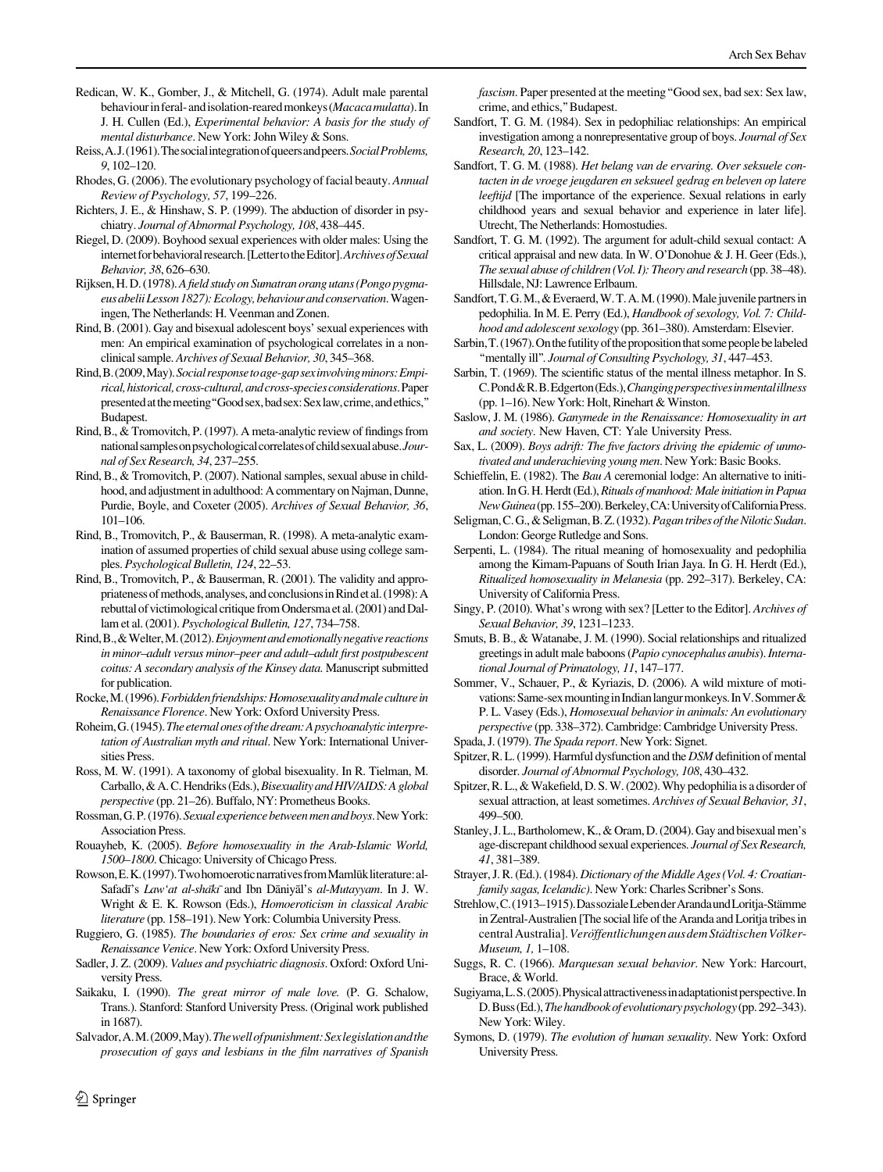- <span id="page-31-0"></span>Redican, W. K., Gomber, J., & Mitchell, G. (1974). Adult male parental behaviour in feral-and isolation-reared monkeys (Macaca mulatta). In J. H. Cullen (Ed.), Experimental behavior: A basis for the study of mental disturbance. New York: John Wiley & Sons.
- Reiss, A.J.(1961). The social integration of queers and peers. Social Problems, 9, 102–120.
- Rhodes, G. (2006). The evolutionary psychology of facial beauty.Annual Review of Psychology, 57, 199–226.
- Richters, J. E., & Hinshaw, S. P. (1999). The abduction of disorder in psychiatry. Journal of Abnormal Psychology, 108, 438–445.
- Riegel, D. (2009). Boyhood sexual experiences with older males: Using the internet for behavioral research. [Letter to the Editor]. Archives of Sexual Behavior, 38, 626–630.
- Rijksen, H.D. (1978). A field study on Sumatran orang utans (Pongo pygmaeus abelii Lesson 1827): Ecology, behaviour and conservation. Wageningen, The Netherlands: H. Veenman and Zonen.
- Rind, B. (2001). Gay and bisexual adolescent boys' sexual experiences with men: An empirical examination of psychological correlates in a nonclinical sample. Archives of Sexual Behavior, 30, 345–368.
- Rind,B.(2009,May).Socialresponsetoage-gapsexinvolvingminors:Empirical, historical, cross-cultural, and cross-species considerations. Paper presentedatthemeeting''Goodsex,badsex:Sexlaw,crime,andethics,'' Budapest.
- Rind, B., & Tromovitch, P. (1997). A meta-analytic review of findings from national samples on psychological correlates of child sexual abuse. Journal of Sex Research, 34, 237–255.
- Rind, B., & Tromovitch, P. (2007). National samples, sexual abuse in childhood, and adjustment in adulthood: A commentary on Najman, Dunne, Purdie, Boyle, and Coxeter (2005). Archives of Sexual Behavior, 36, 101–106.
- Rind, B., Tromovitch, P., & Bauserman, R. (1998). A meta-analytic examination of assumed properties of child sexual abuse using college samples. Psychological Bulletin, 124, 22–53.
- Rind, B., Tromovitch, P., & Bauserman, R. (2001). The validity and appropriateness of methods, analyses, and conclusions in Rind et al. (1998): A rebuttal of victimological critique from Ondersma et al. (2001) and Dallam et al. (2001). Psychological Bulletin, 127, 734–758.
- Rind, B., & Welter, M. (2012). Enjoyment and emotionally negative reactions in minor–adult versus minor–peer and adult–adult first postpubescent coitus: A secondary analysis of the Kinsey data. Manuscript submitted for publication.
- Rocke, M. (1996). Forbidden friendships: Homosexuality and male culture in Renaissance Florence. New York: Oxford University Press.
- Roheim, G. (1945). The eternal ones of the dream: A psychoanalytic interpretation of Australian myth and ritual. New York: International Universities Press.
- Ross, M. W. (1991). A taxonomy of global bisexuality. In R. Tielman, M. Carballo, & A.C. Hendriks (Eds.), Bisexuality and HIV/AIDS: A global perspective (pp. 21–26). Buffalo, NY: Prometheus Books.
- Rossman, G.P. (1976). Sexual experience between men and boys. New York: Association Press.
- Rouayheb, K. (2005). Before homosexuality in the Arab-Islamic World, 1500–1800. Chicago: University of Chicago Press.
- Rowson, E.K. (1997). Two homoerotic narratives from Mamlūk literature: al-Safadī's Law'at al-shākī and Ibn Dāniyāl's al-Mutayyam. In J. W. Wright & E. K. Rowson (Eds.), Homoeroticism in classical Arabic literature (pp. 158–191). New York: Columbia University Press.
- Ruggiero, G. (1985). The boundaries of eros: Sex crime and sexuality in Renaissance Venice. New York: Oxford University Press.
- Sadler, J. Z. (2009). Values and psychiatric diagnosis. Oxford: Oxford University Press.
- Saikaku, I. (1990). The great mirror of male love. (P. G. Schalow, Trans.). Stanford: Stanford University Press. (Original work published in 1687).
- Salvador, A.M.(2009, May). The well of punishment: Sexlegislation and the prosecution of gays and lesbians in the film narratives of Spanish

fascism. Paper presented at the meeting''Good sex, bad sex: Sex law, crime, and ethics,''Budapest.

- Sandfort, T. G. M. (1984). Sex in pedophiliac relationships: An empirical investigation among a nonrepresentative group of boys. Journal of Sex Research, 20, 123–142.
- Sandfort, T. G. M. (1988). Het belang van de ervaring. Over seksuele contacten in de vroege jeugdaren en seksueel gedrag en beleven op latere leeftijd [The importance of the experience. Sexual relations in early childhood years and sexual behavior and experience in later life]. Utrecht, The Netherlands: Homostudies.
- Sandfort, T. G. M. (1992). The argument for adult-child sexual contact: A critical appraisal and new data. In W. O'Donohue & J. H. Geer (Eds.), The sexual abuse of children (Vol. I): Theory and research (pp. 38–48). Hillsdale, NJ: Lawrence Erlbaum.
- Sandfort, T.G.M., & Everaerd, W.T.A.M. (1990). Male juvenile partners in pedophilia. In M. E. Perry (Ed.), Handbook of sexology, Vol. 7: Childhood and adolescent sexology (pp. 361–380). Amsterdam: Elsevier.
- Sarbin, T. (1967). On the futility of the proposition that some people be labeled ''mentally ill''. Journal of Consulting Psychology, 31, 447–453.
- Sarbin, T. (1969). The scientific status of the mental illness metaphor. In S. C.Pond&R.B.Edgerton(Eds.),Changingperspectivesinmentalillness (pp. 1–16). New York: Holt, Rinehart & Winston.
- Saslow, J. M. (1986). Ganymede in the Renaissance: Homosexuality in art and society. New Haven, CT: Yale University Press.
- Sax, L. (2009). Boys adrift: The five factors driving the epidemic of unmotivated and underachieving young men. New York: Basic Books.
- Schieffelin, E. (1982). The *Bau A* ceremonial lodge: An alternative to initiation. In G. H. Herdt (Ed.), Rituals of manhood: Male initiation in Papua New Guinea (pp. 155–200). Berkeley, CA: University of California Press.
- Seligman, C.G., & Seligman, B.Z. (1932). Pagan tribes of the Nilotic Sudan. London: George Rutledge and Sons.
- Serpenti, L. (1984). The ritual meaning of homosexuality and pedophilia among the Kimam-Papuans of South Irian Jaya. In G. H. Herdt (Ed.), Ritualized homosexuality in Melanesia (pp. 292–317). Berkeley, CA: University of California Press.
- Singy, P. (2010). What's wrong with sex? [Letter to the Editor]. Archives of Sexual Behavior, 39, 1231–1233.
- Smuts, B. B., & Watanabe, J. M. (1990). Social relationships and ritualized greetings in adult male baboons (Papio cynocephalus anubis). International Journal of Primatology, 11, 147–177.
- Sommer, V., Schauer, P., & Kyriazis, D. (2006). A wild mixture of motivations: Same-sex mounting in Indian langur monkeys. In V. Sommer & P. L. Vasey (Eds.), Homosexual behavior in animals: An evolutionary perspective (pp. 338–372). Cambridge: Cambridge University Press.
- Spada, J. (1979). The Spada report. New York: Signet.
- Spitzer, R. L. (1999). Harmful dysfunction and the DSM definition of mental disorder. Journal of Abnormal Psychology, 108, 430–432.
- Spitzer, R. L., & Wakefield, D. S. W. (2002). Why pedophilia is a disorder of sexual attraction, at least sometimes. Archives of Sexual Behavior, 31, 499–500.
- Stanley, J. L.,Bartholomew, K.,& Oram, D.(2004).Gay and bisexual men's age-discrepant childhood sexual experiences. Journal of Sex Research, 41, 381–389.
- Strayer, J. R. (Ed.). (1984). Dictionary of the Middle Ages (Vol. 4: Croatianfamily sagas, Icelandic). New York: Charles Scribner's Sons.
- Strehlow, C. (1913–1915). Das soziale Lebender Aranda und Loritja-Stämme in Zentral-Australien [The social life of the Aranda and Loritja tribes in central Australia]. Veröffentlichungen aus dem Städtischen Völker-Museum, 1, 1–108.
- Suggs, R. C. (1966). Marquesan sexual behavior. New York: Harcourt, Brace, & World.
- Sugiyama, L.S. (2005). Physical attractiveness in adaptationist perspective. In D. Buss (Ed.), The handbook of evolutionary psychology (pp. 292-343). New York: Wiley.
- Symons, D. (1979). The evolution of human sexuality. New York: Oxford University Press.